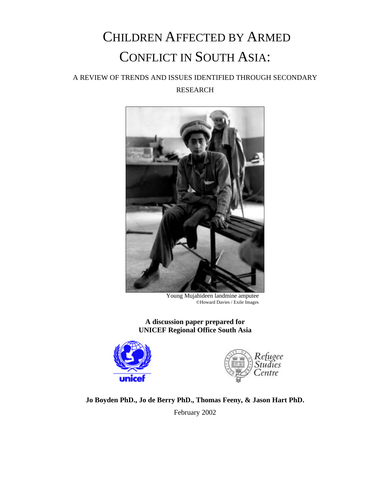# CHILDREN AFFECTED BY ARMED CONFLICT IN SOUTH ASIA:

# A REVIEW OF TRENDS AND ISSUES IDENTIFIED THROUGH SECONDARY RESEARCH



Young Mujahideen landmine amputee ©Howard Davies / Exile Images

**A discussion paper prepared for UNICEF Regional Office South Asia**





**Jo Boyden PhD., Jo de Berry PhD., Thomas Feeny, & Jason Hart PhD.**

February 2002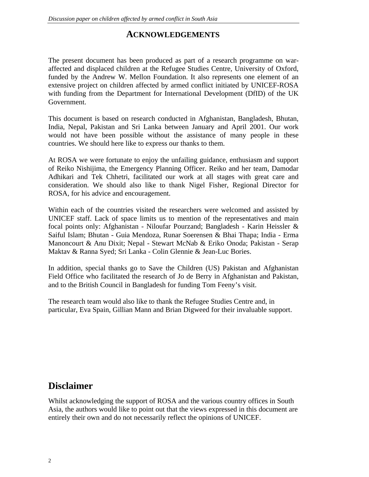# **ACKNOWLEDGEMENTS**

The present document has been produced as part of a research programme on waraffected and displaced children at the Refugee Studies Centre, University of Oxford, funded by the Andrew W. Mellon Foundation. It also represents one element of an extensive project on children affected by armed conflict initiated by UNICEF-ROSA with funding from the Department for International Development (DfID) of the UK Government.

This document is based on research conducted in Afghanistan, Bangladesh, Bhutan, India, Nepal, Pakistan and Sri Lanka between January and April 2001. Our work would not have been possible without the assistance of many people in these countries. We should here like to express our thanks to them.

At ROSA we were fortunate to enjoy the unfailing guidance, enthusiasm and support of Reiko Nishijima, the Emergency Planning Officer. Reiko and her team, Damodar Adhikari and Tek Chhetri, facilitated our work at all stages with great care and consideration. We should also like to thank Nigel Fisher, Regional Director for ROSA, for his advice and encouragement.

Within each of the countries visited the researchers were welcomed and assisted by UNICEF staff. Lack of space limits us to mention of the representatives and main focal points only: Afghanistan - Niloufar Pourzand; Bangladesh - Karin Heissler & Saiful Islam; Bhutan - Guia Mendoza, Runar Soerensen & Bhai Thapa; India - Erma Manoncourt & Anu Dixit; Nepal - Stewart McNab & Eriko Onoda; Pakistan - Serap Maktav & Ranna Syed; Sri Lanka - Colin Glennie & Jean-Luc Bories.

In addition, special thanks go to Save the Children (US) Pakistan and Afghanistan Field Office who facilitated the research of Jo de Berry in Afghanistan and Pakistan, and to the British Council in Bangladesh for funding Tom Feeny's visit.

The research team would also like to thank the Refugee Studies Centre and, in particular, Eva Spain, Gillian Mann and Brian Digweed for their invaluable support.

# **Disclaimer**

Whilst acknowledging the support of ROSA and the various country offices in South Asia, the authors would like to point out that the views expressed in this document are entirely their own and do not necessarily reflect the opinions of UNICEF.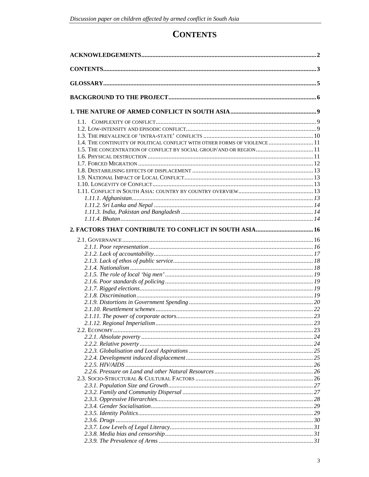# **CONTENTS**

| 1.4. THE CONTINUITY OF POLITICAL CONFLICT WITH OTHER FORMS OF VIOLENCE 11 |  |
|---------------------------------------------------------------------------|--|
| 1.5. THE CONCENTRATION OF CONFLICT BY SOCIAL GROUP/AND OR REGION 11       |  |
|                                                                           |  |
|                                                                           |  |
|                                                                           |  |
|                                                                           |  |
|                                                                           |  |
|                                                                           |  |
|                                                                           |  |
|                                                                           |  |
|                                                                           |  |
|                                                                           |  |
|                                                                           |  |
|                                                                           |  |
|                                                                           |  |
|                                                                           |  |
|                                                                           |  |
|                                                                           |  |
|                                                                           |  |
|                                                                           |  |
|                                                                           |  |
|                                                                           |  |
|                                                                           |  |
|                                                                           |  |
|                                                                           |  |
|                                                                           |  |
|                                                                           |  |
|                                                                           |  |
|                                                                           |  |
|                                                                           |  |
|                                                                           |  |
|                                                                           |  |
|                                                                           |  |
|                                                                           |  |
|                                                                           |  |
|                                                                           |  |
|                                                                           |  |
|                                                                           |  |
|                                                                           |  |
|                                                                           |  |
|                                                                           |  |
|                                                                           |  |
|                                                                           |  |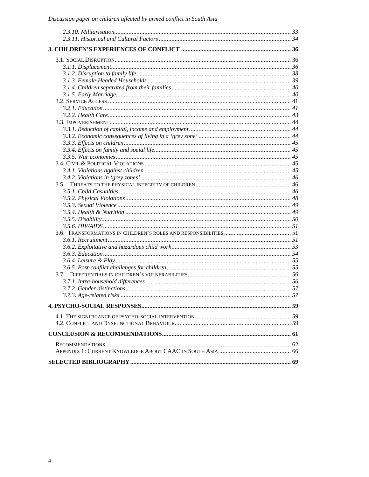| 3.5. |  |
|------|--|
|      |  |
|      |  |
|      |  |
|      |  |
|      |  |
|      |  |
|      |  |
|      |  |
|      |  |
|      |  |
|      |  |
|      |  |
|      |  |
|      |  |
|      |  |
|      |  |
|      |  |
|      |  |
|      |  |
|      |  |
|      |  |
|      |  |
|      |  |
|      |  |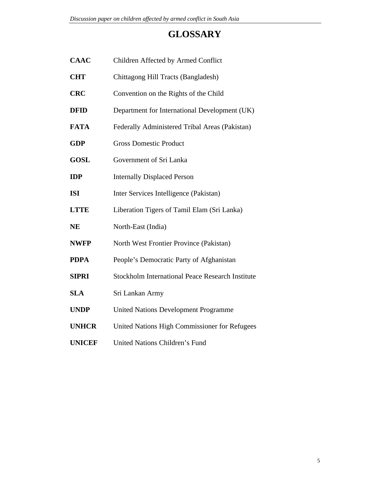# **GLOSSARY**

| <b>CAAC</b>   | Children Affected by Armed Conflict                     |  |  |  |
|---------------|---------------------------------------------------------|--|--|--|
| <b>CHT</b>    | Chittagong Hill Tracts (Bangladesh)                     |  |  |  |
| <b>CRC</b>    | Convention on the Rights of the Child                   |  |  |  |
| <b>DFID</b>   | Department for International Development (UK)           |  |  |  |
| <b>FATA</b>   | Federally Administered Tribal Areas (Pakistan)          |  |  |  |
| <b>GDP</b>    | <b>Gross Domestic Product</b>                           |  |  |  |
| <b>GOSL</b>   | Government of Sri Lanka                                 |  |  |  |
| IDP           | <b>Internally Displaced Person</b>                      |  |  |  |
| <b>ISI</b>    | Inter Services Intelligence (Pakistan)                  |  |  |  |
| <b>LTTE</b>   | Liberation Tigers of Tamil Elam (Sri Lanka)             |  |  |  |
| <b>NE</b>     | North-East (India)                                      |  |  |  |
| <b>NWFP</b>   | North West Frontier Province (Pakistan)                 |  |  |  |
| <b>PDPA</b>   | People's Democratic Party of Afghanistan                |  |  |  |
| <b>SIPRI</b>  | <b>Stockholm International Peace Research Institute</b> |  |  |  |
| <b>SLA</b>    | Sri Lankan Army                                         |  |  |  |
| <b>UNDP</b>   | <b>United Nations Development Programme</b>             |  |  |  |
| <b>UNHCR</b>  | United Nations High Commissioner for Refugees           |  |  |  |
| <b>UNICEF</b> | United Nations Children's Fund                          |  |  |  |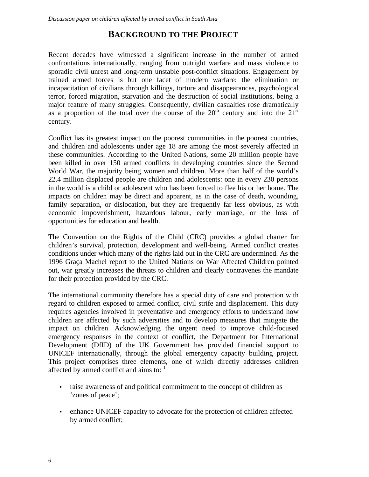# **BACKGROUND TO THE PROJECT**

Recent decades have witnessed a significant increase in the number of armed confrontations internationally, ranging from outright warfare and mass violence to sporadic civil unrest and long-term unstable post-conflict situations. Engagement by trained armed forces is but one facet of modern warfare: the elimination or incapacitation of civilians through killings, torture and disappearances, psychological terror, forced migration, starvation and the destruction of social institutions, being a major feature of many struggles. Consequently, civilian casualties rose dramatically as a proportion of the total over the course of the  $20<sup>th</sup>$  century and into the  $21<sup>st</sup>$ century.

Conflict has its greatest impact on the poorest communities in the poorest countries, and children and adolescents under age 18 are among the most severely affected in these communities. According to the United Nations, some 20 million people have been killed in over 150 armed conflicts in developing countries since the Second World War, the majority being women and children. More than half of the world's 22.4 million displaced people are children and adolescents: one in every 230 persons in the world is a child or adolescent who has been forced to flee his or her home. The impacts on children may be direct and apparent, as in the case of death, wounding, family separation, or dislocation, but they are frequently far less obvious, as with economic impoverishment, hazardous labour, early marriage, or the loss of opportunities for education and health.

The Convention on the Rights of the Child (CRC) provides a global charter for children's survival, protection, development and well-being. Armed conflict creates conditions under which many of the rights laid out in the CRC are undermined. As the 1996 Graça Machel report to the United Nations on War Affected Children pointed out, war greatly increases the threats to children and clearly contravenes the mandate for their protection provided by the CRC.

The international community therefore has a special duty of care and protection with regard to children exposed to armed conflict, civil strife and displacement. This duty requires agencies involved in preventative and emergency efforts to understand how children are affected by such adversities and to develop measures that mitigate the impact on children. Acknowledging the urgent need to improve child-focused emergency responses in the context of conflict, the Department for International Development (DfID) of the UK Government has provided financial support to UNICEF internationally, through the global emergency capacity building project. This project comprises three elements, one of which directly addresses children affected by armed conflict and aims to:  $\frac{1}{1}$ 

- raise awareness of and political commitment to the concept of children as 'zones of peace';
- enhance UNICEF capacity to advocate for the protection of children affected by armed conflict;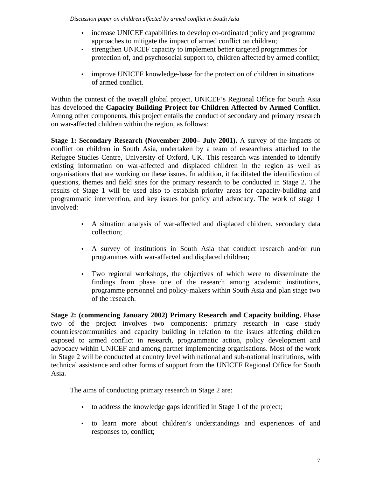- increase UNICEF capabilities to develop co-ordinated policy and programme approaches to mitigate the impact of armed conflict on children;
- strengthen UNICEF capacity to implement better targeted programmes for protection of, and psychosocial support to, children affected by armed conflict;
- improve UNICEF knowledge-base for the protection of children in situations of armed conflict.

Within the context of the overall global project, UNICEF's Regional Office for South Asia has developed the **Capacity Building Project for Children Affected by Armed Conflict**. Among other components, this project entails the conduct of secondary and primary research on war-affected children within the region, as follows:

**Stage 1: Secondary Research (November 2000– July 2001).** A survey of the impacts of conflict on children in South Asia, undertaken by a team of researchers attached to the Refugee Studies Centre, University of Oxford, UK. This research was intended to identify existing information on war-affected and displaced children in the region as well as organisations that are working on these issues. In addition, it facilitated the identification of questions, themes and field sites for the primary research to be conducted in Stage 2. The results of Stage 1 will be used also to establish priority areas for capacity-building and programmatic intervention, and key issues for policy and advocacy. The work of stage 1 involved:

- A situation analysis of war-affected and displaced children, secondary data collection;
- A survey of institutions in South Asia that conduct research and/or run programmes with war-affected and displaced children;
- Two regional workshops, the objectives of which were to disseminate the findings from phase one of the research among academic institutions, programme personnel and policy-makers within South Asia and plan stage two of the research.

**Stage 2: (commencing January 2002) Primary Research and Capacity building.** Phase two of the project involves two components: primary research in case study countries/communities and capacity building in relation to the issues affecting children exposed to armed conflict in research, programmatic action, policy development and advocacy within UNICEF and among partner implementing organisations. Most of the work in Stage 2 will be conducted at country level with national and sub-national institutions, with technical assistance and other forms of support from the UNICEF Regional Office for South Asia.

The aims of conducting primary research in Stage 2 are:

- to address the knowledge gaps identified in Stage 1 of the project;
- to learn more about children's understandings and experiences of and responses to, conflict;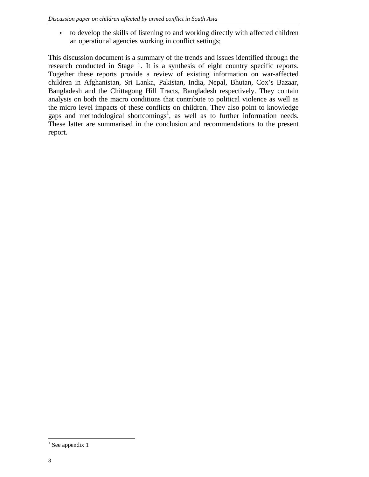• to develop the skills of listening to and working directly with affected children an operational agencies working in conflict settings;

This discussion document is a summary of the trends and issues identified through the research conducted in Stage 1. It is a synthesis of eight country specific reports. Together these reports provide a review of existing information on war-affected children in Afghanistan, Sri Lanka, Pakistan, India, Nepal, Bhutan, Cox's Bazaar, Bangladesh and the Chittagong Hill Tracts, Bangladesh respectively. They contain analysis on both the macro conditions that contribute to political violence as well as the micro level impacts of these conflicts on children. They also point to knowledge gaps and methodological shortcomings<sup>1</sup>, as well as to further information needs. These latter are summarised in the conclusion and recommendations to the present report.

-

 $1$  See appendix 1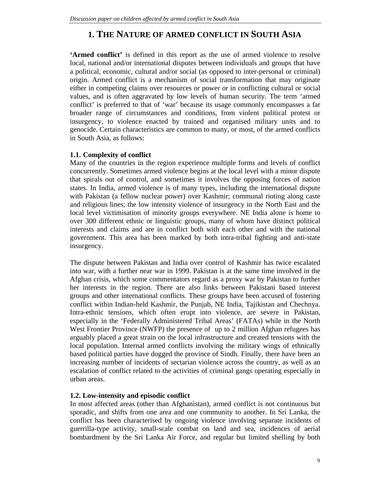# **1. THE NATURE OF ARMED CONFLICT IN SOUTH ASIA**

**'Armed conflict'** is defined in this report as the use of armed violence to resolve local, national and/or international disputes between individuals and groups that have a political, economic, cultural and/or social (as opposed to inter-personal or criminal) origin. Armed conflict is a mechanism of social transformation that may originate either in competing claims over resources or power or in conflicting cultural or social values, and is often aggravated by low levels of human security. The term 'armed conflict' is preferred to that of 'war' because its usage commonly encompasses a far broader range of circumstances and conditions, from violent political protest or insurgency, to violence enacted by trained and organised military units and to genocide. Certain characteristics are common to many, or most, of the armed conflicts in South Asia, as follows:

#### **1.1. Complexity of conflict**

Many of the countries in the region experience multiple forms and levels of conflict concurrently. Sometimes armed violence begins at the local level with a minor dispute that spirals out of control, and sometimes it involves the opposing forces of nation states. In India, armed violence is of many types, including the international dispute with Pakistan (a fellow nuclear power) over Kashmir; communal rioting along caste and religious lines; the low intensity violence of insurgency in the North East and the local level victimisation of minority groups everywhere. NE India alone is home to over 300 different ethnic or linguistic groups, many of whom have distinct political interests and claims and are in conflict both with each other and with the national government. This area has been marked by both intra-tribal fighting and anti-state insurgency.

The dispute between Pakistan and India over control of Kashmir has twice escalated into war, with a further near war in 1999. Pakistan is at the same time involved in the Afghan crisis, which some commentators regard as a proxy war by Pakistan to further her interests in the region. There are also links between Pakistani based interest groups and other international conflicts. These groups have been accused of fostering conflict within Indian-held Kashmir, the Punjab, NE India, Tajikistan and Chechnya. Intra-ethnic tensions, which often erupt into violence, are severe in Pakistan, especially in the 'Federally Administered Tribal Areas' (FATAs) while in the North West Frontier Province (NWFP) the presence of up to 2 million Afghan refugees has arguably placed a great strain on the local infrastructure and created tensions with the local population. Internal armed conflicts involving the military wings of ethnically based political parties have dogged the province of Sindh. Finally, there have been an increasing number of incidents of sectarian violence across the country, as well as an escalation of conflict related to the activities of criminal gangs operating especially in urban areas.

#### **1.2. Low-intensity and episodic conflict**

In most affected areas (other than Afghanistan), armed conflict is not continuous but sporadic, and shifts from one area and one community to another. In Sri Lanka, the conflict has been characterised by ongoing violence involving separate incidents of guerrilla-type activity, small-scale combat on land and sea, incidences of aerial bombardment by the Sri Lanka Air Force, and regular but limited shelling by both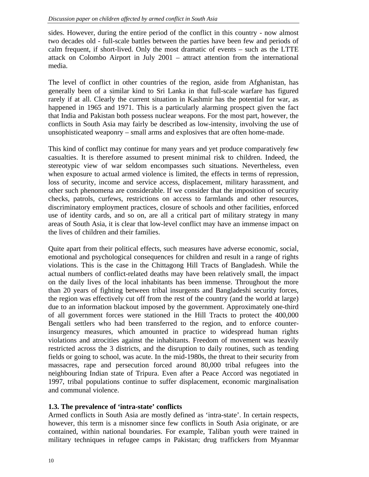sides. However, during the entire period of the conflict in this country - now almost two decades old - full-scale battles between the parties have been few and periods of calm frequent, if short-lived. Only the most dramatic of events – such as the LTTE attack on Colombo Airport in July 2001 – attract attention from the international media.

The level of conflict in other countries of the region, aside from Afghanistan, has generally been of a similar kind to Sri Lanka in that full-scale warfare has figured rarely if at all. Clearly the current situation in Kashmir has the potential for war, as happened in 1965 and 1971. This is a particularly alarming prospect given the fact that India and Pakistan both possess nuclear weapons. For the most part, however, the conflicts in South Asia may fairly be described as low-intensity, involving the use of unsophisticated weaponry – small arms and explosives that are often home-made.

This kind of conflict may continue for many years and yet produce comparatively few casualties. It is therefore assumed to present minimal risk to children. Indeed, the stereotypic view of war seldom encompasses such situations. Nevertheless, even when exposure to actual armed violence is limited, the effects in terms of repression, loss of security, income and service access, displacement, military harassment, and other such phenomena are considerable. If we consider that the imposition of security checks, patrols, curfews, restrictions on access to farmlands and other resources, discriminatory employment practices, closure of schools and other facilities, enforced use of identity cards, and so on, are all a critical part of military strategy in many areas of South Asia, it is clear that low-level conflict may have an immense impact on the lives of children and their families.

Quite apart from their political effects, such measures have adverse economic, social, emotional and psychological consequences for children and result in a range of rights violations. This is the case in the Chittagong Hill Tracts of Bangladesh. While the actual numbers of conflict-related deaths may have been relatively small, the impact on the daily lives of the local inhabitants has been immense. Throughout the more than 20 years of fighting between tribal insurgents and Bangladeshi security forces, the region was effectively cut off from the rest of the country (and the world at large) due to an information blackout imposed by the government. Approximately one-third of all government forces were stationed in the Hill Tracts to protect the 400,000 Bengali settlers who had been transferred to the region, and to enforce counterinsurgency measures, which amounted in practice to widespread human rights violations and atrocities against the inhabitants. Freedom of movement was heavily restricted across the 3 districts, and the disruption to daily routines, such as tending fields or going to school, was acute. In the mid-1980s, the threat to their security from massacres, rape and persecution forced around 80,000 tribal refugees into the neighbouring Indian state of Tripura. Even after a Peace Accord was negotiated in 1997, tribal populations continue to suffer displacement, economic marginalisation and communal violence.

#### **1.3. The prevalence of 'intra-state' conflicts**

Armed conflicts in South Asia are mostly defined as 'intra-state'. In certain respects, however, this term is a misnomer since few conflicts in South Asia originate, or are contained, within national boundaries. For example, Taliban youth were trained in military techniques in refugee camps in Pakistan; drug traffickers from Myanmar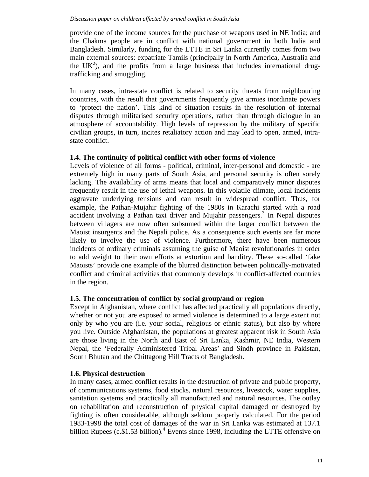provide one of the income sources for the purchase of weapons used in NE India; and the Chakma people are in conflict with national government in both India and Bangladesh. Similarly, funding for the LTTE in Sri Lanka currently comes from two main external sources: expatriate Tamils (principally in North America, Australia and the  $UK<sup>2</sup>$ ), and the profits from a large business that includes international drugtrafficking and smuggling.

In many cases, intra-state conflict is related to security threats from neighbouring countries, with the result that governments frequently give armies inordinate powers to 'protect the nation'. This kind of situation results in the resolution of internal disputes through militarised security operations, rather than through dialogue in an atmosphere of accountability. High levels of repression by the military of specific civilian groups, in turn, incites retaliatory action and may lead to open, armed, intrastate conflict.

#### **1.4. The continuity of political conflict with other forms of violence**

Levels of violence of all forms - political, criminal, inter-personal and domestic - are extremely high in many parts of South Asia, and personal security is often sorely lacking. The availability of arms means that local and comparatively minor disputes frequently result in the use of lethal weapons. In this volatile climate, local incidents aggravate underlying tensions and can result in widespread conflict. Thus, for example, the Pathan-Mujahir fighting of the 1980s in Karachi started with a road accident involving a Pathan taxi driver and Mujahir passengers.<sup>3</sup> In Nepal disputes between villagers are now often subsumed within the larger conflict between the Maoist insurgents and the Nepali police. As a consequence such events are far more likely to involve the use of violence. Furthermore, there have been numerous incidents of ordinary criminals assuming the guise of Maoist revolutionaries in order to add weight to their own efforts at extortion and banditry. These so-called 'fake Maoists' provide one example of the blurred distinction between politically-motivated conflict and criminal activities that commonly develops in conflict-affected countries in the region.

#### **1.5. The concentration of conflict by social group/and or region**

Except in Afghanistan, where conflict has affected practically all populations directly, whether or not you are exposed to armed violence is determined to a large extent not only by who you are (i.e. your social, religious or ethnic status), but also by where you live. Outside Afghanistan, the populations at greatest apparent risk in South Asia are those living in the North and East of Sri Lanka, Kashmir, NE India, Western Nepal, the 'Federally Administered Tribal Areas' and Sindh province in Pakistan, South Bhutan and the Chittagong Hill Tracts of Bangladesh.

#### **1.6. Physical destruction**

In many cases, armed conflict results in the destruction of private and public property, of communications systems, food stocks, natural resources, livestock, water supplies, sanitation systems and practically all manufactured and natural resources. The outlay on rehabilitation and reconstruction of physical capital damaged or destroyed by fighting is often considerable, although seldom properly calculated. For the period 1983-1998 the total cost of damages of the war in Sri Lanka was estimated at 137.1 billion Rupees  $(c.\$1.53$  billion).<sup>4</sup> Events since 1998, including the LTTE offensive on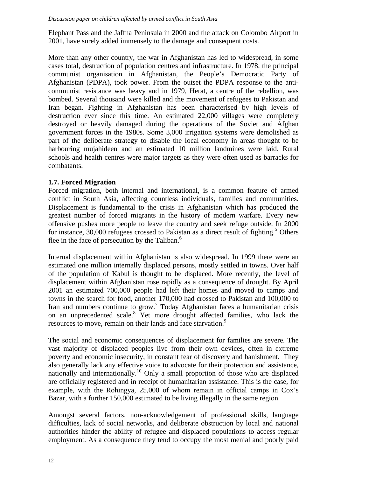Elephant Pass and the Jaffna Peninsula in 2000 and the attack on Colombo Airport in 2001, have surely added immensely to the damage and consequent costs.

More than any other country, the war in Afghanistan has led to widespread, in some cases total, destruction of population centres and infrastructure. In 1978, the principal communist organisation in Afghanistan, the People's Democratic Party of Afghanistan (PDPA), took power. From the outset the PDPA response to the anticommunist resistance was heavy and in 1979, Herat, a centre of the rebellion, was bombed. Several thousand were killed and the movement of refugees to Pakistan and Iran began. Fighting in Afghanistan has been characterised by high levels of destruction ever since this time. An estimated 22,000 villages were completely destroyed or heavily damaged during the operations of the Soviet and Afghan government forces in the 1980s. Some 3,000 irrigation systems were demolished as part of the deliberate strategy to disable the local economy in areas thought to be harbouring mujahideen and an estimated 10 million landmines were laid. Rural schools and health centres were major targets as they were often used as barracks for combatants.

# **1.7. Forced Migration**

Forced migration, both internal and international, is a common feature of armed conflict in South Asia, affecting countless individuals, families and communities. Displacement is fundamental to the crisis in Afghanistan which has produced the greatest number of forced migrants in the history of modern warfare. Every new offensive pushes more people to leave the country and seek refuge outside. In 2000 for instance, 30,000 refugees crossed to Pakistan as a direct result of fighting.<sup>5</sup> Others flee in the face of persecution by the Taliban. $<sup>6</sup>$ </sup>

Internal displacement within Afghanistan is also widespread. In 1999 there were an estimated one million internally displaced persons, mostly settled in towns. Over half of the population of Kabul is thought to be displaced. More recently, the level of displacement within Afghanistan rose rapidly as a consequence of drought. By April 2001 an estimated 700,000 people had left their homes and moved to camps and towns in the search for food, another 170,000 had crossed to Pakistan and 100,000 to Iran and numbers continue to grow.<sup>7</sup> Today Afghanistan faces a humanitarian crisis on an unprecedented scale.<sup>8</sup> Yet more drought affected families, who lack the resources to move, remain on their lands and face starvation.<sup>9</sup>

The social and economic consequences of displacement for families are severe. The vast majority of displaced peoples live from their own devices, often in extreme poverty and economic insecurity, in constant fear of discovery and banishment. They also generally lack any effective voice to advocate for their protection and assistance, nationally and internationally.<sup>10</sup> Only a small proportion of those who are displaced are officially registered and in receipt of humanitarian assistance. This is the case, for example, with the Rohingya, 25,000 of whom remain in official camps in Cox's Bazar, with a further 150,000 estimated to be living illegally in the same region.

Amongst several factors, non-acknowledgement of professional skills, language difficulties, lack of social networks, and deliberate obstruction by local and national authorities hinder the ability of refugee and displaced populations to access regular employment. As a consequence they tend to occupy the most menial and poorly paid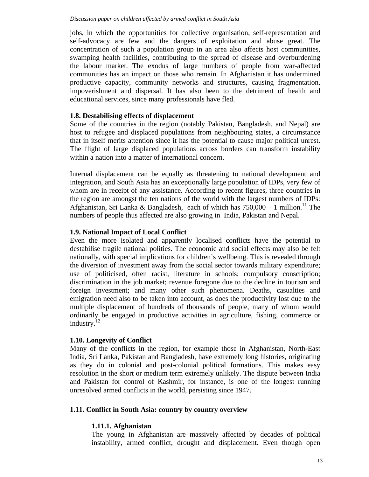jobs, in which the opportunities for collective organisation, self-representation and self-advocacy are few and the dangers of exploitation and abuse great. The concentration of such a population group in an area also affects host communities, swamping health facilities, contributing to the spread of disease and overburdening the labour market. The exodus of large numbers of people from war-affected communities has an impact on those who remain. In Afghanistan it has undermined productive capacity, community networks and structures, causing fragmentation, impoverishment and dispersal. It has also been to the detriment of health and educational services, since many professionals have fled.

# **1.8. Destabilising effects of displacement**

Some of the countries in the region (notably Pakistan, Bangladesh, and Nepal) are host to refugee and displaced populations from neighbouring states, a circumstance that in itself merits attention since it has the potential to cause major political unrest. The flight of large displaced populations across borders can transform instability within a nation into a matter of international concern.

Internal displacement can be equally as threatening to national development and integration, and South Asia has an exceptionally large population of IDPs, very few of whom are in receipt of any assistance. According to recent figures, three countries in the region are amongst the ten nations of the world with the largest numbers of IDPs: Afghanistan, Sri Lanka & Bangladesh, each of which has  $750,000 - 1$  million.<sup>11</sup> The numbers of people thus affected are also growing in India, Pakistan and Nepal.

# **1.9. National Impact of Local Conflict**

Even the more isolated and apparently localised conflicts have the potential to destabilise fragile national polities. The economic and social effects may also be felt nationally, with special implications for children's wellbeing. This is revealed through the diversion of investment away from the social sector towards military expenditure; use of politicised, often racist, literature in schools; compulsory conscription; discrimination in the job market; revenue foregone due to the decline in tourism and foreign investment; and many other such phenomena. Deaths, casualties and emigration need also to be taken into account, as does the productivity lost due to the multiple displacement of hundreds of thousands of people, many of whom would ordinarily be engaged in productive activities in agriculture, fishing, commerce or industry.<sup>12</sup>

#### **1.10. Longevity of Conflict**

Many of the conflicts in the region, for example those in Afghanistan, North-East India, Sri Lanka, Pakistan and Bangladesh, have extremely long histories, originating as they do in colonial and post-colonial political formations. This makes easy resolution in the short or medium term extremely unlikely. The dispute between India and Pakistan for control of Kashmir, for instance, is one of the longest running unresolved armed conflicts in the world, persisting since 1947.

# **1.11. Conflict in South Asia: country by country overview**

# **1.11.1. Afghanistan**

The young in Afghanistan are massively affected by decades of political instability, armed conflict, drought and displacement. Even though open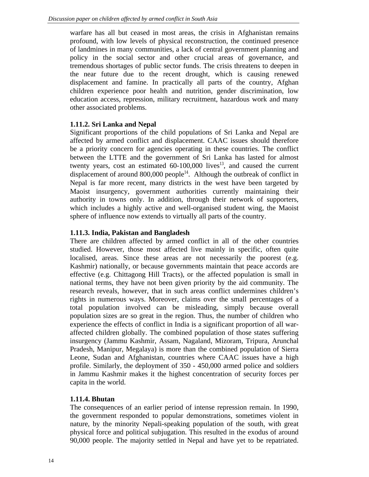warfare has all but ceased in most areas, the crisis in Afghanistan remains profound, with low levels of physical reconstruction, the continued presence of landmines in many communities, a lack of central government planning and policy in the social sector and other crucial areas of governance, and tremendous shortages of public sector funds. The crisis threatens to deepen in the near future due to the recent drought, which is causing renewed displacement and famine. In practically all parts of the country, Afghan children experience poor health and nutrition, gender discrimination, low education access, repression, military recruitment, hazardous work and many other associated problems.

# **1.11.2. Sri Lanka and Nepal**

Significant proportions of the child populations of Sri Lanka and Nepal are affected by armed conflict and displacement. CAAC issues should therefore be a priority concern for agencies operating in these countries. The conflict between the LTTE and the government of Sri Lanka has lasted for almost twenty years, cost an estimated  $60-100,000$  lives<sup>13</sup>, and caused the current displacement of around  $800,000$  people<sup>14</sup>. Although the outbreak of conflict in Nepal is far more recent, many districts in the west have been targeted by Maoist insurgency, government authorities currently maintaining their authority in towns only. In addition, through their network of supporters, which includes a highly active and well-organised student wing, the Maoist sphere of influence now extends to virtually all parts of the country.

# **1.11.3. India, Pakistan and Bangladesh**

There are children affected by armed conflict in all of the other countries studied. However, those most affected live mainly in specific, often quite localised, areas. Since these areas are not necessarily the poorest (e.g. Kashmir) nationally, or because governments maintain that peace accords are effective (e.g. Chittagong Hill Tracts), or the affected population is small in national terms, they have not been given priority by the aid community. The research reveals, however, that in such areas conflict undermines children's rights in numerous ways. Moreover, claims over the small percentages of a total population involved can be misleading, simply because overall population sizes are so great in the region. Thus, the number of children who experience the effects of conflict in India is a significant proportion of all waraffected children globally. The combined population of those states suffering insurgency (Jammu Kashmir, Assam, Nagaland, Mizoram, Tripura, Arunchal Pradesh, Manipur, Megalaya) is more than the combined population of Sierra Leone, Sudan and Afghanistan, countries where CAAC issues have a high profile. Similarly, the deployment of 350 - 450,000 armed police and soldiers in Jammu Kashmir makes it the highest concentration of security forces per capita in the world.

# **1.11.4. Bhutan**

The consequences of an earlier period of intense repression remain. In 1990, the government responded to popular demonstrations, sometimes violent in nature, by the minority Nepali-speaking population of the south, with great physical force and political subjugation. This resulted in the exodus of around 90,000 people. The majority settled in Nepal and have yet to be repatriated.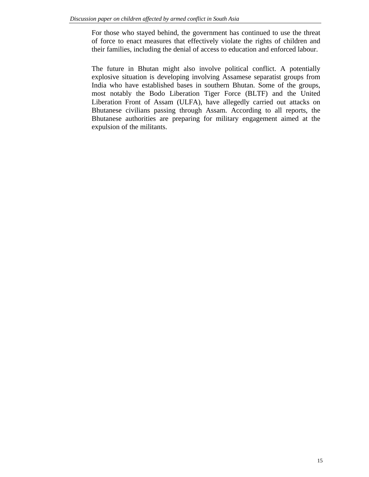For those who stayed behind, the government has continued to use the threat of force to enact measures that effectively violate the rights of children and their families, including the denial of access to education and enforced labour.

The future in Bhutan might also involve political conflict. A potentially explosive situation is developing involving Assamese separatist groups from India who have established bases in southern Bhutan. Some of the groups, most notably the Bodo Liberation Tiger Force (BLTF) and the United Liberation Front of Assam (ULFA), have allegedly carried out attacks on Bhutanese civilians passing through Assam. According to all reports, the Bhutanese authorities are preparing for military engagement aimed at the expulsion of the militants.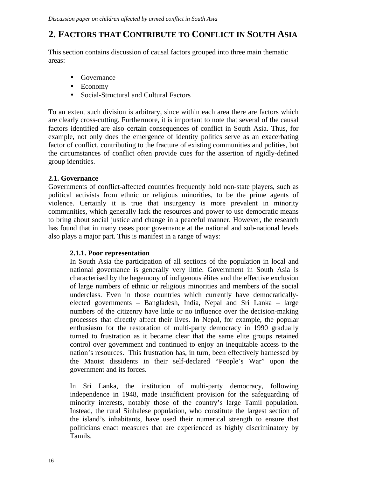# **2. FACTORS THAT CONTRIBUTE TO CONFLICT IN SOUTH ASIA**

This section contains discussion of causal factors grouped into three main thematic areas:

- Governance
- Economy
- Social-Structural and Cultural Factors

To an extent such division is arbitrary, since within each area there are factors which are clearly cross-cutting. Furthermore, it is important to note that several of the causal factors identified are also certain consequences of conflict in South Asia. Thus, for example, not only does the emergence of identity politics serve as an exacerbating factor of conflict, contributing to the fracture of existing communities and polities, but the circumstances of conflict often provide cues for the assertion of rigidly-defined group identities.

# **2.1. Governance**

Governments of conflict-affected countries frequently hold non-state players, such as political activists from ethnic or religious minorities, to be the prime agents of violence. Certainly it is true that insurgency is more prevalent in minority communities, which generally lack the resources and power to use democratic means to bring about social justice and change in a peaceful manner. However, the research has found that in many cases poor governance at the national and sub-national levels also plays a major part. This is manifest in a range of ways:

#### **2.1.1. Poor representation**

In South Asia the participation of all sections of the population in local and national governance is generally very little. Government in South Asia is characterised by the hegemony of indigenous élites and the effective exclusion of large numbers of ethnic or religious minorities and members of the social underclass. Even in those countries which currently have democraticallyelected governments – Bangladesh, India, Nepal and Sri Lanka – large numbers of the citizenry have little or no influence over the decision-making processes that directly affect their lives. In Nepal, for example, the popular enthusiasm for the restoration of multi-party democracy in 1990 gradually turned to frustration as it became clear that the same elite groups retained control over government and continued to enjoy an inequitable access to the nation's resources. This frustration has, in turn, been effectively harnessed by the Maoist dissidents in their self-declared "People's War" upon the government and its forces.

In Sri Lanka, the institution of multi-party democracy, following independence in 1948, made insufficient provision for the safeguarding of minority interests, notably those of the country's large Tamil population. Instead, the rural Sinhalese population, who constitute the largest section of the island's inhabitants, have used their numerical strength to ensure that politicians enact measures that are experienced as highly discriminatory by Tamils.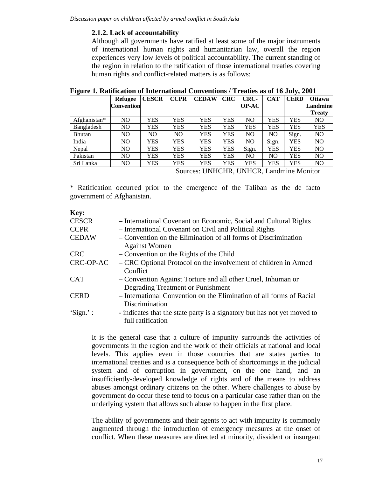### **2.1.2. Lack of accountability**

Although all governments have ratified at least some of the major instruments of international human rights and humanitarian law, overall the region experiences very low levels of political accountability. The current standing of the region in relation to the ratification of those international treaties covering human rights and conflict-related matters is as follows:

| ີ             | <b>Refugee</b>    | <b>CESCR</b> | <b>CCPR</b> | <b>CEDAW</b> | <b>CRC</b> | CRC-           | <b>CAT</b> | . .<br><b>CERD</b> | <b>Ottawa</b> |
|---------------|-------------------|--------------|-------------|--------------|------------|----------------|------------|--------------------|---------------|
|               | <b>Convention</b> |              |             |              |            | <b>OP-AC</b>   |            |                    | Landmine      |
|               |                   |              |             |              |            |                |            |                    | <b>Treaty</b> |
| Afghanistan*  | N <sub>O</sub>    | YES          | YES         | YES          | YES        | N <sub>O</sub> | YES        | YES                | NO            |
| Bangladesh    | N <sub>O</sub>    | YES          | YES         | YES          | YES        | YES            | YES        | YES                | YES           |
| <b>Bhutan</b> | NO                | NO.          | NO          | YES          | YES        | N <sub>O</sub> | NO.        | Sign.              | NO            |
| India         | NO                | YES          | YES         | YES          | YES        | N <sub>O</sub> | Sign.      | YES                | NO            |
| Nepal         | NO.               | YES          | YES         | YES          | YES        | Sign.          | YES        | YES                | NO.           |
| Pakistan      | N <sub>O</sub>    | YES          | YES         | YES          | YES        | N <sub>O</sub> | NO         | YES                | NO            |
| Sri Lanka     | NO                | YES          | YES         | YES          | YES        | YES            | YES        | YES                | NO            |

Sources: UNHCHR, UNHCR, Landmine Monitor

\* Ratification occurred prior to the emergence of the Taliban as the de facto government of Afghanistan.

| Key:         |                                                                                                   |
|--------------|---------------------------------------------------------------------------------------------------|
| <b>CESCR</b> | - International Covenant on Economic, Social and Cultural Rights                                  |
| <b>CCPR</b>  | - International Covenant on Civil and Political Rights                                            |
| <b>CEDAW</b> | - Convention on the Elimination of all forms of Discrimination<br><b>Against Women</b>            |
| <b>CRC</b>   | - Convention on the Rights of the Child                                                           |
| CRC-OP-AC    | – CRC Optional Protocol on the involvement of children in Armed<br>Conflict                       |
| <b>CAT</b>   | - Convention Against Torture and all other Cruel, Inhuman or<br>Degrading Treatment or Punishment |
| <b>CERD</b>  | - International Convention on the Elimination of all forms of Racial<br>Discrimination            |
| 'Sign.':     | - indicates that the state party is a signatory but has not yet moved to<br>full ratification     |

It is the general case that a culture of impunity surrounds the activities of governments in the region and the work of their officials at national and local levels. This applies even in those countries that are states parties to international treaties and is a consequence both of shortcomings in the judicial system and of corruption in government, on the one hand, and an insufficiently-developed knowledge of rights and of the means to address abuses amongst ordinary citizens on the other. Where challenges to abuse by government do occur these tend to focus on a particular case rather than on the underlying system that allows such abuse to happen in the first place.

The ability of governments and their agents to act with impunity is commonly augmented through the introduction of emergency measures at the onset of conflict. When these measures are directed at minority, dissident or insurgent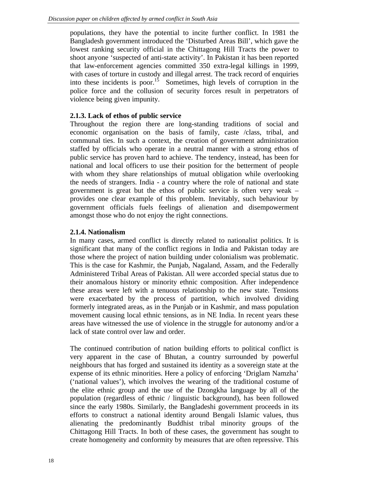populations, they have the potential to incite further conflict. In 1981 the Bangladesh government introduced the 'Disturbed Areas Bill', which gave the lowest ranking security official in the Chittagong Hill Tracts the power to shoot anyone 'suspected of anti-state activity'. In Pakistan it has been reported that law-enforcement agencies committed 350 extra-legal killings in 1999, with cases of torture in custody and illegal arrest. The track record of enquiries into these incidents is poor.<sup>15</sup> Sometimes, high levels of corruption in the police force and the collusion of security forces result in perpetrators of violence being given impunity.

# **2.1.3. Lack of ethos of public service**

Throughout the region there are long-standing traditions of social and economic organisation on the basis of family, caste /class, tribal, and communal ties. In such a context, the creation of government administration staffed by officials who operate in a neutral manner with a strong ethos of public service has proven hard to achieve. The tendency, instead, has been for national and local officers to use their position for the betterment of people with whom they share relationships of mutual obligation while overlooking the needs of strangers. India - a country where the role of national and state government is great but the ethos of public service is often very weak – provides one clear example of this problem. Inevitably, such behaviour by government officials fuels feelings of alienation and disempowerment amongst those who do not enjoy the right connections.

# **2.1.4. Nationalism**

In many cases, armed conflict is directly related to nationalist politics. It is significant that many of the conflict regions in India and Pakistan today are those where the project of nation building under colonialism was problematic. This is the case for Kashmir, the Punjab, Nagaland, Assam, and the Federally Administered Tribal Areas of Pakistan. All were accorded special status due to their anomalous history or minority ethnic composition. After independence these areas were left with a tenuous relationship to the new state. Tensions were exacerbated by the process of partition, which involved dividing formerly integrated areas, as in the Punjab or in Kashmir, and mass population movement causing local ethnic tensions, as in NE India. In recent years these areas have witnessed the use of violence in the struggle for autonomy and/or a lack of state control over law and order.

The continued contribution of nation building efforts to political conflict is very apparent in the case of Bhutan, a country surrounded by powerful neighbours that has forged and sustained its identity as a sovereign state at the expense of its ethnic minorities. Here a policy of enforcing 'Driglam Namzha' ('national values'), which involves the wearing of the traditional costume of the elite ethnic group and the use of the Dzongkha language by all of the population (regardless of ethnic / linguistic background), has been followed since the early 1980s. Similarly, the Bangladeshi government proceeds in its efforts to construct a national identity around Bengali Islamic values, thus alienating the predominantly Buddhist tribal minority groups of the Chittagong Hill Tracts. In both of these cases, the government has sought to create homogeneity and conformity by measures that are often repressive. This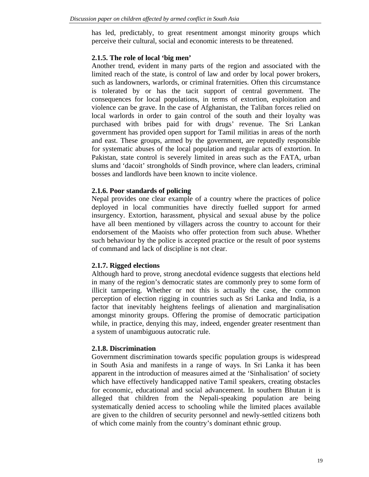has led, predictably, to great resentment amongst minority groups which perceive their cultural, social and economic interests to be threatened.

### **2.1.5. The role of local 'big men'**

Another trend, evident in many parts of the region and associated with the limited reach of the state, is control of law and order by local power brokers, such as landowners, warlords, or criminal fraternities. Often this circumstance is tolerated by or has the tacit support of central government. The consequences for local populations, in terms of extortion, exploitation and violence can be grave. In the case of Afghanistan, the Taliban forces relied on local warlords in order to gain control of the south and their loyalty was purchased with bribes paid for with drugs' revenue. The Sri Lankan government has provided open support for Tamil militias in areas of the north and east. These groups, armed by the government, are reputedly responsible for systematic abuses of the local population and regular acts of extortion. In Pakistan, state control is severely limited in areas such as the FATA, urban slums and 'dacoit' strongholds of Sindh province, where clan leaders, criminal bosses and landlords have been known to incite violence.

#### **2.1.6. Poor standards of policing**

Nepal provides one clear example of a country where the practices of police deployed in local communities have directly fuelled support for armed insurgency. Extortion, harassment, physical and sexual abuse by the police have all been mentioned by villagers across the country to account for their endorsement of the Maoists who offer protection from such abuse. Whether such behaviour by the police is accepted practice or the result of poor systems of command and lack of discipline is not clear.

# **2.1.7. Rigged elections**

Although hard to prove, strong anecdotal evidence suggests that elections held in many of the region's democratic states are commonly prey to some form of illicit tampering. Whether or not this is actually the case, the common perception of election rigging in countries such as Sri Lanka and India, is a factor that inevitably heightens feelings of alienation and marginalisation amongst minority groups. Offering the promise of democratic participation while, in practice, denying this may, indeed, engender greater resentment than a system of unambiguous autocratic rule.

#### **2.1.8. Discrimination**

Government discrimination towards specific population groups is widespread in South Asia and manifests in a range of ways. In Sri Lanka it has been apparent in the introduction of measures aimed at the 'Sinhalisation' of society which have effectively handicapped native Tamil speakers, creating obstacles for economic, educational and social advancement. In southern Bhutan it is alleged that children from the Nepali-speaking population are being systematically denied access to schooling while the limited places available are given to the children of security personnel and newly-settled citizens both of which come mainly from the country's dominant ethnic group.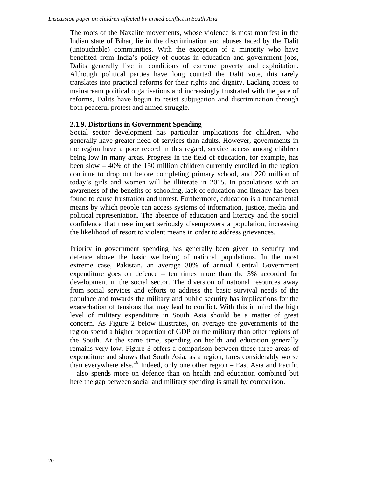The roots of the Naxalite movements, whose violence is most manifest in the Indian state of Bihar, lie in the discrimination and abuses faced by the Dalit (untouchable) communities. With the exception of a minority who have benefited from India's policy of quotas in education and government jobs, Dalits generally live in conditions of extreme poverty and exploitation. Although political parties have long courted the Dalit vote, this rarely translates into practical reforms for their rights and dignity. Lacking access to mainstream political organisations and increasingly frustrated with the pace of reforms, Dalits have begun to resist subjugation and discrimination through both peaceful protest and armed struggle.

# **2.1.9. Distortions in Government Spending**

Social sector development has particular implications for children, who generally have greater need of services than adults. However, governments in the region have a poor record in this regard, service access among children being low in many areas. Progress in the field of education, for example, has been slow – 40% of the 150 million children currently enrolled in the region continue to drop out before completing primary school, and 220 million of today's girls and women will be illiterate in 2015. In populations with an awareness of the benefits of schooling, lack of education and literacy has been found to cause frustration and unrest. Furthermore, education is a fundamental means by which people can access systems of information, justice, media and political representation. The absence of education and literacy and the social confidence that these impart seriously disempowers a population, increasing the likelihood of resort to violent means in order to address grievances.

Priority in government spending has generally been given to security and defence above the basic wellbeing of national populations. In the most extreme case, Pakistan, an average 30% of annual Central Government expenditure goes on defence – ten times more than the 3% accorded for development in the social sector. The diversion of national resources away from social services and efforts to address the basic survival needs of the populace and towards the military and public security has implications for the exacerbation of tensions that may lead to conflict. With this in mind the high level of military expenditure in South Asia should be a matter of great concern. As Figure 2 below illustrates, on average the governments of the region spend a higher proportion of GDP on the military than other regions of the South. At the same time, spending on health and education generally remains very low. Figure 3 offers a comparison between these three areas of expenditure and shows that South Asia, as a region, fares considerably worse than everywhere else.<sup>16</sup> Indeed, only one other region – East Asia and Pacific – also spends more on defence than on health and education combined but here the gap between social and military spending is small by comparison.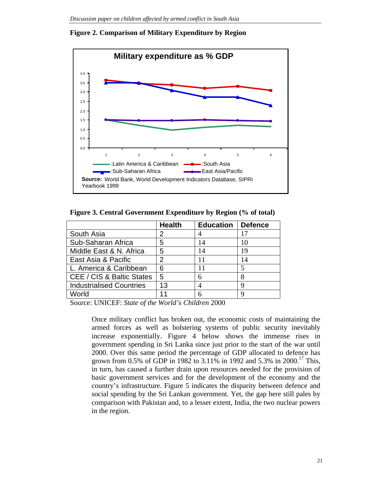

#### **Figure 2. Comparison of Military Expenditure by Region**

**Figure 3. Central Government Expenditure by Region (% of total)**

|                                 | <b>Health</b> | <b>Education</b> | <b>Defence</b> |
|---------------------------------|---------------|------------------|----------------|
| South Asia                      | 2             |                  | 17             |
| Sub-Saharan Africa              | 5             | 14               | 10             |
| Middle East & N. Africa         | 5             | 14               | 19             |
| East Asia & Pacific             | 2             | 11               | 14             |
| L. America & Caribbean          | 6             |                  |                |
| CEE / CIS & Baltic States       | 5             | 6                |                |
| <b>Industrialised Countries</b> | 13            |                  |                |
| World                           | 11            | 6                |                |

Source: UNICEF: *State of the World's Children* 2000

Once military conflict has broken out, the economic costs of maintaining the armed forces as well as bolstering systems of public security inevitably increase exponentially. Figure 4 below shows the immense rises in government spending in Sri Lanka since just prior to the start of the war until 2000. Over this same period the percentage of GDP allocated to defence has grown from 0.5% of GDP in 1982 to 3.11% in 1992 and 5.3% in 2000.<sup>17</sup> This, in turn, has caused a further drain upon resources needed for the provision of basic government services and for the development of the economy and the country's infrastructure. Figure 5 indicates the disparity between defence and social spending by the Sri Lankan government. Yet, the gap here still pales by comparison with Pakistan and, to a lesser extent, India, the two nuclear powers in the region.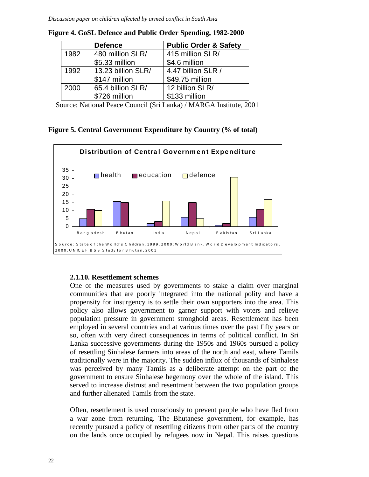|      | <b>Defence</b>     | <b>Public Order &amp; Safety</b> |
|------|--------------------|----------------------------------|
| 1982 | 480 million SLR/   | 415 million SLR/                 |
|      | \$5.33 million     | \$4.6 million                    |
| 1992 | 13.23 billion SLR/ | 4.47 billion SLR /               |
|      | \$147 million      | \$49.75 million                  |
| 2000 | 65.4 billion SLR/  | 12 billion SLR/                  |
|      | \$726 million      | \$133 million                    |

**Figure 4. GoSL Defence and Public Order Spending, 1982-2000**

Source: National Peace Council (Sri Lanka) / MARGA Institute, 2001

**Figure 5. Central Government Expenditure by Country (% of total)**



#### **2.1.10. Resettlement schemes**

One of the measures used by governments to stake a claim over marginal communities that are poorly integrated into the national polity and have a propensity for insurgency is to settle their own supporters into the area. This policy also allows government to garner support with voters and relieve population pressure in government stronghold areas. Resettlement has been employed in several countries and at various times over the past fifty years or so, often with very direct consequences in terms of political conflict. In Sri Lanka successive governments during the 1950s and 1960s pursued a policy of resettling Sinhalese farmers into areas of the north and east, where Tamils traditionally were in the majority. The sudden influx of thousands of Sinhalese was perceived by many Tamils as a deliberate attempt on the part of the government to ensure Sinhalese hegemony over the whole of the island. This served to increase distrust and resentment between the two population groups and further alienated Tamils from the state.

Often, resettlement is used consciously to prevent people who have fled from a war zone from returning. The Bhutanese government, for example, has recently pursued a policy of resettling citizens from other parts of the country on the lands once occupied by refugees now in Nepal. This raises questions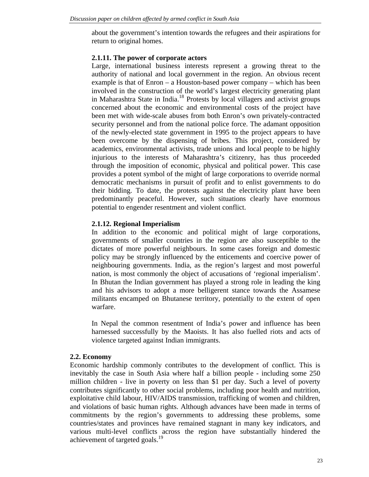about the government's intention towards the refugees and their aspirations for return to original homes.

#### **2.1.11. The power of corporate actors**

Large, international business interests represent a growing threat to the authority of national and local government in the region. An obvious recent example is that of Enron – a Houston-based power company – which has been involved in the construction of the world's largest electricity generating plant in Maharashtra State in India.<sup>18</sup> Protests by local villagers and activist groups concerned about the economic and environmental costs of the project have been met with wide-scale abuses from both Enron's own privately-contracted security personnel and from the national police force. The adamant opposition of the newly-elected state government in 1995 to the project appears to have been overcome by the dispensing of bribes. This project, considered by academics, environmental activists, trade unions and local people to be highly injurious to the interests of Maharashtra's citizenry, has thus proceeded through the imposition of economic, physical and political power. This case provides a potent symbol of the might of large corporations to override normal democratic mechanisms in pursuit of profit and to enlist governments to do their bidding. To date, the protests against the electricity plant have been predominantly peaceful. However, such situations clearly have enormous potential to engender resentment and violent conflict.

#### **2.1.12. Regional Imperialism**

In addition to the economic and political might of large corporations, governments of smaller countries in the region are also susceptible to the dictates of more powerful neighbours. In some cases foreign and domestic policy may be strongly influenced by the enticements and coercive power of neighbouring governments. India, as the region's largest and most powerful nation, is most commonly the object of accusations of 'regional imperialism'. In Bhutan the Indian government has played a strong role in leading the king and his advisors to adopt a more belligerent stance towards the Assamese militants encamped on Bhutanese territory, potentially to the extent of open warfare.

In Nepal the common resentment of India's power and influence has been harnessed successfully by the Maoists. It has also fuelled riots and acts of violence targeted against Indian immigrants.

#### **2.2. Economy**

Economic hardship commonly contributes to the development of conflict. This is inevitably the case in South Asia where half a billion people - including some 250 million children - live in poverty on less than \$1 per day. Such a level of poverty contributes significantly to other social problems, including poor health and nutrition, exploitative child labour, HIV/AIDS transmission, trafficking of women and children, and violations of basic human rights. Although advances have been made in terms of commitments by the region's governments to addressing these problems, some countries/states and provinces have remained stagnant in many key indicators, and various multi-level conflicts across the region have substantially hindered the achievement of targeted goals.<sup>19</sup>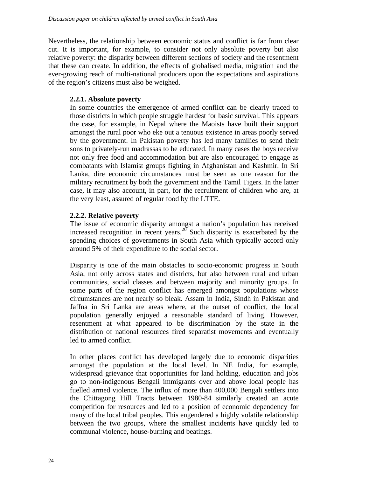Nevertheless, the relationship between economic status and conflict is far from clear cut. It is important, for example, to consider not only absolute poverty but also relative poverty: the disparity between different sections of society and the resentment that these can create. In addition, the effects of globalised media, migration and the ever-growing reach of multi-national producers upon the expectations and aspirations of the region's citizens must also be weighed.

# **2.2.1. Absolute poverty**

In some countries the emergence of armed conflict can be clearly traced to those districts in which people struggle hardest for basic survival. This appears the case, for example, in Nepal where the Maoists have built their support amongst the rural poor who eke out a tenuous existence in areas poorly served by the government. In Pakistan poverty has led many families to send their sons to privately-run madrassas to be educated. In many cases the boys receive not only free food and accommodation but are also encouraged to engage as combatants with Islamist groups fighting in Afghanistan and Kashmir. In Sri Lanka, dire economic circumstances must be seen as one reason for the military recruitment by both the government and the Tamil Tigers. In the latter case, it may also account, in part, for the recruitment of children who are, at the very least, assured of regular food by the LTTE.

# **2.2.2. Relative poverty**

The issue of economic disparity amongst a nation's population has received increased recognition in recent years.<sup>20</sup> Such disparity is exacerbated by the spending choices of governments in South Asia which typically accord only around 5% of their expenditure to the social sector.

Disparity is one of the main obstacles to socio-economic progress in South Asia, not only across states and districts, but also between rural and urban communities, social classes and between majority and minority groups. In some parts of the region conflict has emerged amongst populations whose circumstances are not nearly so bleak. Assam in India, Sindh in Pakistan and Jaffna in Sri Lanka are areas where, at the outset of conflict, the local population generally enjoyed a reasonable standard of living. However, resentment at what appeared to be discrimination by the state in the distribution of national resources fired separatist movements and eventually led to armed conflict.

In other places conflict has developed largely due to economic disparities amongst the population at the local level. In NE India, for example, widespread grievance that opportunities for land holding, education and jobs go to non-indigenous Bengali immigrants over and above local people has fuelled armed violence. The influx of more than 400,000 Bengali settlers into the Chittagong Hill Tracts between 1980-84 similarly created an acute competition for resources and led to a position of economic dependency for many of the local tribal peoples. This engendered a highly volatile relationship between the two groups, where the smallest incidents have quickly led to communal violence, house-burning and beatings.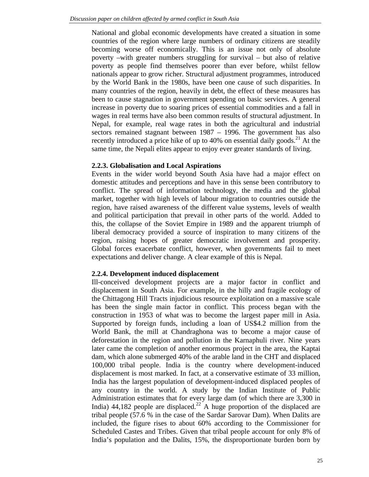National and global economic developments have created a situation in some countries of the region where large numbers of ordinary citizens are steadily becoming worse off economically. This is an issue not only of absolute poverty –with greater numbers struggling for survival – but also of relative poverty as people find themselves poorer than ever before, whilst fellow nationals appear to grow richer. Structural adjustment programmes, introduced by the World Bank in the 1980s, have been one cause of such disparities. In many countries of the region, heavily in debt, the effect of these measures has been to cause stagnation in government spending on basic services. A general increase in poverty due to soaring prices of essential commodities and a fall in wages in real terms have also been common results of structural adjustment. In Nepal, for example, real wage rates in both the agricultural and industrial sectors remained stagnant between 1987 – 1996. The government has also recently introduced a price hike of up to  $40\%$  on essential daily goods.<sup>21</sup> At the same time, the Nepali elites appear to enjoy ever greater standards of living.

#### **2.2.3. Globalisation and Local Aspirations**

Events in the wider world beyond South Asia have had a major effect on domestic attitudes and perceptions and have in this sense been contributory to conflict. The spread of information technology, the media and the global market, together with high levels of labour migration to countries outside the region, have raised awareness of the different value systems, levels of wealth and political participation that prevail in other parts of the world. Added to this, the collapse of the Soviet Empire in 1989 and the apparent triumph of liberal democracy provided a source of inspiration to many citizens of the region, raising hopes of greater democratic involvement and prosperity. Global forces exacerbate conflict, however, when governments fail to meet expectations and deliver change. A clear example of this is Nepal.

#### **2.2.4. Development induced displacement**

Ill-conceived development projects are a major factor in conflict and displacement in South Asia. For example, in the hilly and fragile ecology of the Chittagong Hill Tracts injudicious resource exploitation on a massive scale has been the single main factor in conflict. This process began with the construction in 1953 of what was to become the largest paper mill in Asia. Supported by foreign funds, including a loan of US\$4.2 million from the World Bank, the mill at Chandraghona was to become a major cause of deforestation in the region and pollution in the Karnaphuli river. Nine years later came the completion of another enormous project in the area, the Kaptai dam, which alone submerged 40% of the arable land in the CHT and displaced 100,000 tribal people. India is the country where development-induced displacement is most marked. In fact, at a conservative estimate of 33 million, India has the largest population of development-induced displaced peoples of any country in the world. A study by the Indian Institute of Public Administration estimates that for every large dam (of which there are 3,300 in India)  $44,182$  people are displaced.<sup>22</sup> A huge proportion of the displaced are tribal people (57.6 % in the case of the Sardar Sarovar Dam). When Dalits are included, the figure rises to about 60% according to the Commissioner for Scheduled Castes and Tribes. Given that tribal people account for only 8% of India's population and the Dalits, 15%, the disproportionate burden born by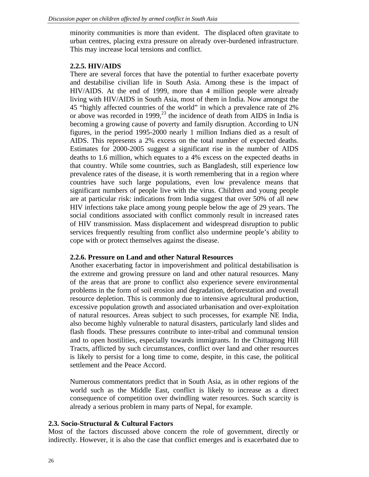minority communities is more than evident. The displaced often gravitate to urban centres, placing extra pressure on already over-burdened infrastructure. This may increase local tensions and conflict.

#### **2.2.5. HIV/AIDS**

There are several forces that have the potential to further exacerbate poverty and destabilise civilian life in South Asia. Among these is the impact of HIV/AIDS. At the end of 1999, more than 4 million people were already living with HIV/AIDS in South Asia, most of them in India. Now amongst the 45 "highly affected countries of the world" in which a prevalence rate of 2% or above was recorded in 1999,<sup>23</sup> the incidence of death from AIDS in India is becoming a growing cause of poverty and family disruption. According to UN figures, in the period 1995-2000 nearly 1 million Indians died as a result of AIDS. This represents a 2% excess on the total number of expected deaths. Estimates for 2000-2005 suggest a significant rise in the number of AIDS deaths to 1.6 million, which equates to a 4% excess on the expected deaths in that country. While some countries, such as Bangladesh, still experience low prevalence rates of the disease, it is worth remembering that in a region where countries have such large populations, even low prevalence means that significant numbers of people live with the virus. Children and young people are at particular risk: indications from India suggest that over 50% of all new HIV infections take place among young people below the age of 29 years. The social conditions associated with conflict commonly result in increased rates of HIV transmission. Mass displacement and widespread disruption to public services frequently resulting from conflict also undermine people's ability to cope with or protect themselves against the disease.

#### **2.2.6. Pressure on Land and other Natural Resources**

Another exacerbating factor in impoverishment and political destabilisation is the extreme and growing pressure on land and other natural resources. Many of the areas that are prone to conflict also experience severe environmental problems in the form of soil erosion and degradation, deforestation and overall resource depletion. This is commonly due to intensive agricultural production, excessive population growth and associated urbanisation and over-exploitation of natural resources. Areas subject to such processes, for example NE India, also become highly vulnerable to natural disasters, particularly land slides and flash floods. These pressures contribute to inter-tribal and communal tension and to open hostilities, especially towards immigrants. In the Chittagong Hill Tracts, afflicted by such circumstances, conflict over land and other resources is likely to persist for a long time to come, despite, in this case, the political settlement and the Peace Accord.

Numerous commentators predict that in South Asia, as in other regions of the world such as the Middle East, conflict is likely to increase as a direct consequence of competition over dwindling water resources. Such scarcity is already a serious problem in many parts of Nepal, for example.

#### **2.3. Socio-Structural & Cultural Factors**

Most of the factors discussed above concern the role of government, directly or indirectly. However, it is also the case that conflict emerges and is exacerbated due to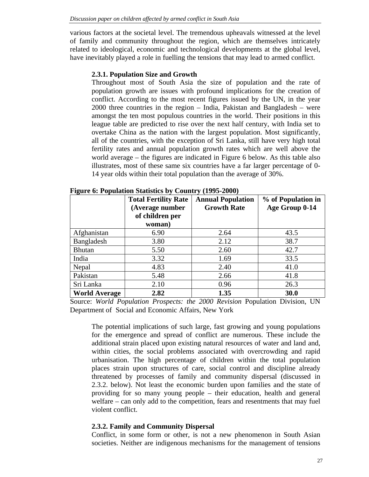various factors at the societal level. The tremendous upheavals witnessed at the level of family and community throughout the region, which are themselves intricately related to ideological, economic and technological developments at the global level, have inevitably played a role in fuelling the tensions that may lead to armed conflict.

#### **2.3.1. Population Size and Growth**

Throughout most of South Asia the size of population and the rate of population growth are issues with profound implications for the creation of conflict. According to the most recent figures issued by the UN, in the year 2000 three countries in the region – India, Pakistan and Bangladesh – were amongst the ten most populous countries in the world. Their positions in this league table are predicted to rise over the next half century, with India set to overtake China as the nation with the largest population. Most significantly, all of the countries, with the exception of Sri Lanka, still have very high total fertility rates and annual population growth rates which are well above the world average – the figures are indicated in Figure 6 below. As this table also illustrates, most of these same six countries have a far larger percentage of 0- 14 year olds within their total population than the average of 30%.

|                      | <b>Total Fertility Rate</b><br>(Average number<br>of children per | <b>Annual Population</b><br><b>Growth Rate</b> | % of Population in<br>Age Group 0-14 |
|----------------------|-------------------------------------------------------------------|------------------------------------------------|--------------------------------------|
|                      | woman)                                                            |                                                |                                      |
| Afghanistan          | 6.90                                                              | 2.64                                           | 43.5                                 |
| Bangladesh           | 3.80                                                              | 2.12                                           | 38.7                                 |
| <b>Bhutan</b>        | 5.50                                                              | 2.60                                           | 42.7                                 |
| India                | 3.32                                                              | 1.69                                           | 33.5                                 |
| Nepal                | 4.83                                                              | 2.40                                           | 41.0                                 |
| Pakistan             | 5.48                                                              | 2.66                                           | 41.8                                 |
| Sri Lanka            | 2.10                                                              | 0.96                                           | 26.3                                 |
| <b>World Average</b> | 2.82                                                              | 1.35                                           | 30.0                                 |

**Figure 6: Population Statistics by Country (1995-2000)**

Source: *World Population Prospects: the 2000 Revision* Population Division, UN Department of Social and Economic Affairs, New York

The potential implications of such large, fast growing and young populations for the emergence and spread of conflict are numerous. These include the additional strain placed upon existing natural resources of water and land and, within cities, the social problems associated with overcrowding and rapid urbanisation. The high percentage of children within the total population places strain upon structures of care, social control and discipline already threatened by processes of family and community dispersal (discussed in 2.3.2. below). Not least the economic burden upon families and the state of providing for so many young people – their education, health and general welfare – can only add to the competition, fears and resentments that may fuel violent conflict.

#### **2.3.2. Family and Community Dispersal**

Conflict, in some form or other, is not a new phenomenon in South Asian societies. Neither are indigenous mechanisms for the management of tensions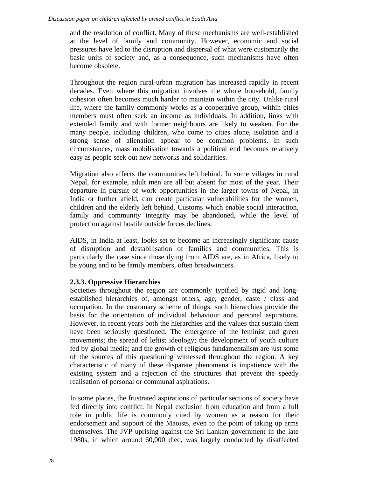and the resolution of conflict. Many of these mechanisms are well-established at the level of family and community. However, economic and social pressures have led to the disruption and dispersal of what were customarily the basic units of society and, as a consequence, such mechanisms have often become obsolete.

Throughout the region rural-urban migration has increased rapidly in recent decades. Even where this migration involves the whole household, family cohesion often becomes much harder to maintain within the city. Unlike rural life, where the family commonly works as a cooperative group, within cities members must often seek an income as individuals. In addition, links with extended family and with former neighbours are likely to weaken. For the many people, including children, who come to cities alone, isolation and a strong sense of alienation appear to be common problems. In such circumstances, mass mobilisation towards a political end becomes relatively easy as people seek out new networks and solidarities.

Migration also affects the communities left behind. In some villages in rural Nepal, for example, adult men are all but absent for most of the year. Their departure in pursuit of work opportunities in the larger towns of Nepal, in India or further afield, can create particular vulnerabilities for the women, children and the elderly left behind. Customs which enable social interaction, family and community integrity may be abandoned, while the level of protection against hostile outside forces declines.

AIDS, in India at least, looks set to become an increasingly significant cause of disruption and destabilisation of families and communities. This is particularly the case since those dying from AIDS are, as in Africa, likely to be young and to be family members, often breadwinners.

# **2.3.3. Oppressive Hierarchies**

Societies throughout the region are commonly typified by rigid and longestablished hierarchies of, amongst others, age, gender, caste / class and occupation. In the customary scheme of things, such hierarchies provide the basis for the orientation of individual behaviour and personal aspirations. However, in recent years both the hierarchies and the values that sustain them have been seriously questioned. The emergence of the feminist and green movements; the spread of leftist ideology; the development of youth culture fed by global media; and the growth of religious fundamentalism are just some of the sources of this questioning witnessed throughout the region. A key characteristic of many of these disparate phenomena is impatience with the existing system and a rejection of the structures that prevent the speedy realisation of personal or communal aspirations.

In some places, the frustrated aspirations of particular sections of society have fed directly into conflict. In Nepal exclusion from education and from a full role in public life is commonly cited by women as a reason for their endorsement and support of the Maoists, even to the point of taking up arms themselves. The JVP uprising against the Sri Lankan government in the late 1980s, in which around 60,000 died, was largely conducted by disaffected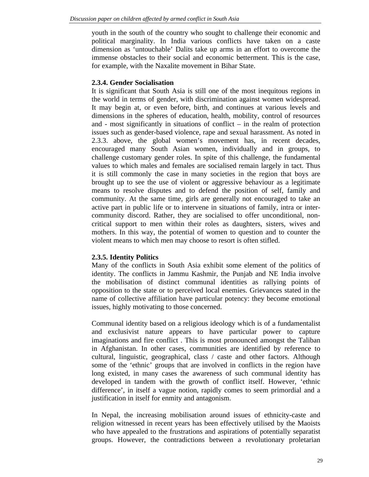youth in the south of the country who sought to challenge their economic and political marginality. In India various conflicts have taken on a caste dimension as 'untouchable' Dalits take up arms in an effort to overcome the immense obstacles to their social and economic betterment. This is the case, for example, with the Naxalite movement in Bihar State.

#### **2.3.4. Gender Socialisation**

It is significant that South Asia is still one of the most inequitous regions in the world in terms of gender, with discrimination against women widespread. It may begin at, or even before, birth, and continues at various levels and dimensions in the spheres of education, health, mobility, control of resources and - most significantly in situations of conflict – in the realm of protection issues such as gender-based violence, rape and sexual harassment. As noted in 2.3.3. above, the global women's movement has, in recent decades, encouraged many South Asian women, individually and in groups, to challenge customary gender roles. In spite of this challenge, the fundamental values to which males and females are socialised remain largely in tact. Thus it is still commonly the case in many societies in the region that boys are brought up to see the use of violent or aggressive behaviour as a legitimate means to resolve disputes and to defend the position of self, family and community. At the same time, girls are generally not encouraged to take an active part in public life or to intervene in situations of family, intra or intercommunity discord. Rather, they are socialised to offer unconditional, noncritical support to men within their roles as daughters, sisters, wives and mothers. In this way, the potential of women to question and to counter the violent means to which men may choose to resort is often stifled.

#### **2.3.5. Identity Politics**

Many of the conflicts in South Asia exhibit some element of the politics of identity. The conflicts in Jammu Kashmir, the Punjab and NE India involve the mobilisation of distinct communal identities as rallying points of opposition to the state or to perceived local enemies. Grievances stated in the name of collective affiliation have particular potency: they become emotional issues, highly motivating to those concerned.

Communal identity based on a religious ideology which is of a fundamentalist and exclusivist nature appears to have particular power to capture imaginations and fire conflict . This is most pronounced amongst the Taliban in Afghanistan. In other cases, communities are identified by reference to cultural, linguistic, geographical, class / caste and other factors. Although some of the 'ethnic' groups that are involved in conflicts in the region have long existed, in many cases the awareness of such communal identity has developed in tandem with the growth of conflict itself. However, 'ethnic difference', in itself a vague notion, rapidly comes to seem primordial and a justification in itself for enmity and antagonism.

In Nepal, the increasing mobilisation around issues of ethnicity-caste and religion witnessed in recent years has been effectively utilised by the Maoists who have appealed to the frustrations and aspirations of potentially separatist groups. However, the contradictions between a revolutionary proletarian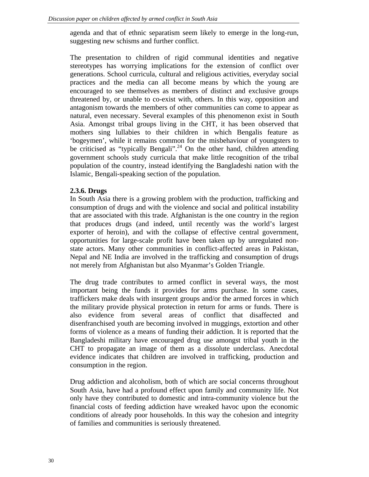agenda and that of ethnic separatism seem likely to emerge in the long-run, suggesting new schisms and further conflict.

The presentation to children of rigid communal identities and negative stereotypes has worrying implications for the extension of conflict over generations. School curricula, cultural and religious activities, everyday social practices and the media can all become means by which the young are encouraged to see themselves as members of distinct and exclusive groups threatened by, or unable to co-exist with, others. In this way, opposition and antagonism towards the members of other communities can come to appear as natural, even necessary. Several examples of this phenomenon exist in South Asia. Amongst tribal groups living in the CHT, it has been observed that mothers sing lullabies to their children in which Bengalis feature as 'bogeymen', while it remains common for the misbehaviour of youngsters to be criticised as "typically Bengali".<sup>24</sup> On the other hand, children attending government schools study curricula that make little recognition of the tribal population of the country, instead identifying the Bangladeshi nation with the Islamic, Bengali-speaking section of the population.

# **2.3.6. Drugs**

In South Asia there is a growing problem with the production, trafficking and consumption of drugs and with the violence and social and political instability that are associated with this trade. Afghanistan is the one country in the region that produces drugs (and indeed, until recently was the world's largest exporter of heroin), and with the collapse of effective central government, opportunities for large-scale profit have been taken up by unregulated nonstate actors. Many other communities in conflict-affected areas in Pakistan, Nepal and NE India are involved in the trafficking and consumption of drugs not merely from Afghanistan but also Myanmar's Golden Triangle.

The drug trade contributes to armed conflict in several ways, the most important being the funds it provides for arms purchase. In some cases, traffickers make deals with insurgent groups and/or the armed forces in which the military provide physical protection in return for arms or funds. There is also evidence from several areas of conflict that disaffected and disenfranchised youth are becoming involved in muggings, extortion and other forms of violence as a means of funding their addiction. It is reported that the Bangladeshi military have encouraged drug use amongst tribal youth in the CHT to propagate an image of them as a dissolute underclass. Anecdotal evidence indicates that children are involved in trafficking, production and consumption in the region.

Drug addiction and alcoholism, both of which are social concerns throughout South Asia, have had a profound effect upon family and community life. Not only have they contributed to domestic and intra-community violence but the financial costs of feeding addiction have wreaked havoc upon the economic conditions of already poor households. In this way the cohesion and integrity of families and communities is seriously threatened.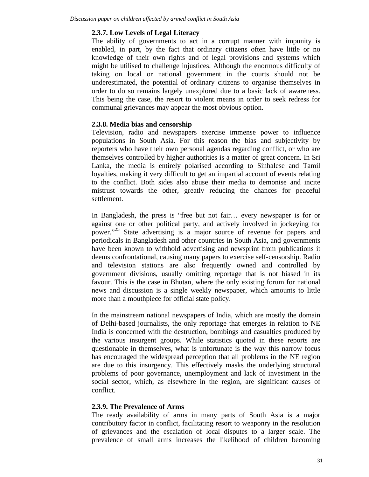# **2.3.7. Low Levels of Legal Literacy**

The ability of governments to act in a corrupt manner with impunity is enabled, in part, by the fact that ordinary citizens often have little or no knowledge of their own rights and of legal provisions and systems which might be utilised to challenge injustices. Although the enormous difficulty of taking on local or national government in the courts should not be underestimated, the potential of ordinary citizens to organise themselves in order to do so remains largely unexplored due to a basic lack of awareness. This being the case, the resort to violent means in order to seek redress for communal grievances may appear the most obvious option.

# **2.3.8. Media bias and censorship**

Television, radio and newspapers exercise immense power to influence populations in South Asia. For this reason the bias and subjectivity by reporters who have their own personal agendas regarding conflict, or who are themselves controlled by higher authorities is a matter of great concern. In Sri Lanka, the media is entirely polarised according to Sinhalese and Tamil loyalties, making it very difficult to get an impartial account of events relating to the conflict. Both sides also abuse their media to demonise and incite mistrust towards the other, greatly reducing the chances for peaceful settlement.

In Bangladesh, the press is "free but not fair… every newspaper is for or against one or other political party, and actively involved in jockeying for power."<sup>25</sup> State advertising is a major source of revenue for papers and periodicals in Bangladesh and other countries in South Asia, and governments have been known to withhold advertising and newsprint from publications it deems confrontational, causing many papers to exercise self-censorship. Radio and television stations are also frequently owned and controlled by government divisions, usually omitting reportage that is not biased in its favour. This is the case in Bhutan, where the only existing forum for national news and discussion is a single weekly newspaper, which amounts to little more than a mouthpiece for official state policy.

In the mainstream national newspapers of India, which are mostly the domain of Delhi-based journalists, the only reportage that emerges in relation to NE India is concerned with the destruction, bombings and casualties produced by the various insurgent groups. While statistics quoted in these reports are questionable in themselves, what is unfortunate is the way this narrow focus has encouraged the widespread perception that all problems in the NE region are due to this insurgency. This effectively masks the underlying structural problems of poor governance, unemployment and lack of investment in the social sector, which, as elsewhere in the region, are significant causes of conflict.

# **2.3.9. The Prevalence of Arms**

The ready availability of arms in many parts of South Asia is a major contributory factor in conflict, facilitating resort to weaponry in the resolution of grievances and the escalation of local disputes to a larger scale. The prevalence of small arms increases the likelihood of children becoming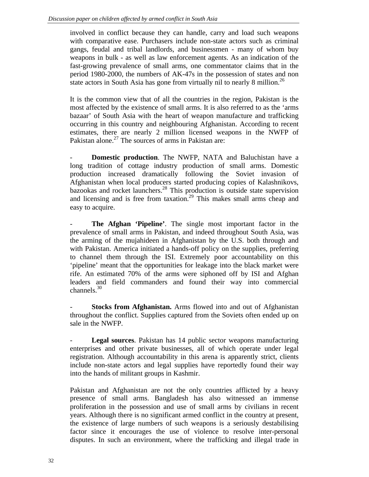involved in conflict because they can handle, carry and load such weapons with comparative ease. Purchasers include non-state actors such as criminal gangs, feudal and tribal landlords, and businessmen - many of whom buy weapons in bulk - as well as law enforcement agents. As an indication of the fast-growing prevalence of small arms, one commentator claims that in the period 1980-2000, the numbers of AK-47s in the possession of states and non state actors in South Asia has gone from virtually nil to nearly 8 million.<sup>26</sup>

It is the common view that of all the countries in the region, Pakistan is the most affected by the existence of small arms. It is also referred to as the 'arms bazaar' of South Asia with the heart of weapon manufacture and trafficking occurring in this country and neighbouring Afghanistan. According to recent estimates, there are nearly 2 million licensed weapons in the NWFP of Pakistan alone.<sup>27</sup> The sources of arms in Pakistan are:

**Domestic production.** The NWFP, NATA and Baluchistan have a long tradition of cottage industry production of small arms. Domestic production increased dramatically following the Soviet invasion of Afghanistan when local producers started producing copies of Kalashnikovs, bazookas and rocket launchers.<sup>28</sup> This production is outside state supervision and licensing and is free from taxation.<sup>29</sup> This makes small arms cheap and easy to acquire.

- **The Afghan 'Pipeline'**. The single most important factor in the prevalence of small arms in Pakistan, and indeed throughout South Asia, was the arming of the mujahideen in Afghanistan by the U.S. both through and with Pakistan. America initiated a hands-off policy on the supplies, preferring to channel them through the ISI. Extremely poor accountability on this 'pipeline' meant that the opportunities for leakage into the black market were rife. An estimated 70% of the arms were siphoned off by ISI and Afghan leaders and field commanders and found their way into commercial channels. $30<sup>30</sup>$ 

**Stocks from Afghanistan.** Arms flowed into and out of Afghanistan throughout the conflict. Supplies captured from the Soviets often ended up on sale in the NWFP.

**Legal sources**. Pakistan has 14 public sector weapons manufacturing enterprises and other private businesses, all of which operate under legal registration. Although accountability in this arena is apparently strict, clients include non-state actors and legal supplies have reportedly found their way into the hands of militant groups in Kashmir.

Pakistan and Afghanistan are not the only countries afflicted by a heavy presence of small arms. Bangladesh has also witnessed an immense proliferation in the possession and use of small arms by civilians in recent years. Although there is no significant armed conflict in the country at present, the existence of large numbers of such weapons is a seriously destabilising factor since it encourages the use of violence to resolve inter-personal disputes. In such an environment, where the trafficking and illegal trade in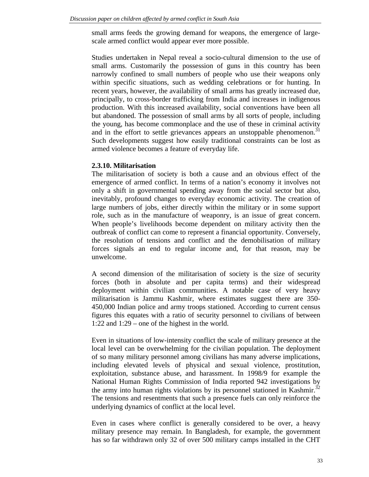small arms feeds the growing demand for weapons, the emergence of largescale armed conflict would appear ever more possible.

Studies undertaken in Nepal reveal a socio-cultural dimension to the use of small arms. Customarily the possession of guns in this country has been narrowly confined to small numbers of people who use their weapons only within specific situations, such as wedding celebrations or for hunting. In recent years, however, the availability of small arms has greatly increased due, principally, to cross-border trafficking from India and increases in indigenous production. With this increased availability, social conventions have been all but abandoned. The possession of small arms by all sorts of people, including the young, has become commonplace and the use of these in criminal activity and in the effort to settle grievances appears an unstoppable phenomenon.<sup>31</sup> Such developments suggest how easily traditional constraints can be lost as armed violence becomes a feature of everyday life.

#### **2.3.10. Militarisation**

The militarisation of society is both a cause and an obvious effect of the emergence of armed conflict. In terms of a nation's economy it involves not only a shift in governmental spending away from the social sector but also, inevitably, profound changes to everyday economic activity. The creation of large numbers of jobs, either directly within the military or in some support role, such as in the manufacture of weaponry, is an issue of great concern. When people's livelihoods become dependent on military activity then the outbreak of conflict can come to represent a financial opportunity. Conversely, the resolution of tensions and conflict and the demobilisation of military forces signals an end to regular income and, for that reason, may be unwelcome.

A second dimension of the militarisation of society is the size of security forces (both in absolute and per capita terms) and their widespread deployment within civilian communities. A notable case of very heavy militarisation is Jammu Kashmir, where estimates suggest there are 350- 450,000 Indian police and army troops stationed. According to current census figures this equates with a ratio of security personnel to civilians of between 1:22 and 1:29 – one of the highest in the world.

Even in situations of low-intensity conflict the scale of military presence at the local level can be overwhelming for the civilian population. The deployment of so many military personnel among civilians has many adverse implications, including elevated levels of physical and sexual violence, prostitution, exploitation, substance abuse, and harassment. In 1998/9 for example the National Human Rights Commission of India reported 942 investigations by the army into human rights violations by its personnel stationed in Kashmir.<sup>32</sup> The tensions and resentments that such a presence fuels can only reinforce the underlying dynamics of conflict at the local level.

Even in cases where conflict is generally considered to be over, a heavy military presence may remain. In Bangladesh, for example, the government has so far withdrawn only 32 of over 500 military camps installed in the CHT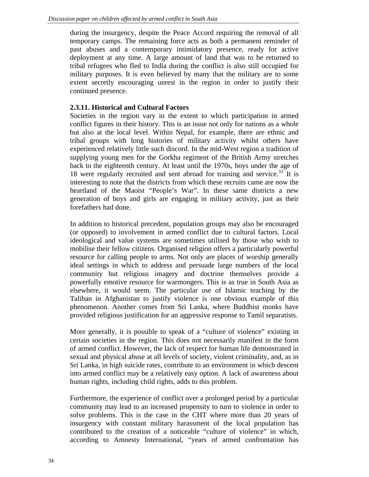during the insurgency, despite the Peace Accord requiring the removal of all temporary camps. The remaining force acts as both a permanent reminder of past abuses and a contemporary intimidatory presence, ready for active deployment at any time. A large amount of land that was to be returned to tribal refugees who fled to India during the conflict is also still occupied for military purposes. It is even believed by many that the military are to some extent secretly encouraging unrest in the region in order to justify their continued presence.

# **2.3.11. Historical and Cultural Factors**

Societies in the region vary in the extent to which participation in armed conflict figures in their history. This is an issue not only for nations as a whole but also at the local level. Within Nepal, for example, there are ethnic and tribal groups with long histories of military activity whilst others have experienced relatively little such discord. In the mid-West region a tradition of supplying young men for the Gorkha regiment of the British Army stretches back to the eighteenth century. At least until the 1970s, boys under the age of 18 were regularly recruited and sent abroad for training and service.<sup>33</sup> It is interesting to note that the districts from which these recruits came are now the heartland of the Maoist "People's War". In these same districts a new generation of boys and girls are engaging in military activity, just as their forefathers had done.

In addition to historical precedent, population groups may also be encouraged (or opposed) to involvement in armed conflict due to cultural factors. Local ideological and value systems are sometimes utilised by those who wish to mobilise their fellow citizens. Organised religion offers a particularly powerful resource for calling people to arms. Not only are places of worship generally ideal settings in which to address and persuade large numbers of the local community but religious imagery and doctrine themselves provide a powerfully emotive resource for warmongers. This is as true in South Asia as elsewhere, it would seem. The particular use of Islamic teaching by the Taliban in Afghanistan to justify violence is one obvious example of this phenomenon. Another comes from Sri Lanka, where Buddhist monks have provided religious justification for an aggressive response to Tamil separatists.

More generally, it is possible to speak of a "culture of violence" existing in certain societies in the region. This does not necessarily manifest in the form of armed conflict. However, the lack of respect for human life demonstrated in sexual and physical abuse at all levels of society, violent criminality, and, as in Sri Lanka, in high suicide rates, contribute to an environment in which descent into armed conflict may be a relatively easy option. A lack of awareness about human rights, including child rights, adds to this problem.

Furthermore, the experience of conflict over a prolonged period by a particular community may lead to an increased propensity to turn to violence in order to solve problems. This is the case in the CHT where more than 20 years of insurgency with constant military harassment of the local population has contributed to the creation of a noticeable "culture of violence" in which, according to Amnesty International, "years of armed confrontation has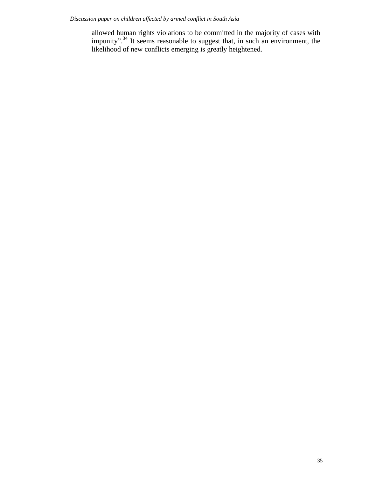allowed human rights violations to be committed in the majority of cases with impunity".<sup>34</sup> It seems reasonable to suggest that, in such an environment, the likelihood of new conflicts emerging is greatly heightened.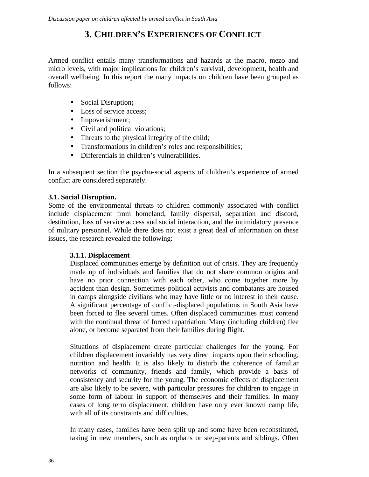# **3. CHILDREN'S EXPERIENCES OF CONFLICT**

Armed conflict entails many transformations and hazards at the macro, mezo and micro levels, with major implications for children's survival, development, health and overall wellbeing. In this report the many impacts on children have been grouped as follows:

- Social Disruption**;**
- Loss of service access;
- Impoverishment;
- Civil and political violations;
- Threats to the physical integrity of the child;
- Transformations in children's roles and responsibilities;
- Differentials in children's vulnerabilities.

In a subsequent section the psycho-social aspects of children's experience of armed conflict are considered separately.

# **3.1. Social Disruption.**

Some of the environmental threats to children commonly associated with conflict include displacement from homeland, family dispersal, separation and discord, destitution, loss of service access and social interaction, and the intimidatory presence of military personnel. While there does not exist a great deal of information on these issues, the research revealed the following:

# **3.1.1. Displacement**

Displaced communities emerge by definition out of crisis. They are frequently made up of individuals and families that do not share common origins and have no prior connection with each other, who come together more by accident than design. Sometimes political activists and combatants are housed in camps alongside civilians who may have little or no interest in their cause. A significant percentage of conflict-displaced populations in South Asia have been forced to flee several times. Often displaced communities must contend with the continual threat of forced repatriation. Many (including children) flee alone, or become separated from their families during flight.

Situations of displacement create particular challenges for the young. For children displacement invariably has very direct impacts upon their schooling, nutrition and health. It is also likely to disturb the coherence of familiar networks of community, friends and family, which provide a basis of consistency and security for the young. The economic effects of displacement are also likely to be severe, with particular pressures for children to engage in some form of labour in support of themselves and their families. In many cases of long term displacement, children have only ever known camp life, with all of its constraints and difficulties.

In many cases, families have been split up and some have been reconstituted, taking in new members, such as orphans or step-parents and siblings. Often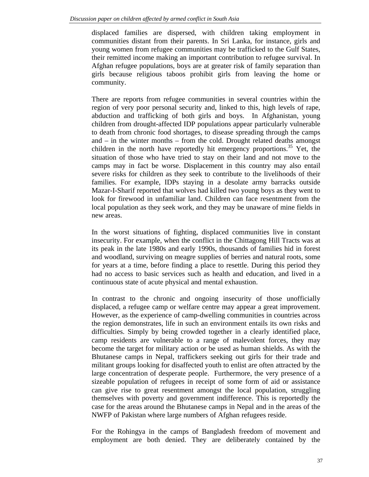displaced families are dispersed, with children taking employment in communities distant from their parents. In Sri Lanka, for instance, girls and young women from refugee communities may be trafficked to the Gulf States, their remitted income making an important contribution to refugee survival. In Afghan refugee populations, boys are at greater risk of family separation than girls because religious taboos prohibit girls from leaving the home or community.

There are reports from refugee communities in several countries within the region of very poor personal security and, linked to this, high levels of rape, abduction and trafficking of both girls and boys. In Afghanistan, young children from drought-affected IDP populations appear particularly vulnerable to death from chronic food shortages, to disease spreading through the camps and – in the winter months – from the cold. Drought related deaths amongst children in the north have reportedly hit emergency proportions.<sup>35</sup> Yet, the situation of those who have tried to stay on their land and not move to the camps may in fact be worse. Displacement in this country may also entail severe risks for children as they seek to contribute to the livelihoods of their families. For example, IDPs staying in a desolate army barracks outside Mazar-I-Sharif reported that wolves had killed two young boys as they went to look for firewood in unfamiliar land. Children can face resentment from the local population as they seek work, and they may be unaware of mine fields in new areas.

In the worst situations of fighting, displaced communities live in constant insecurity. For example, when the conflict in the Chittagong Hill Tracts was at its peak in the late 1980s and early 1990s, thousands of families hid in forest and woodland, surviving on meagre supplies of berries and natural roots, some for years at a time, before finding a place to resettle. During this period they had no access to basic services such as health and education, and lived in a continuous state of acute physical and mental exhaustion.

In contrast to the chronic and ongoing insecurity of those unofficially displaced, a refugee camp or welfare centre may appear a great improvement. However, as the experience of camp-dwelling communities in countries across the region demonstrates, life in such an environment entails its own risks and difficulties. Simply by being crowded together in a clearly identified place, camp residents are vulnerable to a range of malevolent forces, they may become the target for military action or be used as human shields. As with the Bhutanese camps in Nepal, traffickers seeking out girls for their trade and militant groups looking for disaffected youth to enlist are often attracted by the large concentration of desperate people. Furthermore, the very presence of a sizeable population of refugees in receipt of some form of aid or assistance can give rise to great resentment amongst the local population, struggling themselves with poverty and government indifference. This is reportedly the case for the areas around the Bhutanese camps in Nepal and in the areas of the NWFP of Pakistan where large numbers of Afghan refugees reside.

For the Rohingya in the camps of Bangladesh freedom of movement and employment are both denied. They are deliberately contained by the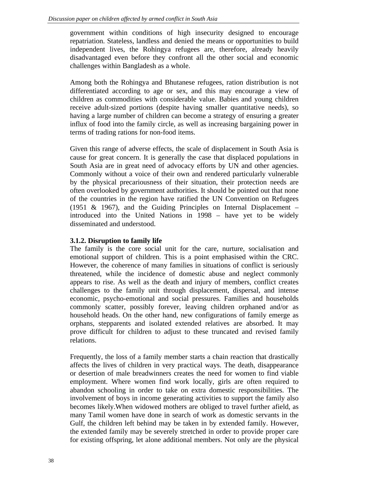government within conditions of high insecurity designed to encourage repatriation. Stateless, landless and denied the means or opportunities to build independent lives, the Rohingya refugees are, therefore, already heavily disadvantaged even before they confront all the other social and economic challenges within Bangladesh as a whole.

Among both the Rohingya and Bhutanese refugees, ration distribution is not differentiated according to age or sex, and this may encourage a view of children as commodities with considerable value. Babies and young children receive adult-sized portions (despite having smaller quantitative needs), so having a large number of children can become a strategy of ensuring a greater influx of food into the family circle, as well as increasing bargaining power in terms of trading rations for non-food items.

Given this range of adverse effects, the scale of displacement in South Asia is cause for great concern. It is generally the case that displaced populations in South Asia are in great need of advocacy efforts by UN and other agencies. Commonly without a voice of their own and rendered particularly vulnerable by the physical precariousness of their situation, their protection needs are often overlooked by government authorities. It should be pointed out that none of the countries in the region have ratified the UN Convention on Refugees (1951 & 1967), and the Guiding Principles on Internal Displacement – introduced into the United Nations in 1998 – have yet to be widely disseminated and understood.

#### **3.1.2. Disruption to family life**

The family is the core social unit for the care, nurture, socialisation and emotional support of children. This is a point emphasised within the CRC. However, the coherence of many families in situations of conflict is seriously threatened, while the incidence of domestic abuse and neglect commonly appears to rise. As well as the death and injury of members, conflict creates challenges to the family unit through displacement, dispersal, and intense economic, psycho-emotional and social pressures. Families and households commonly scatter, possibly forever, leaving children orphaned and/or as household heads. On the other hand, new configurations of family emerge as orphans, stepparents and isolated extended relatives are absorbed. It may prove difficult for children to adjust to these truncated and revised family relations.

Frequently, the loss of a family member starts a chain reaction that drastically affects the lives of children in very practical ways. The death, disappearance or desertion of male breadwinners creates the need for women to find viable employment. Where women find work locally, girls are often required to abandon schooling in order to take on extra domestic responsibilities. The involvement of boys in income generating activities to support the family also becomes likely.When widowed mothers are obliged to travel further afield, as many Tamil women have done in search of work as domestic servants in the Gulf, the children left behind may be taken in by extended family. However, the extended family may be severely stretched in order to provide proper care for existing offspring, let alone additional members. Not only are the physical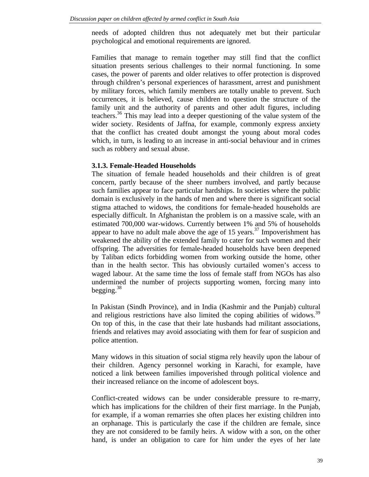needs of adopted children thus not adequately met but their particular psychological and emotional requirements are ignored.

Families that manage to remain together may still find that the conflict situation presents serious challenges to their normal functioning. In some cases, the power of parents and older relatives to offer protection is disproved through children's personal experiences of harassment, arrest and punishment by military forces, which family members are totally unable to prevent. Such occurrences, it is believed, cause children to question the structure of the family unit and the authority of parents and other adult figures, including teachers.<sup>36</sup> This may lead into a deeper questioning of the value system of the wider society. Residents of Jaffna, for example, commonly express anxiety that the conflict has created doubt amongst the young about moral codes which, in turn, is leading to an increase in anti-social behaviour and in crimes such as robbery and sexual abuse.

#### **3.1.3. Female-Headed Households**

The situation of female headed households and their children is of great concern, partly because of the sheer numbers involved, and partly because such families appear to face particular hardships. In societies where the public domain is exclusively in the hands of men and where there is significant social stigma attached to widows, the conditions for female-headed households are especially difficult. In Afghanistan the problem is on a massive scale, with an estimated 700,000 war-widows. Currently between 1% and 5% of households appear to have no adult male above the age of 15 years.<sup>37</sup> Impoverishment has weakened the ability of the extended family to cater for such women and their offspring. The adversities for female-headed households have been deepened by Taliban edicts forbidding women from working outside the home, other than in the health sector. This has obviously curtailed women's access to waged labour. At the same time the loss of female staff from NGOs has also undermined the number of projects supporting women, forcing many into begging. $38$ 

In Pakistan (Sindh Province), and in India (Kashmir and the Punjab) cultural and religious restrictions have also limited the coping abilities of widows.<sup>39</sup> On top of this, in the case that their late husbands had militant associations, friends and relatives may avoid associating with them for fear of suspicion and police attention.

Many widows in this situation of social stigma rely heavily upon the labour of their children. Agency personnel working in Karachi, for example, have noticed a link between families impoverished through political violence and their increased reliance on the income of adolescent boys.

Conflict-created widows can be under considerable pressure to re-marry, which has implications for the children of their first marriage. In the Punjab, for example, if a woman remarries she often places her existing children into an orphanage. This is particularly the case if the children are female, since they are not considered to be family heirs. A widow with a son, on the other hand, is under an obligation to care for him under the eyes of her late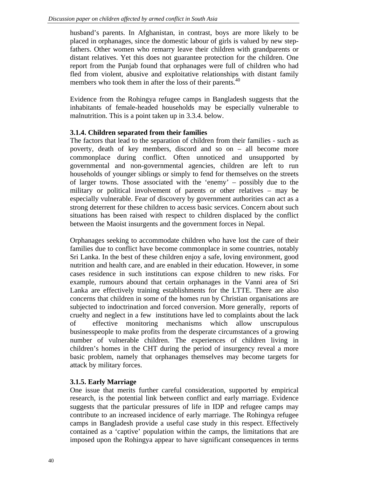husband's parents. In Afghanistan, in contrast, boys are more likely to be placed in orphanages, since the domestic labour of girls is valued by new stepfathers. Other women who remarry leave their children with grandparents or distant relatives. Yet this does not guarantee protection for the children. One report from the Punjab found that orphanages were full of children who had fled from violent, abusive and exploitative relationships with distant family members who took them in after the loss of their parents.<sup>40</sup>

Evidence from the Rohingya refugee camps in Bangladesh suggests that the inhabitants of female-headed households may be especially vulnerable to malnutrition. This is a point taken up in 3.3.4. below.

## **3.1.4. Children separated from their families**

The factors that lead to the separation of children from their families - such as poverty, death of key members, discord and so on – all become more commonplace during conflict. Often unnoticed and unsupported by governmental and non-governmental agencies, children are left to run households of younger siblings or simply to fend for themselves on the streets of larger towns. Those associated with the 'enemy' – possibly due to the military or political involvement of parents or other relatives – may be especially vulnerable. Fear of discovery by government authorities can act as a strong deterrent for these children to access basic services. Concern about such situations has been raised with respect to children displaced by the conflict between the Maoist insurgents and the government forces in Nepal.

Orphanages seeking to accommodate children who have lost the care of their families due to conflict have become commonplace in some countries, notably Sri Lanka. In the best of these children enjoy a safe, loving environment, good nutrition and health care, and are enabled in their education. However, in some cases residence in such institutions can expose children to new risks. For example, rumours abound that certain orphanages in the Vanni area of Sri Lanka are effectively training establishments for the LTTE. There are also concerns that children in some of the homes run by Christian organisations are subjected to indoctrination and forced conversion. More generally, reports of cruelty and neglect in a few institutions have led to complaints about the lack of effective monitoring mechanisms which allow unscrupulous businesspeople to make profits from the desperate circumstances of a growing number of vulnerable children. The experiences of children living in children's homes in the CHT during the period of insurgency reveal a more basic problem, namely that orphanages themselves may become targets for attack by military forces.

## **3.1.5. Early Marriage**

One issue that merits further careful consideration, supported by empirical research, is the potential link between conflict and early marriage. Evidence suggests that the particular pressures of life in IDP and refugee camps may contribute to an increased incidence of early marriage. The Rohingya refugee camps in Bangladesh provide a useful case study in this respect. Effectively contained as a 'captive' population within the camps, the limitations that are imposed upon the Rohingya appear to have significant consequences in terms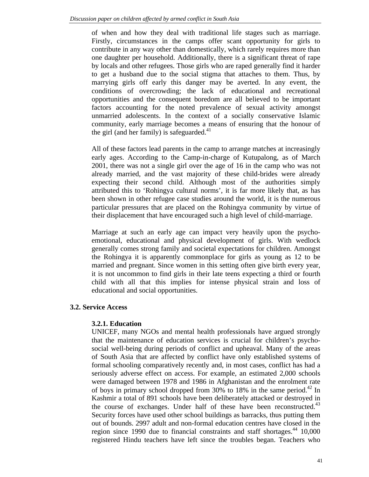of when and how they deal with traditional life stages such as marriage. Firstly, circumstances in the camps offer scant opportunity for girls to contribute in any way other than domestically, which rarely requires more than one daughter per household. Additionally, there is a significant threat of rape by locals and other refugees. Those girls who are raped generally find it harder to get a husband due to the social stigma that attaches to them. Thus, by marrying girls off early this danger may be averted. In any event, the conditions of overcrowding; the lack of educational and recreational opportunities and the consequent boredom are all believed to be important factors accounting for the noted prevalence of sexual activity amongst unmarried adolescents. In the context of a socially conservative Islamic community, early marriage becomes a means of ensuring that the honour of the girl (and her family) is safeguarded. $41$ 

All of these factors lead parents in the camp to arrange matches at increasingly early ages. According to the Camp-in-charge of Kutupalong, as of March 2001, there was not a single girl over the age of 16 in the camp who was not already married, and the vast majority of these child-brides were already expecting their second child. Although most of the authorities simply attributed this to 'Rohingya cultural norms', it is far more likely that, as has been shown in other refugee case studies around the world, it is the numerous particular pressures that are placed on the Rohingya community by virtue of their displacement that have encouraged such a high level of child-marriage.

Marriage at such an early age can impact very heavily upon the psychoemotional, educational and physical development of girls. With wedlock generally comes strong family and societal expectations for children. Amongst the Rohingya it is apparently commonplace for girls as young as 12 to be married and pregnant. Since women in this setting often give birth every year, it is not uncommon to find girls in their late teens expecting a third or fourth child with all that this implies for intense physical strain and loss of educational and social opportunities.

#### **3.2. Service Access**

#### **3.2.1. Education**

UNICEF, many NGOs and mental health professionals have argued strongly that the maintenance of education services is crucial for children's psychosocial well-being during periods of conflict and upheaval. Many of the areas of South Asia that are affected by conflict have only established systems of formal schooling comparatively recently and, in most cases, conflict has had a seriously adverse effect on access. For example, an estimated 2,000 schools were damaged between 1978 and 1986 in Afghanistan and the enrolment rate of boys in primary school dropped from 30% to 18% in the same period.<sup>42</sup> In Kashmir a total of 891 schools have been deliberately attacked or destroyed in the course of exchanges. Under half of these have been reconstructed.<sup>43</sup> Security forces have used other school buildings as barracks, thus putting them out of bounds. 2997 adult and non-formal education centres have closed in the region since 1990 due to financial constraints and staff shortages.<sup>44</sup> 10,000 registered Hindu teachers have left since the troubles began. Teachers who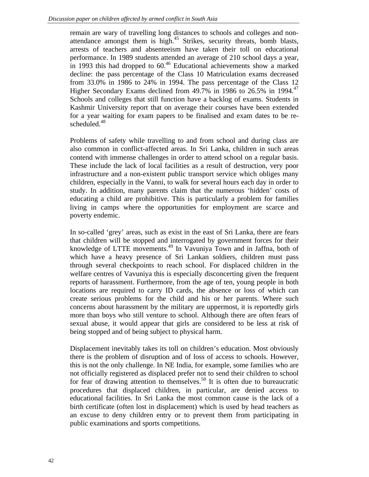remain are wary of travelling long distances to schools and colleges and nonattendance amongst them is high.<sup>45</sup> Strikes, security threats, bomb blasts, arrests of teachers and absenteeism have taken their toll on educational performance. In 1989 students attended an average of 210 school days a year, in 1993 this had dropped to  $60<sup>46</sup>$  Educational achievements show a marked decline: the pass percentage of the Class 10 Matriculation exams decreased from 33.0% in 1986 to 24% in 1994. The pass percentage of the Class 12 Higher Secondary Exams declined from  $49.7\%$  in 1986 to 26.5% in 1994.<sup>47</sup> Schools and colleges that still function have a backlog of exams. Students in Kashmir University report that on average their courses have been extended for a year waiting for exam papers to be finalised and exam dates to be rescheduled.<sup>48</sup>

Problems of safety while travelling to and from school and during class are also common in conflict-affected areas. In Sri Lanka, children in such areas contend with immense challenges in order to attend school on a regular basis. These include the lack of local facilities as a result of destruction, very poor infrastructure and a non-existent public transport service which obliges many children, especially in the Vanni, to walk for several hours each day in order to study. In addition, many parents claim that the numerous 'hidden' costs of educating a child are prohibitive. This is particularly a problem for families living in camps where the opportunities for employment are scarce and poverty endemic.

In so-called 'grey' areas, such as exist in the east of Sri Lanka, there are fears that children will be stopped and interrogated by government forces for their knowledge of LTTE movements.<sup>49</sup> In Vavuniya Town and in Jaffna, both of which have a heavy presence of Sri Lankan soldiers, children must pass through several checkpoints to reach school. For displaced children in the welfare centres of Vavuniya this is especially disconcerting given the frequent reports of harassment. Furthermore, from the age of ten, young people in both locations are required to carry ID cards, the absence or loss of which can create serious problems for the child and his or her parents. Where such concerns about harassment by the military are uppermost, it is reportedly girls more than boys who still venture to school. Although there are often fears of sexual abuse, it would appear that girls are considered to be less at risk of being stopped and of being subject to physical harm.

Displacement inevitably takes its toll on children's education. Most obviously there is the problem of disruption and of loss of access to schools. However, this is not the only challenge. In NE India, for example, some families who are not officially registered as displaced prefer not to send their children to school for fear of drawing attention to themselves.<sup>50</sup> It is often due to bureaucratic procedures that displaced children, in particular, are denied access to educational facilities. In Sri Lanka the most common cause is the lack of a birth certificate (often lost in displacement) which is used by head teachers as an excuse to deny children entry or to prevent them from participating in public examinations and sports competitions.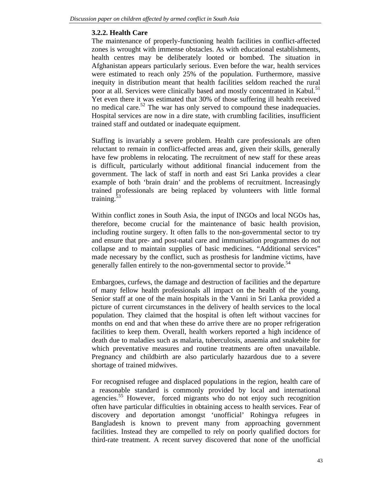## **3.2.2. Health Care**

The maintenance of properly-functioning health facilities in conflict-affected zones is wrought with immense obstacles. As with educational establishments, health centres may be deliberately looted or bombed. The situation in Afghanistan appears particularly serious. Even before the war, health services were estimated to reach only 25% of the population. Furthermore, massive inequity in distribution meant that health facilities seldom reached the rural poor at all. Services were clinically based and mostly concentrated in Kabul.<sup>51</sup> Yet even there it was estimated that 30% of those suffering ill health received no medical care.<sup>52</sup> The war has only served to compound these inadequacies. Hospital services are now in a dire state, with crumbling facilities, insufficient trained staff and outdated or inadequate equipment.

Staffing is invariably a severe problem. Health care professionals are often reluctant to remain in conflict-affected areas and, given their skills, generally have few problems in relocating. The recruitment of new staff for these areas is difficult, particularly without additional financial inducement from the government. The lack of staff in north and east Sri Lanka provides a clear example of both 'brain drain' and the problems of recruitment. Increasingly trained professionals are being replaced by volunteers with little formal training. $53$ 

Within conflict zones in South Asia, the input of INGOs and local NGOs has, therefore, become crucial for the maintenance of basic health provision, including routine surgery. It often falls to the non-governmental sector to try and ensure that pre- and post-natal care and immunisation programmes do not collapse and to maintain supplies of basic medicines. "Additional services" made necessary by the conflict, such as prosthesis for landmine victims, have generally fallen entirely to the non-governmental sector to provide.<sup>54</sup>

Embargoes, curfews, the damage and destruction of facilities and the departure of many fellow health professionals all impact on the health of the young. Senior staff at one of the main hospitals in the Vanni in Sri Lanka provided a picture of current circumstances in the delivery of health services to the local population. They claimed that the hospital is often left without vaccines for months on end and that when these do arrive there are no proper refrigeration facilities to keep them. Overall, health workers reported a high incidence of death due to maladies such as malaria, tuberculosis, anaemia and snakebite for which preventative measures and routine treatments are often unavailable. Pregnancy and childbirth are also particularly hazardous due to a severe shortage of trained midwives.

For recognised refugee and displaced populations in the region, health care of a reasonable standard is commonly provided by local and international agencies.<sup>55</sup> However, forced migrants who do not enjoy such recognition often have particular difficulties in obtaining access to health services. Fear of discovery and deportation amongst 'unofficial' Rohingya refugees in Bangladesh is known to prevent many from approaching government facilities. Instead they are compelled to rely on poorly qualified doctors for third-rate treatment. A recent survey discovered that none of the unofficial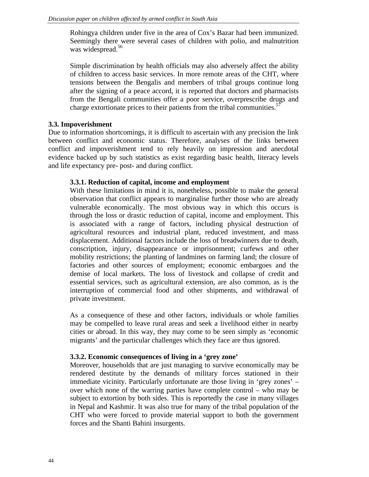Rohingya children under five in the area of Cox's Bazar had been immunized. Seemingly there were several cases of children with polio, and malnutrition was widespread.<sup>56</sup>

Simple discrimination by health officials may also adversely affect the ability of children to access basic services. In more remote areas of the CHT, where tensions between the Bengalis and members of tribal groups continue long after the signing of a peace accord, it is reported that doctors and pharmacists from the Bengali communities offer a poor service, overprescribe drugs and charge extortionate prices to their patients from the tribal communities.<sup>57</sup>

# **3.3. Impoverishment**

Due to information shortcomings, it is difficult to ascertain with any precision the link between conflict and economic status. Therefore, analyses of the links between conflict and impoverishment tend to rely heavily on impression and anecdotal evidence backed up by such statistics as exist regarding basic health, literacy levels and life expectancy pre- post- and during conflict.

## **3.3.1. Reduction of capital, income and employment**

With these limitations in mind it is, nonetheless, possible to make the general observation that conflict appears to marginalise further those who are already vulnerable economically. The most obvious way in which this occurs is through the loss or drastic reduction of capital, income and employment. This is associated with a range of factors, including physical destruction of agricultural resources and industrial plant, reduced investment, and mass displacement. Additional factors include the loss of breadwinners due to death, conscription, injury, disappearance or imprisonment; curfews and other mobility restrictions; the planting of landmines on farming land; the closure of factories and other sources of employment; economic embargoes and the demise of local markets. The loss of livestock and collapse of credit and essential services, such as agricultural extension, are also common, as is the interruption of commercial food and other shipments, and withdrawal of private investment.

As a consequence of these and other factors, individuals or whole families may be compelled to leave rural areas and seek a livelihood either in nearby cities or abroad. In this way, they may come to be seen simply as 'economic migrants' and the particular challenges which they face are thus ignored.

## **3.3.2. Economic consequences of living in a 'grey zone'**

Moreover, households that are just managing to survive economically may be rendered destitute by the demands of military forces stationed in their immediate vicinity. Particularly unfortunate are those living in 'grey zones' – over which none of the warring parties have complete control – who may be subject to extortion by both sides. This is reportedly the case in many villages in Nepal and Kashmir. It was also true for many of the tribal population of the CHT who were forced to provide material support to both the government forces and the Shanti Bahini insurgents.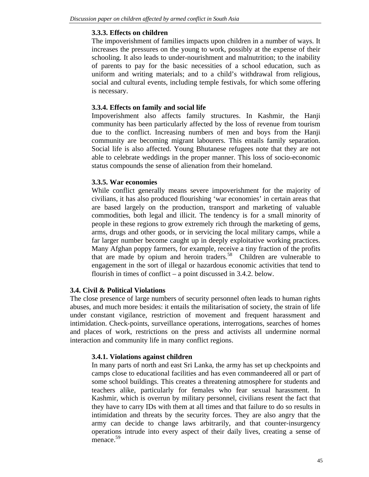#### **3.3.3. Effects on children**

The impoverishment of families impacts upon children in a number of ways. It increases the pressures on the young to work, possibly at the expense of their schooling. It also leads to under-nourishment and malnutrition; to the inability of parents to pay for the basic necessities of a school education, such as uniform and writing materials; and to a child's withdrawal from religious, social and cultural events, including temple festivals, for which some offering is necessary.

#### **3.3.4. Effects on family and social life**

Impoverishment also affects family structures. In Kashmir, the Hanji community has been particularly affected by the loss of revenue from tourism due to the conflict. Increasing numbers of men and boys from the Hanji community are becoming migrant labourers. This entails family separation. Social life is also affected. Young Bhutanese refugees note that they are not able to celebrate weddings in the proper manner. This loss of socio-economic status compounds the sense of alienation from their homeland.

#### **3.3.5. War economies**

While conflict generally means severe impoverishment for the majority of civilians, it has also produced flourishing 'war economies' in certain areas that are based largely on the production, transport and marketing of valuable commodities, both legal and illicit. The tendency is for a small minority of people in these regions to grow extremely rich through the marketing of gems, arms, drugs and other goods, or in servicing the local military camps, while a far larger number become caught up in deeply exploitative working practices. Many Afghan poppy farmers, for example, receive a tiny fraction of the profits that are made by opium and heroin traders.<sup>58</sup> Children are vulnerable to engagement in the sort of illegal or hazardous economic activities that tend to flourish in times of conflict – a point discussed in 3.4.2. below.

## **3.4. Civil & Political Violations**

The close presence of large numbers of security personnel often leads to human rights abuses, and much more besides: it entails the militarisation of society, the strain of life under constant vigilance, restriction of movement and frequent harassment and intimidation. Check-points, surveillance operations, interrogations, searches of homes and places of work, restrictions on the press and activists all undermine normal interaction and community life in many conflict regions.

#### **3.4.1. Violations against children**

In many parts of north and east Sri Lanka, the army has set up checkpoints and camps close to educational facilities and has even commandeered all or part of some school buildings. This creates a threatening atmosphere for students and teachers alike, particularly for females who fear sexual harassment. In Kashmir, which is overrun by military personnel, civilians resent the fact that they have to carry IDs with them at all times and that failure to do so results in intimidation and threats by the security forces. They are also angry that the army can decide to change laws arbitrarily, and that counter-insurgency operations intrude into every aspect of their daily lives, creating a sense of menace.<sup>59</sup>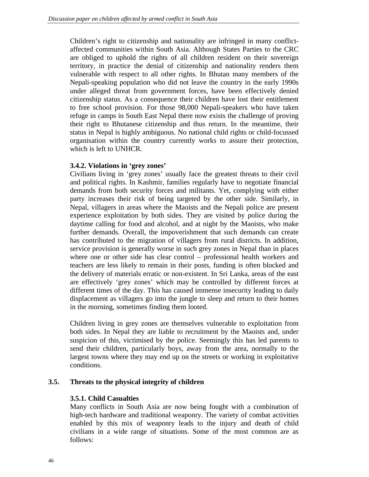Children's right to citizenship and nationality are infringed in many conflictaffected communities within South Asia. Although States Parties to the CRC are obliged to uphold the rights of all children resident on their sovereign territory, in practice the denial of citizenship and nationality renders them vulnerable with respect to all other rights. In Bhutan many members of the Nepali-speaking population who did not leave the country in the early 1990s under alleged threat from government forces, have been effectively denied citizenship status. As a consequence their children have lost their entitlement to free school provision. For those 98,000 Nepali-speakers who have taken refuge in camps in South East Nepal there now exists the challenge of proving their right to Bhutanese citizenship and thus return. In the meantime, their status in Nepal is highly ambiguous. No national child rights or child-focussed organisation within the country currently works to assure their protection, which is left to UNHCR.

#### **3.4.2. Violations in 'grey zones'**

Civilians living in 'grey zones' usually face the greatest threats to their civil and political rights. In Kashmir, families regularly have to negotiate financial demands from both security forces and militants. Yet, complying with either party increases their risk of being targeted by the other side. Similarly, in Nepal, villagers in areas where the Maoists and the Nepali police are present experience exploitation by both sides. They are visited by police during the daytime calling for food and alcohol, and at night by the Maoists, who make further demands. Overall, the impoverishment that such demands can create has contributed to the migration of villagers from rural districts. In addition, service provision is generally worse in such grey zones in Nepal than in places where one or other side has clear control – professional health workers and teachers are less likely to remain in their posts, funding is often blocked and the delivery of materials erratic or non-existent. In Sri Lanka, areas of the east are effectively 'grey zones' which may be controlled by different forces at different times of the day. This has caused immense insecurity leading to daily displacement as villagers go into the jungle to sleep and return to their homes in the morning, sometimes finding them looted.

Children living in grey zones are themselves vulnerable to exploitation from both sides. In Nepal they are liable to recruitment by the Maoists and, under suspicion of this, victimised by the police. Seemingly this has led parents to send their children, particularly boys, away from the area, normally to the largest towns where they may end up on the streets or working in exploitative conditions.

## **3.5. Threats to the physical integrity of children**

## **3.5.1. Child Casualties**

Many conflicts in South Asia are now being fought with a combination of high-tech hardware and traditional weaponry. The variety of combat activities enabled by this mix of weaponry leads to the injury and death of child civilians in a wide range of situations. Some of the most common are as follows: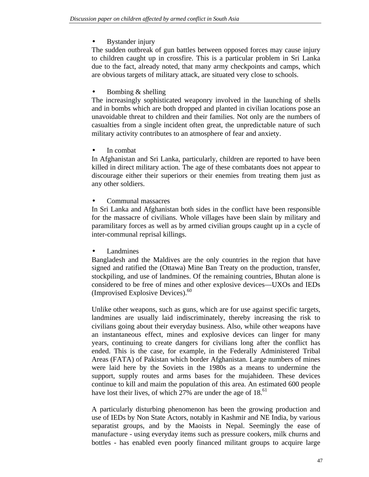• Bystander injury

The sudden outbreak of gun battles between opposed forces may cause injury to children caught up in crossfire. This is a particular problem in Sri Lanka due to the fact, already noted, that many army checkpoints and camps, which are obvious targets of military attack, are situated very close to schools.

# • Bombing & shelling

The increasingly sophisticated weaponry involved in the launching of shells and in bombs which are both dropped and planted in civilian locations pose an unavoidable threat to children and their families. Not only are the numbers of casualties from a single incident often great, the unpredictable nature of such military activity contributes to an atmosphere of fear and anxiety.

In combat

In Afghanistan and Sri Lanka, particularly, children are reported to have been killed in direct military action. The age of these combatants does not appear to discourage either their superiors or their enemies from treating them just as any other soldiers.

• Communal massacres

In Sri Lanka and Afghanistan both sides in the conflict have been responsible for the massacre of civilians. Whole villages have been slain by military and paramilitary forces as well as by armed civilian groups caught up in a cycle of inter-communal reprisal killings.

**Landmines** 

Bangladesh and the Maldives are the only countries in the region that have signed and ratified the (Ottawa) Mine Ban Treaty on the production, transfer, stockpiling, and use of landmines. Of the remaining countries, Bhutan alone is considered to be free of mines and other explosive devices—UXOs and IEDs (Improvised Explosive Devices).<sup>60</sup>

Unlike other weapons, such as guns, which are for use against specific targets, landmines are usually laid indiscriminately, thereby increasing the risk to civilians going about their everyday business. Also, while other weapons have an instantaneous effect, mines and explosive devices can linger for many years, continuing to create dangers for civilians long after the conflict has ended. This is the case, for example, in the Federally Administered Tribal Areas (FATA) of Pakistan which border Afghanistan. Large numbers of mines were laid here by the Soviets in the 1980s as a means to undermine the support, supply routes and arms bases for the mujahideen. These devices continue to kill and maim the population of this area. An estimated 600 people have lost their lives, of which  $27\%$  are under the age of 18.<sup>61</sup>

A particularly disturbing phenomenon has been the growing production and use of IEDs by Non State Actors, notably in Kashmir and NE India, by various separatist groups, and by the Maoists in Nepal. Seemingly the ease of manufacture - using everyday items such as pressure cookers, milk churns and bottles - has enabled even poorly financed militant groups to acquire large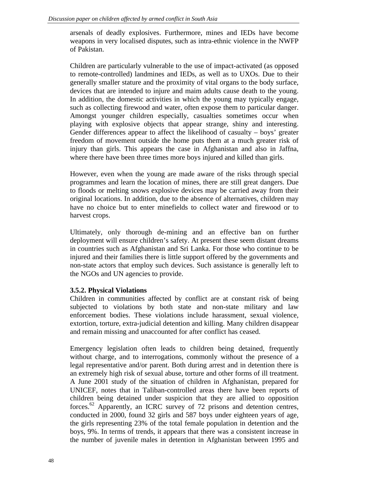arsenals of deadly explosives. Furthermore, mines and IEDs have become weapons in very localised disputes, such as intra-ethnic violence in the NWFP of Pakistan.

Children are particularly vulnerable to the use of impact-activated (as opposed to remote-controlled) landmines and IEDs, as well as to UXOs. Due to their generally smaller stature and the proximity of vital organs to the body surface, devices that are intended to injure and maim adults cause death to the young. In addition, the domestic activities in which the young may typically engage, such as collecting firewood and water, often expose them to particular danger. Amongst younger children especially, casualties sometimes occur when playing with explosive objects that appear strange, shiny and interesting. Gender differences appear to affect the likelihood of casualty – boys' greater freedom of movement outside the home puts them at a much greater risk of injury than girls. This appears the case in Afghanistan and also in Jaffna, where there have been three times more boys injured and killed than girls.

However, even when the young are made aware of the risks through special programmes and learn the location of mines, there are still great dangers. Due to floods or melting snows explosive devices may be carried away from their original locations. In addition, due to the absence of alternatives, children may have no choice but to enter minefields to collect water and firewood or to harvest crops.

Ultimately, only thorough de-mining and an effective ban on further deployment will ensure children's safety. At present these seem distant dreams in countries such as Afghanistan and Sri Lanka. For those who continue to be injured and their families there is little support offered by the governments and non-state actors that employ such devices. Such assistance is generally left to the NGOs and UN agencies to provide.

#### **3.5.2. Physical Violations**

Children in communities affected by conflict are at constant risk of being subjected to violations by both state and non-state military and law enforcement bodies. These violations include harassment, sexual violence, extortion, torture, extra-judicial detention and killing. Many children disappear and remain missing and unaccounted for after conflict has ceased.

Emergency legislation often leads to children being detained, frequently without charge, and to interrogations, commonly without the presence of a legal representative and/or parent. Both during arrest and in detention there is an extremely high risk of sexual abuse, torture and other forms of ill treatment. A June 2001 study of the situation of children in Afghanistan, prepared for UNICEF, notes that in Taliban-controlled areas there have been reports of children being detained under suspicion that they are allied to opposition forces.<sup>62</sup> Apparently, an ICRC survey of 72 prisons and detention centres, conducted in 2000, found 32 girls and 587 boys under eighteen years of age, the girls representing 23% of the total female population in detention and the boys, 9%. In terms of trends, it appears that there was a consistent increase in the number of juvenile males in detention in Afghanistan between 1995 and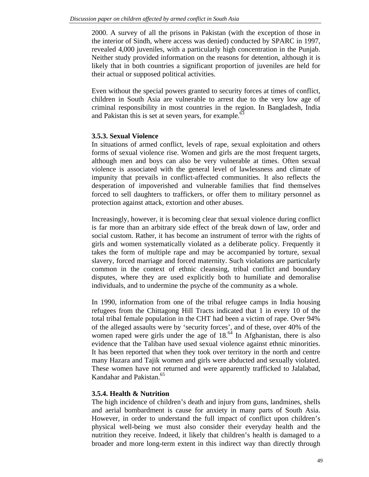2000. A survey of all the prisons in Pakistan (with the exception of those in the interior of Sindh, where access was denied) conducted by SPARC in 1997, revealed 4,000 juveniles, with a particularly high concentration in the Punjab. Neither study provided information on the reasons for detention, although it is likely that in both countries a significant proportion of juveniles are held for their actual or supposed political activities.

Even without the special powers granted to security forces at times of conflict, children in South Asia are vulnerable to arrest due to the very low age of criminal responsibility in most countries in the region. In Bangladesh, India and Pakistan this is set at seven years, for example.<sup>63</sup>

#### **3.5.3. Sexual Violence**

In situations of armed conflict, levels of rape, sexual exploitation and others forms of sexual violence rise. Women and girls are the most frequent targets, although men and boys can also be very vulnerable at times. Often sexual violence is associated with the general level of lawlessness and climate of impunity that prevails in conflict-affected communities. It also reflects the desperation of impoverished and vulnerable families that find themselves forced to sell daughters to traffickers, or offer them to military personnel as protection against attack, extortion and other abuses.

Increasingly, however, it is becoming clear that sexual violence during conflict is far more than an arbitrary side effect of the break down of law, order and social custom. Rather, it has become an instrument of terror with the rights of girls and women systematically violated as a deliberate policy. Frequently it takes the form of multiple rape and may be accompanied by torture, sexual slavery, forced marriage and forced maternity. Such violations are particularly common in the context of ethnic cleansing, tribal conflict and boundary disputes, where they are used explicitly both to humiliate and demoralise individuals, and to undermine the psyche of the community as a whole.

In 1990, information from one of the tribal refugee camps in India housing refugees from the Chittagong Hill Tracts indicated that 1 in every 10 of the total tribal female population in the CHT had been a victim of rape. Over 94% of the alleged assaults were by 'security forces', and of these, over 40% of the women raped were girls under the age of 18.<sup>64</sup> In Afghanistan, there is also evidence that the Taliban have used sexual violence against ethnic minorities. It has been reported that when they took over territory in the north and centre many Hazara and Tajik women and girls were abducted and sexually violated. These women have not returned and were apparently trafficked to Jalalabad, Kandahar and Pakistan.<sup>65</sup>

## **3.5.4. Health & Nutrition**

The high incidence of children's death and injury from guns, landmines, shells and aerial bombardment is cause for anxiety in many parts of South Asia. However, in order to understand the full impact of conflict upon children's physical well-being we must also consider their everyday health and the nutrition they receive. Indeed, it likely that children's health is damaged to a broader and more long-term extent in this indirect way than directly through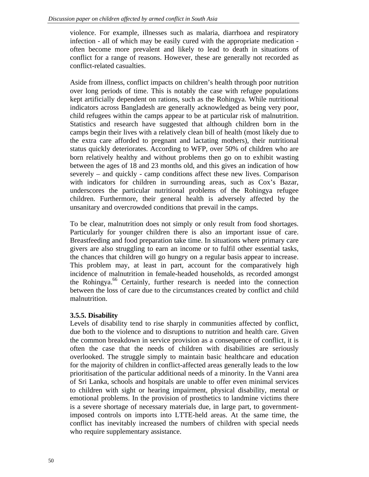violence. For example, illnesses such as malaria, diarrhoea and respiratory infection - all of which may be easily cured with the appropriate medication often become more prevalent and likely to lead to death in situations of conflict for a range of reasons. However, these are generally not recorded as conflict-related casualties.

Aside from illness, conflict impacts on children's health through poor nutrition over long periods of time. This is notably the case with refugee populations kept artificially dependent on rations, such as the Rohingya. While nutritional indicators across Bangladesh are generally acknowledged as being very poor, child refugees within the camps appear to be at particular risk of malnutrition. Statistics and research have suggested that although children born in the camps begin their lives with a relatively clean bill of health (most likely due to the extra care afforded to pregnant and lactating mothers), their nutritional status quickly deteriorates. According to WFP, over 50% of children who are born relatively healthy and without problems then go on to exhibit wasting between the ages of 18 and 23 months old, and this gives an indication of how severely – and quickly - camp conditions affect these new lives. Comparison with indicators for children in surrounding areas, such as Cox's Bazar, underscores the particular nutritional problems of the Rohingya refugee children. Furthermore, their general health is adversely affected by the unsanitary and overcrowded conditions that prevail in the camps.

To be clear, malnutrition does not simply or only result from food shortages. Particularly for younger children there is also an important issue of care. Breastfeeding and food preparation take time. In situations where primary care givers are also struggling to earn an income or to fulfil other essential tasks, the chances that children will go hungry on a regular basis appear to increase. This problem may, at least in part, account for the comparatively high incidence of malnutrition in female-headed households, as recorded amongst the Rohingya.<sup>66</sup> Certainly, further research is needed into the connection between the loss of care due to the circumstances created by conflict and child malnutrition.

## **3.5.5. Disability**

Levels of disability tend to rise sharply in communities affected by conflict, due both to the violence and to disruptions to nutrition and health care. Given the common breakdown in service provision as a consequence of conflict, it is often the case that the needs of children with disabilities are seriously overlooked. The struggle simply to maintain basic healthcare and education for the majority of children in conflict-affected areas generally leads to the low prioritisation of the particular additional needs of a minority. In the Vanni area of Sri Lanka, schools and hospitals are unable to offer even minimal services to children with sight or hearing impairment, physical disability, mental or emotional problems. In the provision of prosthetics to landmine victims there is a severe shortage of necessary materials due, in large part, to governmentimposed controls on imports into LTTE-held areas. At the same time, the conflict has inevitably increased the numbers of children with special needs who require supplementary assistance.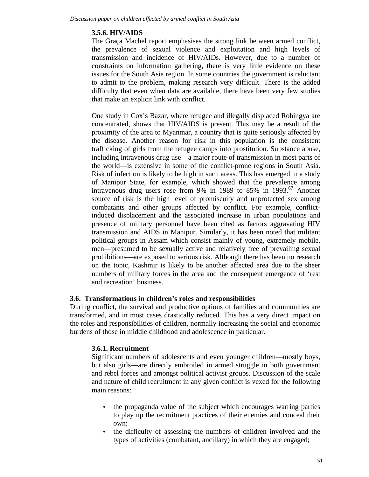# **3.5.6. HIV/AIDS**

The Graça Machel report emphasises the strong link between armed conflict, the prevalence of sexual violence and exploitation and high levels of transmission and incidence of HIV/AIDs. However, due to a number of constraints on information gathering, there is very little evidence on these issues for the South Asia region. In some countries the government is reluctant to admit to the problem, making research very difficult. There is the added difficulty that even when data are available, there have been very few studies that make an explicit link with conflict.

One study in Cox's Bazar, where refugee and illegally displaced Rohingya are concentrated, shows that HIV/AIDS is present. This may be a result of the proximity of the area to Myanmar, a country that is quite seriously affected by the disease. Another reason for risk in this population is the consistent trafficking of girls from the refugee camps into prostitution. Substance abuse, including intravenous drug use—a major route of transmission in most parts of the world—is extensive in some of the conflict-prone regions in South Asia. Risk of infection is likely to be high in such areas. This has emerged in a study of Manipur State, for example, which showed that the prevalence among intravenous drug users rose from 9% in 1989 to 85% in 1993.<sup>67</sup> Another source of risk is the high level of promiscuity and unprotected sex among combatants and other groups affected by conflict. For example, conflictinduced displacement and the associated increase in urban populations and presence of military personnel have been cited as factors aggravating HIV transmission and AIDS in Manipur. Similarly, it has been noted that militant political groups in Assam which consist mainly of young, extremely mobile, men—presumed to be sexually active and relatively free of prevailing sexual prohibitions—are exposed to serious risk. Although there has been no research on the topic, Kashmir is likely to be another affected area due to the sheer numbers of military forces in the area and the consequent emergence of 'rest and recreation' business.

## **3.6. Transformations in children's roles and responsibilities**

During conflict, the survival and productive options of families and communities are transformed, and in most cases drastically reduced. This has a very direct impact on the roles and responsibilities of children, normally increasing the social and economic burdens of those in middle childhood and adolescence in particular.

## **3.6.1. Recruitment**

Significant numbers of adolescents and even younger children—mostly boys, but also girls—are directly embroiled in armed struggle in both government and rebel forces and amongst political activist groups. Discussion of the scale and nature of child recruitment in any given conflict is vexed for the following main reasons:

- the propaganda value of the subject which encourages warring parties to play up the recruitment practices of their enemies and conceal their own;
- the difficulty of assessing the numbers of children involved and the types of activities (combatant, ancillary) in which they are engaged;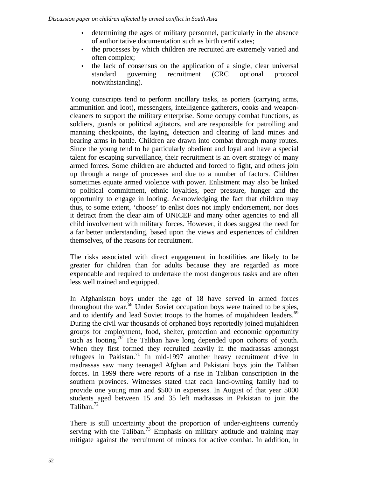- determining the ages of military personnel, particularly in the absence of authoritative documentation such as birth certificates;
- the processes by which children are recruited are extremely varied and often complex;
- the lack of consensus on the application of a single, clear universal standard governing recruitment (CRC optional protocol notwithstanding).

Young conscripts tend to perform ancillary tasks, as porters (carrying arms, ammunition and loot), messengers, intelligence gatherers, cooks and weaponcleaners to support the military enterprise. Some occupy combat functions, as soldiers, guards or political agitators, and are responsible for patrolling and manning checkpoints, the laying, detection and clearing of land mines and bearing arms in battle. Children are drawn into combat through many routes. Since the young tend to be particularly obedient and loyal and have a special talent for escaping surveillance, their recruitment is an overt strategy of many armed forces. Some children are abducted and forced to fight, and others join up through a range of processes and due to a number of factors. Children sometimes equate armed violence with power. Enlistment may also be linked to political commitment, ethnic loyalties, peer pressure, hunger and the opportunity to engage in looting. Acknowledging the fact that children may thus, to some extent, 'choose' to enlist does not imply endorsement, nor does it detract from the clear aim of UNICEF and many other agencies to end all child involvement with military forces. However, it does suggest the need for a far better understanding, based upon the views and experiences of children themselves, of the reasons for recruitment.

The risks associated with direct engagement in hostilities are likely to be greater for children than for adults because they are regarded as more expendable and required to undertake the most dangerous tasks and are often less well trained and equipped.

In Afghanistan boys under the age of 18 have served in armed forces throughout the war.<sup>68</sup> Under Soviet occupation boys were trained to be spies, and to identify and lead Soviet troops to the homes of mujahideen leaders.<sup>69</sup> During the civil war thousands of orphaned boys reportedly joined mujahideen groups for employment, food, shelter, protection and economic opportunity such as looting.<sup>70</sup> The Taliban have long depended upon cohorts of youth. When they first formed they recruited heavily in the madrassas amongst refugees in Pakistan.<sup>71</sup> In mid-1997 another heavy recruitment drive in madrassas saw many teenaged Afghan and Pakistani boys join the Taliban forces. In 1999 there were reports of a rise in Taliban conscription in the southern provinces. Witnesses stated that each land-owning family had to provide one young man and \$500 in expenses. In August of that year 5000 students aged between 15 and 35 left madrassas in Pakistan to join the Taliban. $^{72}$ 

There is still uncertainty about the proportion of under-eighteens currently serving with the Taliban.<sup>73</sup> Emphasis on military aptitude and training may mitigate against the recruitment of minors for active combat. In addition, in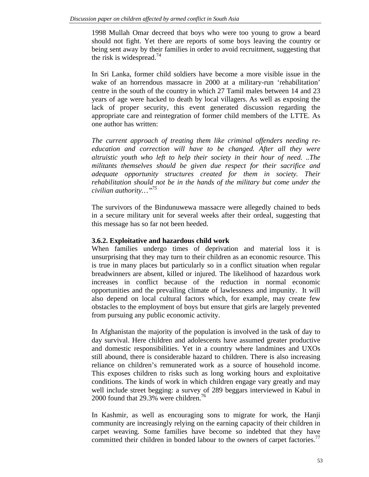1998 Mullah Omar decreed that boys who were too young to grow a beard should not fight. Yet there are reports of some boys leaving the country or being sent away by their families in order to avoid recruitment, suggesting that the risk is widespread.<sup>74</sup>

In Sri Lanka, former child soldiers have become a more visible issue in the wake of an horrendous massacre in 2000 at a military-run 'rehabilitation' centre in the south of the country in which 27 Tamil males between 14 and 23 years of age were hacked to death by local villagers. As well as exposing the lack of proper security, this event generated discussion regarding the appropriate care and reintegration of former child members of the LTTE. As one author has written:

*The current approach of treating them like criminal offenders needing reeducation and correction will have to be changed. After all they were altruistic youth who left to help their society in their hour of need. ..The militants themselves should be given due respect for their sacrifice and adequate opportunity structures created for them in society. Their rehabilitation should not be in the hands of the military but come under the civilian authority…"<sup>75</sup>*

The survivors of the Bindunuwewa massacre were allegedly chained to beds in a secure military unit for several weeks after their ordeal, suggesting that this message has so far not been heeded.

#### **3.6.2. Exploitative and hazardous child work**

When families undergo times of deprivation and material loss it is unsurprising that they may turn to their children as an economic resource. This is true in many places but particularly so in a conflict situation when regular breadwinners are absent, killed or injured. The likelihood of hazardous work increases in conflict because of the reduction in normal economic opportunities and the prevailing climate of lawlessness and impunity. It will also depend on local cultural factors which, for example, may create few obstacles to the employment of boys but ensure that girls are largely prevented from pursuing any public economic activity.

In Afghanistan the majority of the population is involved in the task of day to day survival. Here children and adolescents have assumed greater productive and domestic responsibilities. Yet in a country where landmines and UXOs still abound, there is considerable hazard to children. There is also increasing reliance on children's remunerated work as a source of household income. This exposes children to risks such as long working hours and exploitative conditions. The kinds of work in which children engage vary greatly and may well include street begging: a survey of 289 beggars interviewed in Kabul in 2000 found that  $29.3\%$  were children.<sup>76</sup>

In Kashmir, as well as encouraging sons to migrate for work, the Hanji community are increasingly relying on the earning capacity of their children in carpet weaving. Some families have become so indebted that they have committed their children in bonded labour to the owners of carpet factories.<sup>77</sup>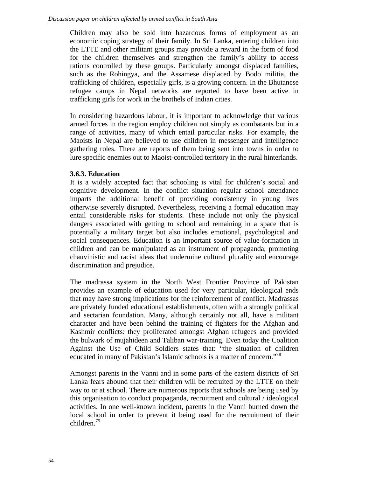Children may also be sold into hazardous forms of employment as an economic coping strategy of their family. In Sri Lanka, entering children into the LTTE and other militant groups may provide a reward in the form of food for the children themselves and strengthen the family's ability to access rations controlled by these groups. Particularly amongst displaced families, such as the Rohingya, and the Assamese displaced by Bodo militia, the trafficking of children, especially girls, is a growing concern. In the Bhutanese refugee camps in Nepal networks are reported to have been active in trafficking girls for work in the brothels of Indian cities.

In considering hazardous labour, it is important to acknowledge that various armed forces in the region employ children not simply as combatants but in a range of activities, many of which entail particular risks. For example, the Maoists in Nepal are believed to use children in messenger and intelligence gathering roles. There are reports of them being sent into towns in order to lure specific enemies out to Maoist-controlled territory in the rural hinterlands.

# **3.6.3. Education**

It is a widely accepted fact that schooling is vital for children's social and cognitive development. In the conflict situation regular school attendance imparts the additional benefit of providing consistency in young lives otherwise severely disrupted. Nevertheless, receiving a formal education may entail considerable risks for students. These include not only the physical dangers associated with getting to school and remaining in a space that is potentially a military target but also includes emotional, psychological and social consequences. Education is an important source of value-formation in children and can be manipulated as an instrument of propaganda, promoting chauvinistic and racist ideas that undermine cultural plurality and encourage discrimination and prejudice.

The madrassa system in the North West Frontier Province of Pakistan provides an example of education used for very particular, ideological ends that may have strong implications for the reinforcement of conflict. Madrassas are privately funded educational establishments, often with a strongly political and sectarian foundation. Many, although certainly not all, have a militant character and have been behind the training of fighters for the Afghan and Kashmir conflicts: they proliferated amongst Afghan refugees and provided the bulwark of mujahideen and Taliban war-training. Even today the Coalition Against the Use of Child Soldiers states that: "the situation of children educated in many of Pakistan's Islamic schools is a matter of concern."<sup>78</sup>

Amongst parents in the Vanni and in some parts of the eastern districts of Sri Lanka fears abound that their children will be recruited by the LTTE on their way to or at school. There are numerous reports that schools are being used by this organisation to conduct propaganda, recruitment and cultural / ideological activities. In one well-known incident, parents in the Vanni burned down the local school in order to prevent it being used for the recruitment of their children.<sup>79</sup>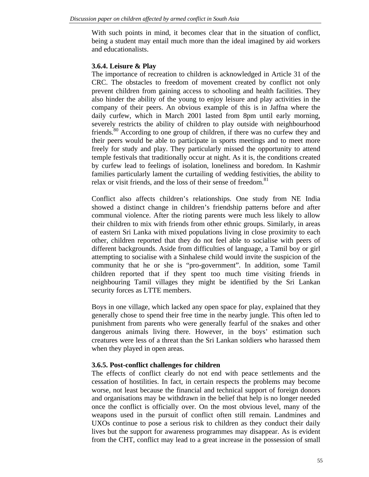With such points in mind, it becomes clear that in the situation of conflict, being a student may entail much more than the ideal imagined by aid workers and educationalists.

#### **3.6.4. Leisure & Play**

The importance of recreation to children is acknowledged in Article 31 of the CRC. The obstacles to freedom of movement created by conflict not only prevent children from gaining access to schooling and health facilities. They also hinder the ability of the young to enjoy leisure and play activities in the company of their peers. An obvious example of this is in Jaffna where the daily curfew, which in March 2001 lasted from 8pm until early morning, severely restricts the ability of children to play outside with neighbourhood friends.<sup>80</sup> According to one group of children, if there was no curfew they and their peers would be able to participate in sports meetings and to meet more freely for study and play. They particularly missed the opportunity to attend temple festivals that traditionally occur at night. As it is, the conditions created by curfew lead to feelings of isolation, loneliness and boredom. In Kashmir families particularly lament the curtailing of wedding festivities, the ability to relax or visit friends, and the loss of their sense of freedom.<sup>81</sup>

Conflict also affects children's relationships. One study from NE India showed a distinct change in children's friendship patterns before and after communal violence. After the rioting parents were much less likely to allow their children to mix with friends from other ethnic groups. Similarly, in areas of eastern Sri Lanka with mixed populations living in close proximity to each other, children reported that they do not feel able to socialise with peers of different backgrounds. Aside from difficulties of language, a Tamil boy or girl attempting to socialise with a Sinhalese child would invite the suspicion of the community that he or she is "pro-government". In addition, some Tamil children reported that if they spent too much time visiting friends in neighbouring Tamil villages they might be identified by the Sri Lankan security forces as LTTE members.

Boys in one village, which lacked any open space for play, explained that they generally chose to spend their free time in the nearby jungle. This often led to punishment from parents who were generally fearful of the snakes and other dangerous animals living there. However, in the boys' estimation such creatures were less of a threat than the Sri Lankan soldiers who harassed them when they played in open areas.

#### **3.6.5. Post-conflict challenges for children**

The effects of conflict clearly do not end with peace settlements and the cessation of hostilities. In fact, in certain respects the problems may become worse, not least because the financial and technical support of foreign donors and organisations may be withdrawn in the belief that help is no longer needed once the conflict is officially over. On the most obvious level, many of the weapons used in the pursuit of conflict often still remain. Landmines and UXOs continue to pose a serious risk to children as they conduct their daily lives but the support for awareness programmes may disappear. As is evident from the CHT, conflict may lead to a great increase in the possession of small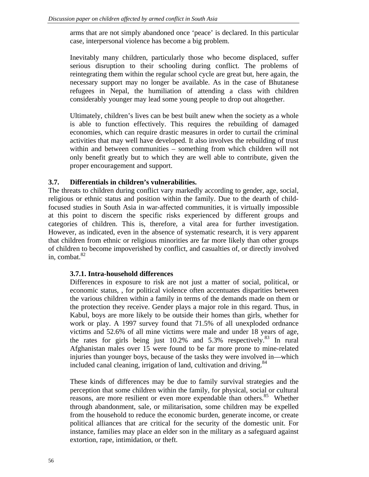arms that are not simply abandoned once 'peace' is declared. In this particular case, interpersonal violence has become a big problem.

Inevitably many children, particularly those who become displaced, suffer serious disruption to their schooling during conflict. The problems of reintegrating them within the regular school cycle are great but, here again, the necessary support may no longer be available. As in the case of Bhutanese refugees in Nepal, the humiliation of attending a class with children considerably younger may lead some young people to drop out altogether.

Ultimately, children's lives can be best built anew when the society as a whole is able to function effectively. This requires the rebuilding of damaged economies, which can require drastic measures in order to curtail the criminal activities that may well have developed. It also involves the rebuilding of trust within and between communities – something from which children will not only benefit greatly but to which they are well able to contribute, given the proper encouragement and support.

# **3.7. Differentials in children's vulnerabilities.**

The threats to children during conflict vary markedly according to gender, age, social, religious or ethnic status and position within the family. Due to the dearth of childfocused studies in South Asia in war-affected communities, it is virtually impossible at this point to discern the specific risks experienced by different groups and categories of children. This is, therefore, a vital area for further investigation. However, as indicated, even in the absence of systematic research, it is very apparent that children from ethnic or religious minorities are far more likely than other groups of children to become impoverished by conflict, and casualties of, or directly involved in, combat. $82$ 

## **3.7.1. Intra-household differences**

Differences in exposure to risk are not just a matter of social, political, or economic status, , for political violence often accentuates disparities between the various children within a family in terms of the demands made on them or the protection they receive. Gender plays a major role in this regard. Thus, in Kabul, boys are more likely to be outside their homes than girls, whether for work or play. A 1997 survey found that 71.5% of all unexploded ordnance victims and 52.6% of all mine victims were male and under 18 years of age, the rates for girls being just  $10.2\%$  and  $5.3\%$  respectively.<sup>83</sup> In rural Afghanistan males over 15 were found to be far more prone to mine-related injuries than younger boys, because of the tasks they were involved in—which included canal cleaning, irrigation of land, cultivation and driving.  $84$ 

These kinds of differences may be due to family survival strategies and the perception that some children within the family, for physical, social or cultural reasons, are more resilient or even more expendable than others.<sup>85</sup> Whether through abandonment, sale, or militarisation, some children may be expelled from the household to reduce the economic burden, generate income, or create political alliances that are critical for the security of the domestic unit. For instance, families may place an elder son in the military as a safeguard against extortion, rape, intimidation, or theft.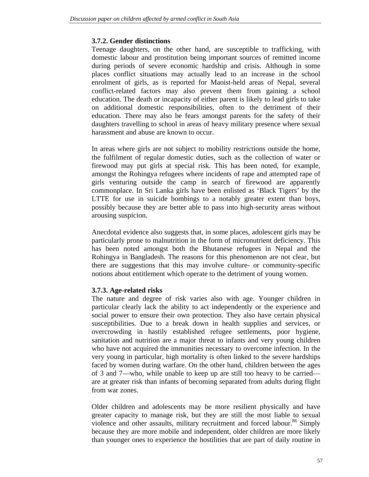#### **3.7.2. Gender distinctions**

Teenage daughters, on the other hand, are susceptible to trafficking, with domestic labour and prostitution being important sources of remitted income during periods of severe economic hardship and crisis. Although in some places conflict situations may actually lead to an increase in the school enrolment of girls, as is reported for Maoist-held areas of Nepal, several conflict-related factors may also prevent them from gaining a school education. The death or incapacity of either parent is likely to lead girls to take on additional domestic responsibilities, often to the detriment of their education. There may also be fears amongst parents for the safety of their daughters travelling to school in areas of heavy military presence where sexual harassment and abuse are known to occur.

In areas where girls are not subject to mobility restrictions outside the home, the fulfilment of regular domestic duties, such as the collection of water or firewood may put girls at special risk. This has been noted, for example, amongst the Rohingya refugees where incidents of rape and attempted rape of girls venturing outside the camp in search of firewood are apparently commonplace. In Sri Lanka girls have been enlisted as 'Black Tigers' by the LTTE for use in suicide bombings to a notably greater extent than boys, possibly because they are better able to pass into high-security areas without arousing suspicion.

Anecdotal evidence also suggests that, in some places, adolescent girls may be particularly prone to malnutrition in the form of micronutrient deficiency. This has been noted amongst both the Bhutanese refugees in Nepal and the Rohingya in Bangladesh. The reasons for this phenomenon are not clear, but there are suggestions that this may involve culture- or community-specific notions about entitlement which operate to the detriment of young women.

## **3.7.3. Age-related risks**

The nature and degree of risk varies also with age. Younger children in particular clearly lack the ability to act independently or the experience and social power to ensure their own protection. They also have certain physical susceptibilities. Due to a break down in health supplies and services, or overcrowding in hastily established refugee settlements, poor hygiene, sanitation and nutrition are a major threat to infants and very young children who have not acquired the immunities necessary to overcome infection. In the very young in particular, high mortality is often linked to the severe hardships faced by women during warfare. On the other hand, children between the ages of 3 and 7—who, while unable to keep up are still too heavy to be carried are at greater risk than infants of becoming separated from adults during flight from war zones.

Older children and adolescents may be more resilient physically and have greater capacity to manage risk, but they are still the most liable to sexual violence and other assaults, military recruitment and forced labour.<sup>86</sup> Simply because they are more mobile and independent, older children are more likely than younger ones to experience the hostilities that are part of daily routine in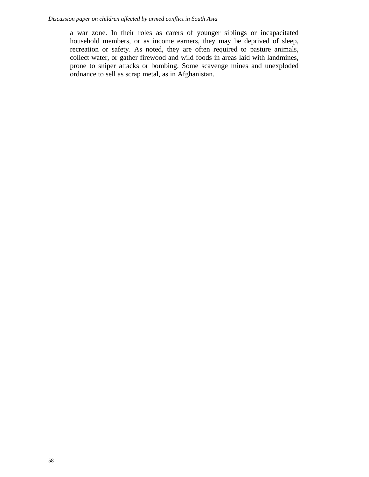a war zone. In their roles as carers of younger siblings or incapacitated household members, or as income earners, they may be deprived of sleep, recreation or safety. As noted, they are often required to pasture animals, collect water, or gather firewood and wild foods in areas laid with landmines, prone to sniper attacks or bombing. Some scavenge mines and unexploded ordnance to sell as scrap metal, as in Afghanistan.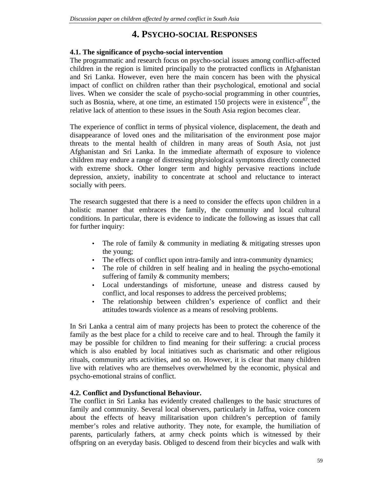# **4. PSYCHO-SOCIAL RESPONSES**

# **4.1. The significance of psycho-social intervention**

The programmatic and research focus on psycho-social issues among conflict-affected children in the region is limited principally to the protracted conflicts in Afghanistan and Sri Lanka. However, even here the main concern has been with the physical impact of conflict on children rather than their psychological, emotional and social lives. When we consider the scale of psycho-social programming in other countries, such as Bosnia, where, at one time, an estimated 150 projects were in existence $^{87}$ , the relative lack of attention to these issues in the South Asia region becomes clear.

The experience of conflict in terms of physical violence, displacement, the death and disappearance of loved ones and the militarisation of the environment pose major threats to the mental health of children in many areas of South Asia, not just Afghanistan and Sri Lanka. In the immediate aftermath of exposure to violence children may endure a range of distressing physiological symptoms directly connected with extreme shock. Other longer term and highly pervasive reactions include depression, anxiety, inability to concentrate at school and reluctance to interact socially with peers.

The research suggested that there is a need to consider the effects upon children in a holistic manner that embraces the family, the community and local cultural conditions. In particular, there is evidence to indicate the following as issues that call for further inquiry:

- The role of family & community in mediating & mitigating stresses upon the young;
- The effects of conflict upon intra-family and intra-community dynamics;
- The role of children in self healing and in healing the psycho-emotional suffering of family & community members;
- Local understandings of misfortune, unease and distress caused by conflict, and local responses to address the perceived problems;
- The relationship between children's experience of conflict and their attitudes towards violence as a means of resolving problems.

In Sri Lanka a central aim of many projects has been to protect the coherence of the family as the best place for a child to receive care and to heal. Through the family it may be possible for children to find meaning for their suffering: a crucial process which is also enabled by local initiatives such as charismatic and other religious rituals, community arts activities, and so on. However, it is clear that many children live with relatives who are themselves overwhelmed by the economic, physical and psycho-emotional strains of conflict.

# **4.2. Conflict and Dysfunctional Behaviour.**

The conflict in Sri Lanka has evidently created challenges to the basic structures of family and community. Several local observers, particularly in Jaffna, voice concern about the effects of heavy militarisation upon children's perception of family member's roles and relative authority. They note, for example, the humiliation of parents, particularly fathers, at army check points which is witnessed by their offspring on an everyday basis. Obliged to descend from their bicycles and walk with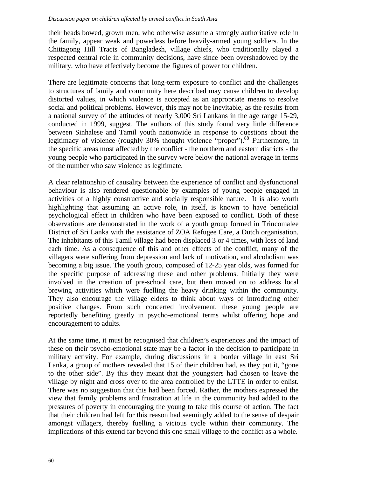their heads bowed, grown men, who otherwise assume a strongly authoritative role in the family, appear weak and powerless before heavily-armed young soldiers. In the Chittagong Hill Tracts of Bangladesh, village chiefs, who traditionally played a respected central role in community decisions, have since been overshadowed by the military, who have effectively become the figures of power for children.

There are legitimate concerns that long-term exposure to conflict and the challenges to structures of family and community here described may cause children to develop distorted values, in which violence is accepted as an appropriate means to resolve social and political problems. However, this may not be inevitable, as the results from a national survey of the attitudes of nearly 3,000 Sri Lankans in the age range 15-29, conducted in 1999, suggest. The authors of this study found very little difference between Sinhalese and Tamil youth nationwide in response to questions about the legitimacy of violence (roughly 30% thought violence "proper").<sup>88</sup> Furthermore, in the specific areas most affected by the conflict - the northern and eastern districts - the young people who participated in the survey were below the national average in terms of the number who saw violence as legitimate.

A clear relationship of causality between the experience of conflict and dysfunctional behaviour is also rendered questionable by examples of young people engaged in activities of a highly constructive and socially responsible nature. It is also worth highlighting that assuming an active role, in itself, is known to have beneficial psychological effect in children who have been exposed to conflict. Both of these observations are demonstrated in the work of a youth group formed in Trincomalee District of Sri Lanka with the assistance of ZOA Refugee Care, a Dutch organisation. The inhabitants of this Tamil village had been displaced 3 or 4 times, with loss of land each time. As a consequence of this and other effects of the conflict, many of the villagers were suffering from depression and lack of motivation, and alcoholism was becoming a big issue. The youth group, composed of 12-25 year olds, was formed for the specific purpose of addressing these and other problems. Initially they were involved in the creation of pre-school care, but then moved on to address local brewing activities which were fuelling the heavy drinking within the community. They also encourage the village elders to think about ways of introducing other positive changes. From such concerted involvement, these young people are reportedly benefiting greatly in psycho-emotional terms whilst offering hope and encouragement to adults.

At the same time, it must be recognised that children's experiences and the impact of these on their psycho-emotional state may be a factor in the decision to participate in military activity. For example, during discussions in a border village in east Sri Lanka, a group of mothers revealed that 15 of their children had, as they put it, "gone to the other side". By this they meant that the youngsters had chosen to leave the village by night and cross over to the area controlled by the LTTE in order to enlist. There was no suggestion that this had been forced. Rather, the mothers expressed the view that family problems and frustration at life in the community had added to the pressures of poverty in encouraging the young to take this course of action. The fact that their children had left for this reason had seemingly added to the sense of despair amongst villagers, thereby fuelling a vicious cycle within their community. The implications of this extend far beyond this one small village to the conflict as a whole.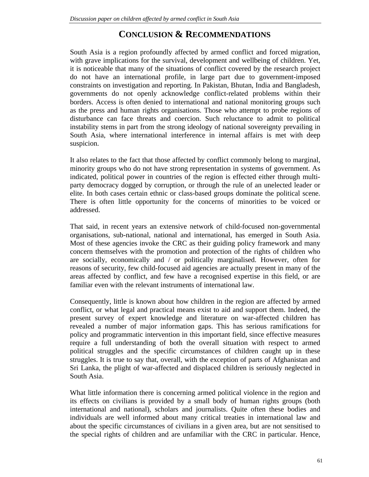# **CONCLUSION & RECOMMENDATIONS**

South Asia is a region profoundly affected by armed conflict and forced migration, with grave implications for the survival, development and wellbeing of children. Yet, it is noticeable that many of the situations of conflict covered by the research project do not have an international profile, in large part due to government-imposed constraints on investigation and reporting. In Pakistan, Bhutan, India and Bangladesh, governments do not openly acknowledge conflict-related problems within their borders. Access is often denied to international and national monitoring groups such as the press and human rights organisations. Those who attempt to probe regions of disturbance can face threats and coercion. Such reluctance to admit to political instability stems in part from the strong ideology of national sovereignty prevailing in South Asia, where international interference in internal affairs is met with deep suspicion.

It also relates to the fact that those affected by conflict commonly belong to marginal, minority groups who do not have strong representation in systems of government. As indicated, political power in countries of the region is effected either through multiparty democracy dogged by corruption, or through the rule of an unelected leader or elite. In both cases certain ethnic or class-based groups dominate the political scene. There is often little opportunity for the concerns of minorities to be voiced or addressed.

That said, in recent years an extensive network of child-focused non-governmental organisations, sub-national, national and international, has emerged in South Asia. Most of these agencies invoke the CRC as their guiding policy framework and many concern themselves with the promotion and protection of the rights of children who are socially, economically and / or politically marginalised. However, often for reasons of security, few child-focused aid agencies are actually present in many of the areas affected by conflict, and few have a recognised expertise in this field, or are familiar even with the relevant instruments of international law.

Consequently, little is known about how children in the region are affected by armed conflict, or what legal and practical means exist to aid and support them. Indeed, the present survey of expert knowledge and literature on war-affected children has revealed a number of major information gaps. This has serious ramifications for policy and programmatic intervention in this important field, since effective measures require a full understanding of both the overall situation with respect to armed political struggles and the specific circumstances of children caught up in these struggles. It is true to say that, overall, with the exception of parts of Afghanistan and Sri Lanka, the plight of war-affected and displaced children is seriously neglected in South Asia.

What little information there is concerning armed political violence in the region and its effects on civilians is provided by a small body of human rights groups (both international and national), scholars and journalists. Quite often these bodies and individuals are well informed about many critical treaties in international law and about the specific circumstances of civilians in a given area, but are not sensitised to the special rights of children and are unfamiliar with the CRC in particular. Hence,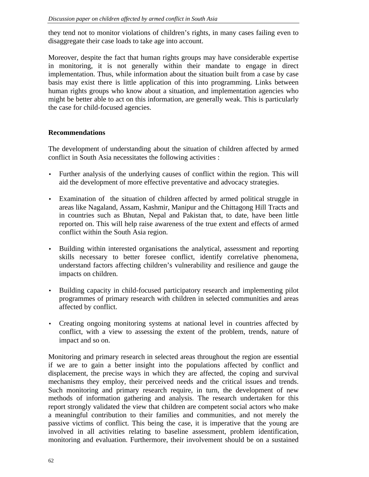they tend not to monitor violations of children's rights, in many cases failing even to disaggregate their case loads to take age into account.

Moreover, despite the fact that human rights groups may have considerable expertise in monitoring, it is not generally within their mandate to engage in direct implementation. Thus, while information about the situation built from a case by case basis may exist there is little application of this into programming. Links between human rights groups who know about a situation, and implementation agencies who might be better able to act on this information, are generally weak. This is particularly the case for child-focused agencies.

## **Recommendations**

The development of understanding about the situation of children affected by armed conflict in South Asia necessitates the following activities :

- Further analysis of the underlying causes of conflict within the region. This will aid the development of more effective preventative and advocacy strategies.
- Examination of the situation of children affected by armed political struggle in areas like Nagaland, Assam, Kashmir, Manipur and the Chittagong Hill Tracts and in countries such as Bhutan, Nepal and Pakistan that, to date, have been little reported on. This will help raise awareness of the true extent and effects of armed conflict within the South Asia region.
- Building within interested organisations the analytical, assessment and reporting skills necessary to better foresee conflict, identify correlative phenomena, understand factors affecting children's vulnerability and resilience and gauge the impacts on children.
- Building capacity in child-focused participatory research and implementing pilot programmes of primary research with children in selected communities and areas affected by conflict.
- Creating ongoing monitoring systems at national level in countries affected by conflict, with a view to assessing the extent of the problem, trends, nature of impact and so on.

Monitoring and primary research in selected areas throughout the region are essential if we are to gain a better insight into the populations affected by conflict and displacement, the precise ways in which they are affected, the coping and survival mechanisms they employ, their perceived needs and the critical issues and trends. Such monitoring and primary research require, in turn, the development of new methods of information gathering and analysis. The research undertaken for this report strongly validated the view that children are competent social actors who make a meaningful contribution to their families and communities, and not merely the passive victims of conflict. This being the case, it is imperative that the young are involved in all activities relating to baseline assessment, problem identification, monitoring and evaluation. Furthermore, their involvement should be on a sustained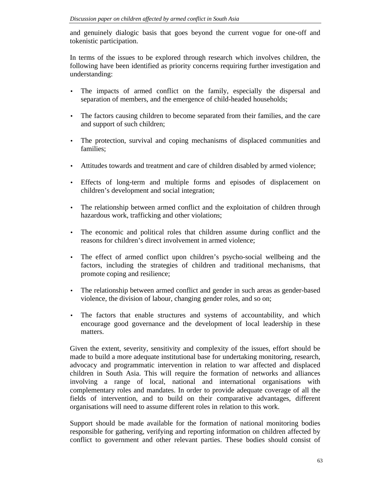and genuinely dialogic basis that goes beyond the current vogue for one-off and tokenistic participation.

In terms of the issues to be explored through research which involves children, the following have been identified as priority concerns requiring further investigation and understanding:

- The impacts of armed conflict on the family, especially the dispersal and separation of members, and the emergence of child-headed households;
- The factors causing children to become separated from their families, and the care and support of such children;
- The protection, survival and coping mechanisms of displaced communities and families;
- Attitudes towards and treatment and care of children disabled by armed violence;
- Effects of long-term and multiple forms and episodes of displacement on children's development and social integration;
- The relationship between armed conflict and the exploitation of children through hazardous work, trafficking and other violations;
- The economic and political roles that children assume during conflict and the reasons for children's direct involvement in armed violence;
- The effect of armed conflict upon children's psycho-social wellbeing and the factors, including the strategies of children and traditional mechanisms, that promote coping and resilience;
- The relationship between armed conflict and gender in such areas as gender-based violence, the division of labour, changing gender roles, and so on;
- The factors that enable structures and systems of accountability, and which encourage good governance and the development of local leadership in these matters.

Given the extent, severity, sensitivity and complexity of the issues, effort should be made to build a more adequate institutional base for undertaking monitoring, research, advocacy and programmatic intervention in relation to war affected and displaced children in South Asia. This will require the formation of networks and alliances involving a range of local, national and international organisations with complementary roles and mandates. In order to provide adequate coverage of all the fields of intervention, and to build on their comparative advantages, different organisations will need to assume different roles in relation to this work.

Support should be made available for the formation of national monitoring bodies responsible for gathering, verifying and reporting information on children affected by conflict to government and other relevant parties. These bodies should consist of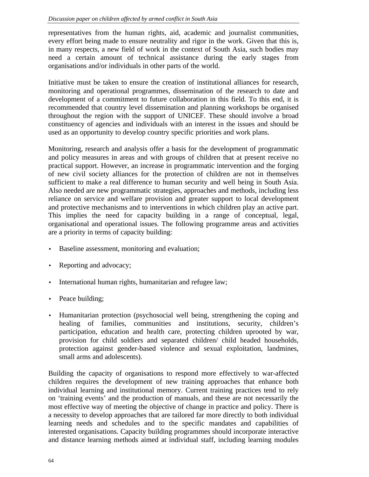representatives from the human rights, aid, academic and journalist communities, every effort being made to ensure neutrality and rigor in the work. Given that this is, in many respects, a new field of work in the context of South Asia, such bodies may need a certain amount of technical assistance during the early stages from organisations and/or individuals in other parts of the world.

Initiative must be taken to ensure the creation of institutional alliances for research, monitoring and operational programmes, dissemination of the research to date and development of a commitment to future collaboration in this field. To this end, it is recommended that country level dissemination and planning workshops be organised throughout the region with the support of UNICEF. These should involve a broad constituency of agencies and individuals with an interest in the issues and should be used as an opportunity to develop country specific priorities and work plans.

Monitoring, research and analysis offer a basis for the development of programmatic and policy measures in areas and with groups of children that at present receive no practical support. However, an increase in programmatic intervention and the forging of new civil society alliances for the protection of children are not in themselves sufficient to make a real difference to human security and well being in South Asia. Also needed are new programmatic strategies, approaches and methods, including less reliance on service and welfare provision and greater support to local development and protective mechanisms and to interventions in which children play an active part. This implies the need for capacity building in a range of conceptual, legal, organisational and operational issues. The following programme areas and activities are a priority in terms of capacity building:

- Baseline assessment, monitoring and evaluation;
- Reporting and advocacy;
- International human rights, humanitarian and refugee law;
- Peace building;
- Humanitarian protection (psychosocial well being, strengthening the coping and healing of families, communities and institutions, security, children's participation, education and health care, protecting children uprooted by war, provision for child soldiers and separated children/ child headed households, protection against gender-based violence and sexual exploitation, landmines, small arms and adolescents).

Building the capacity of organisations to respond more effectively to war-affected children requires the development of new training approaches that enhance both individual learning and institutional memory. Current training practices tend to rely on 'training events' and the production of manuals, and these are not necessarily the most effective way of meeting the objective of change in practice and policy. There is a necessity to develop approaches that are tailored far more directly to both individual learning needs and schedules and to the specific mandates and capabilities of interested organisations. Capacity building programmes should incorporate interactive and distance learning methods aimed at individual staff, including learning modules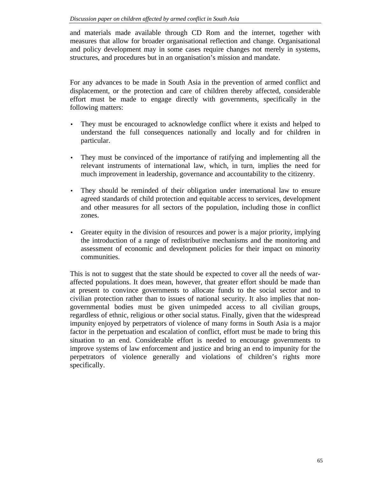and materials made available through CD Rom and the internet, together with measures that allow for broader organisational reflection and change. Organisational and policy development may in some cases require changes not merely in systems, structures, and procedures but in an organisation's mission and mandate.

For any advances to be made in South Asia in the prevention of armed conflict and displacement, or the protection and care of children thereby affected, considerable effort must be made to engage directly with governments, specifically in the following matters:

- They must be encouraged to acknowledge conflict where it exists and helped to understand the full consequences nationally and locally and for children in particular.
- They must be convinced of the importance of ratifying and implementing all the relevant instruments of international law, which, in turn, implies the need for much improvement in leadership, governance and accountability to the citizenry.
- They should be reminded of their obligation under international law to ensure agreed standards of child protection and equitable access to services, development and other measures for all sectors of the population, including those in conflict zones.
- Greater equity in the division of resources and power is a major priority, implying the introduction of a range of redistributive mechanisms and the monitoring and assessment of economic and development policies for their impact on minority communities.

This is not to suggest that the state should be expected to cover all the needs of waraffected populations. It does mean, however, that greater effort should be made than at present to convince governments to allocate funds to the social sector and to civilian protection rather than to issues of national security. It also implies that nongovernmental bodies must be given unimpeded access to all civilian groups, regardless of ethnic, religious or other social status. Finally, given that the widespread impunity enjoyed by perpetrators of violence of many forms in South Asia is a major factor in the perpetuation and escalation of conflict, effort must be made to bring this situation to an end. Considerable effort is needed to encourage governments to improve systems of law enforcement and justice and bring an end to impunity for the perpetrators of violence generally and violations of children's rights more specifically.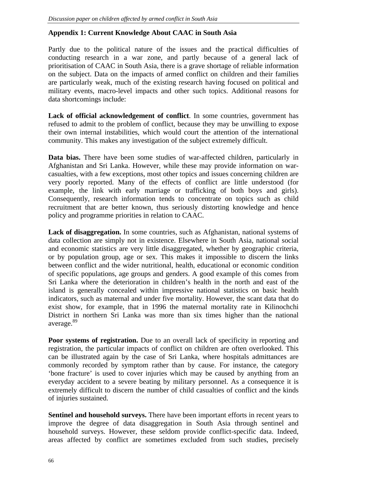## **Appendix 1: Current Knowledge About CAAC in South Asia**

Partly due to the political nature of the issues and the practical difficulties of conducting research in a war zone, and partly because of a general lack of prioritisation of CAAC in South Asia, there is a grave shortage of reliable information on the subject. Data on the impacts of armed conflict on children and their families are particularly weak, much of the existing research having focused on political and military events, macro-level impacts and other such topics. Additional reasons for data shortcomings include:

**Lack of official acknowledgement of conflict**. In some countries, government has refused to admit to the problem of conflict, because they may be unwilling to expose their own internal instabilities, which would court the attention of the international community. This makes any investigation of the subject extremely difficult.

**Data bias.** There have been some studies of war-affected children, particularly in Afghanistan and Sri Lanka. However, while these may provide information on warcasualties, with a few exceptions, most other topics and issues concerning children are very poorly reported. Many of the effects of conflict are little understood (for example, the link with early marriage or trafficking of both boys and girls). Consequently, research information tends to concentrate on topics such as child recruitment that are better known, thus seriously distorting knowledge and hence policy and programme priorities in relation to CAAC.

**Lack of disaggregation.** In some countries, such as Afghanistan, national systems of data collection are simply not in existence. Elsewhere in South Asia, national social and economic statistics are very little disaggregated, whether by geographic criteria, or by population group, age or sex. This makes it impossible to discern the links between conflict and the wider nutritional, health, educational or economic condition of specific populations, age groups and genders. A good example of this comes from Sri Lanka where the deterioration in children's health in the north and east of the island is generally concealed within impressive national statistics on basic health indicators, such as maternal and under five mortality. However, the scant data that do exist show, for example, that in 1996 the maternal mortality rate in Kilinochchi District in northern Sri Lanka was more than six times higher than the national average.<sup>89</sup>

**Poor systems of registration.** Due to an overall lack of specificity in reporting and registration, the particular impacts of conflict on children are often overlooked. This can be illustrated again by the case of Sri Lanka, where hospitals admittances are commonly recorded by symptom rather than by cause. For instance, the category 'bone fracture' is used to cover injuries which may be caused by anything from an everyday accident to a severe beating by military personnel. As a consequence it is extremely difficult to discern the number of child casualties of conflict and the kinds of injuries sustained.

**Sentinel and household surveys.** There have been important efforts in recent years to improve the degree of data disaggregation in South Asia through sentinel and household surveys. However, these seldom provide conflict-specific data. Indeed, areas affected by conflict are sometimes excluded from such studies, precisely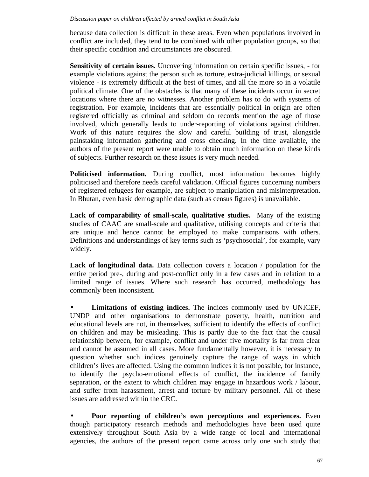because data collection is difficult in these areas. Even when populations involved in conflict are included, they tend to be combined with other population groups, so that their specific condition and circumstances are obscured.

**Sensitivity of certain issues.** Uncovering information on certain specific issues, - for example violations against the person such as torture, extra-judicial killings, or sexual violence - is extremely difficult at the best of times, and all the more so in a volatile political climate. One of the obstacles is that many of these incidents occur in secret locations where there are no witnesses. Another problem has to do with systems of registration. For example, incidents that are essentially political in origin are often registered officially as criminal and seldom do records mention the age of those involved, which generally leads to under-reporting of violations against children. Work of this nature requires the slow and careful building of trust, alongside painstaking information gathering and cross checking. In the time available, the authors of the present report were unable to obtain much information on these kinds of subjects. Further research on these issues is very much needed.

**Politicised information.** During conflict, most information becomes highly politicised and therefore needs careful validation. Official figures concerning numbers of registered refugees for example, are subject to manipulation and misinterpretation. In Bhutan, even basic demographic data (such as census figures) is unavailable.

**Lack of comparability of small-scale, qualitative studies.** Many of the existing studies of CAAC are small-scale and qualitative, utilising concepts and criteria that are unique and hence cannot be employed to make comparisons with others. Definitions and understandings of key terms such as 'psychosocial', for example, vary widely.

**Lack of longitudinal data.** Data collection covers a location / population for the entire period pre-, during and post-conflict only in a few cases and in relation to a limited range of issues. Where such research has occurred, methodology has commonly been inconsistent.

• **Limitations of existing indices.** The indices commonly used by UNICEF, UNDP and other organisations to demonstrate poverty, health, nutrition and educational levels are not, in themselves, sufficient to identify the effects of conflict on children and may be misleading. This is partly due to the fact that the causal relationship between, for example, conflict and under five mortality is far from clear and cannot be assumed in all cases. More fundamentally however, it is necessary to question whether such indices genuinely capture the range of ways in which children's lives are affected. Using the common indices it is not possible, for instance, to identify the psycho-emotional effects of conflict, the incidence of family separation, or the extent to which children may engage in hazardous work / labour, and suffer from harassment, arrest and torture by military personnel. All of these issues are addressed within the CRC.

• **Poor reporting of children's own perceptions and experiences.** Even though participatory research methods and methodologies have been used quite extensively throughout South Asia by a wide range of local and international agencies, the authors of the present report came across only one such study that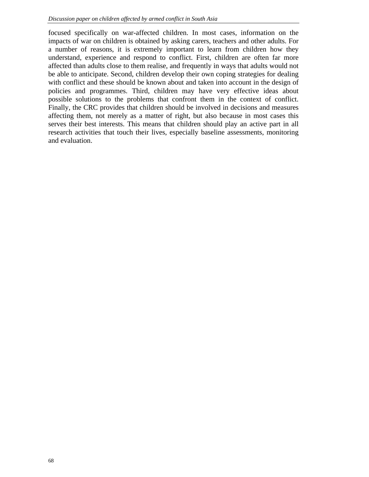focused specifically on war-affected children. In most cases, information on the impacts of war on children is obtained by asking carers, teachers and other adults. For a number of reasons, it is extremely important to learn from children how they understand, experience and respond to conflict. First, children are often far more affected than adults close to them realise, and frequently in ways that adults would not be able to anticipate. Second, children develop their own coping strategies for dealing with conflict and these should be known about and taken into account in the design of policies and programmes. Third, children may have very effective ideas about possible solutions to the problems that confront them in the context of conflict. Finally, the CRC provides that children should be involved in decisions and measures affecting them, not merely as a matter of right, but also because in most cases this serves their best interests. This means that children should play an active part in all research activities that touch their lives, especially baseline assessments, monitoring and evaluation.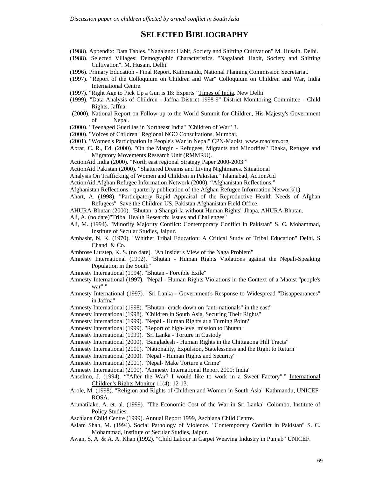#### **SELECTED BIBLIOGRAPHY**

- (1988). Appendix: Data Tables. "Nagaland: Habit, Society and Shifting Cultivation" M. Husain. Delhi.
- (1988). Selected Villages: Demographic Characteristics. "Nagaland: Habit, Society and Shifting Cultivation". M. Husain. Delhi.
- (1996). Primary Education Final Report. Kathmandu, National Planning Commission Secretariat.
- (1997). "Report of the Colloquium on Children and War" Colloquium on Children and War, India International Centre.
- (1997). "Right Age to Pick Up a Gun is 18: Experts" Times of India. New Delhi.
- (1999). "Data Analysis of Children Jaffna District 1998-9" District Monitoring Committee Child Rights, Jaffna.
- (2000). National Report on Follow-up to the World Summit for Children, His Majesty's Government of Nepal.
- (2000). "Teenaged Guerillas in Northeast India" "Children of War" 3.
- (2000). "Voices of Children" Regional NGO Consultations, Mumbai.
- (2001). "Women's Participation in People's War in Nepal" CPN-Maoist. www.maoism.org
- Abrar, C. R., Ed. (2000). "On the Margin Refugees, Migrants and Minorities" Dhaka, Refugee and Migratory Movements Research Unit (RMMRU).
- ActionAid India (2000). "North east regional Strategy Paper 2000-2003."
- ActionAid Pakistan (2000). "Shattered Dreams and Living Nightmares. Situational
- Analysis On Trafficking of Women and Children in Pakistan." Islamabad, ActionAid
- ActionAid.Afghan Refugee Information Network (2000). "Afghanistan Reflections."
- Afghanistan Reflections quarterly publication of the Afghan Refugee Information Network(1).
- Ahart, A. (1998). "Participatory Rapid Appraisal of the Reproductive Health Needs of Afghan Refugees" Save the Children US, Pakistan Afghanistan Field Office.
- AHURA-Bhutan (2000). "Bhutan: a Shangri-la without Human Rights" Jhapa, AHURA-Bhutan.
- Ali, A. (no date)"Tribal Health Research: Issues and Challenges"
- Ali, M. (1994). "Minority Majority Conflict: Contemporary Conflict in Pakistan" S. C. Mohammad, Institute of Secular Studies, Jaipur.
- Ambasht, N. K. (1970). "Whither Tribal Education: A Critical Study of Tribal Education" Delhi, S Chand & Co.
- Ambrose Lurstep, K. S. (no date). "An Insider's View of the Naga Problem"
- Amnesty International (1992). "Bhutan Human Rights Violations against the Nepali-Speaking Population in the South"
- Amnesty International (1994). "Bhutan Forcible Exile"
- Amnesty International (1997). "Nepal Human Rights Violations in the Context of a Maoist ''people's war" "
- Amnesty International (1997). "Sri Lanka Government's Response to Widespread "Disappearances" in Jaffna"
- Amnesty International (1998). "Bhutan- crack-down on "anti-nationals" in the east"
- Amnesty International (1998). "Children in South Asia, Securing Their Rights"
- Amnesty International (1999). "Nepal Human Rights at a Turning Point?"
- Amnesty International (1999). "Report of high-level mission to Bhutan"
- Amnesty International (1999). "Sri Lanka Torture in Custody"
- Amnesty International (2000). "Bangladesh Human Rights in the Chittagong Hill Tracts"
- Amnesty International (2000). "Nationality, Expulsion, Statelessness and the Right to Return"
- Amnesty International (2000). "Nepal Human Rights and Security"
- Amnesty International (2001). "Nepal- Make Torture a Crime"
- Amnesty International (2000). "Amnesty International Report 2000: India"
- Anselmo, J. (1994). ""After the War? I would like to work in a Sweet Factory"." International Children's Rights Monitor 11(4): 12-13.
- Arole, M. (1998). "Religion and Rights of Children and Women in South Asia" Kathmandu, UNICEF-ROSA.
- Arunatilake, A. et. al. (1999). "The Economic Cost of the War in Sri Lanka" Colombo, Institute of Policy Studies.
- Aschiana Child Centre (1999). Annual Report 1999, Aschiana Child Centre.
- Aslam Shah, M. (1994). Social Pathology of Violence. "Contemporary Conflict in Pakistan" S. C. Mohammad, Institute of Secular Studies, Jaipur.
- Awan, S. A. & A. A. Khan (1992). "Child Labour in Carpet Weaving Industry in Punjab" UNICEF.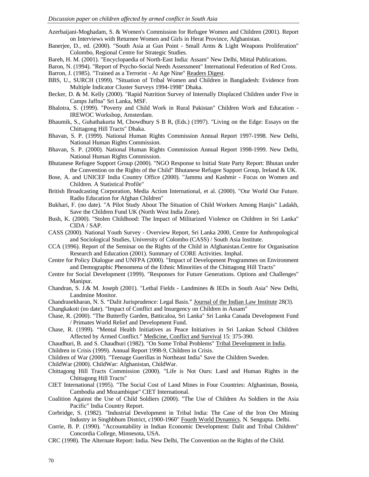Azerbaijani-Moghadam, S. & Women's Commission for Refugee Women and Children (2001). Report on Interviews with Returnee Women and Girls in Herat Province, Afghanistan.

Banerjee, D., ed. (2000). "South Asia at Gun Point - Small Arms & Light Weapons Proliferation" Colombo, Regional Centre for Strategic Studies.

Bareh, H. M. (2001). "Encyclopaedia of North-East India: Assam" New Delhi, Mittal Publications.

Baron, N. (1994). "Report of Psycho-Social Needs Assessment" International Federation of Red Cross.

Barron, J. (1985). "Trained as a Terrorist - At Age Nine" Readers Digest.

- BBS, U., SURCH (1999). "Situation of Tribal Women and Children in Bangladesh: Evidence from Multiple Indicator Cluster Surveys 1994-1998" Dhaka.
- Becker, D. & M. Kelly (2000). "Rapid Nutrition Survey of Internally Displaced Children under Five in Camps Jaffna" Sri Lanka, MSF.
- Bhalotra, S. (1999). "Poverty and Child Work in Rural Pakistan" Children Work and Education IREWOC Workshop, Amsterdam.
- Bhaumik, S., Guhathakurta M, Chowdhury S B R, (Eds.) (1997). "Living on the Edge: Essays on the Chittagong Hill Tracts" Dhaka.
- Bhavan, S. P. (1999). National Human Rights Commission Annual Report 1997-1998. New Delhi, National Human Rights Commission.
- Bhavan, S. P. (2000). National Human Rights Commission Annual Report 1998-1999. New Delhi, National Human Rights Commission.
- Bhutanese Refugee Support Group (2000). "NGO Response to Initial State Party Report: Bhutan under the Convention on the Rights of the Child" Bhutanese Refugee Support Group, Ireland & UK.
- Bose, A. and UNICEF India Country Office (2000). "Jammu and Kashmir Focus on Women and Children. A Statistical Profile"
- British Broadcasting Corporation, Media Action International, et al. (2000). "Our World Our Future. Radio Education for Afghan Children"
- Bukhari, F. (no date). "A Pilot Study About The Situation of Child Workers Among Hanjis" Ladakh, Save the Children Fund UK (North West India Zone).
- Bush, K. (2000). "Stolen Childhood: The Impact of Militarized Violence on Children in Sri Lanka" CIDA / SAP.
- CASS (2000). National Youth Survey Overview Report, Sri Lanka 2000, Centre for Anthropological and Sociological Studies, University of Colombo (CASS) / South Asia Institute.
- CCA (1996). Report of the Seminar on the Rights of the Child in Afghanistan.Centre for Organisation Research and Education (2001). Summary of CORE Activities. Imphal.
- Centre for Policy Dialogue and UNFPA (2000). "Impact of Development Programmes on Environment and Demographic Phenomena of the Ethnic Minorities of the Chittagong Hill Tracts"
- Centre for Social Development (1999). "Responses for Future Generations. Options and Challenges" Manipur.
- Chandran, S. J.& M. Joseph (2001). "Lethal Fields Landmines & IEDs in South Asia" New Delhi, Landmine Monitor.
- Chandrasekharan, N. S. "Dalit Jurisprudence: Legal Basis." Journal of the Indian Law Institute 28(3).

Changkakoti (no date). "Impact of Conflict and Insurgency on Children in Assam"

- Chase, R. (2000). "The Butterfly Garden, Batticaloa, Sri Lanka" Sri Lanka Canada Development Fund / Primates World Relief and Development Fund.
- Chase, R. (1999). "Mental Health Initiatives as Peace Initiatives in Sri Lankan School Children Affected by Armed Conflict." Medicine, Conflict and Survival 15: 375-390.
- Chaudhuri, B. and S. Chaudhuri (1982). "On Some Tribal Problems" Tribal Development in India.
- Children in Crisis (1999). Annual Report 1998-9, Children in Crisis.

Children of War (2000). "Teenage Guerillas in Northeast India" Save the Children Sweden.

ChildWar (2000). ChildWar: Afghanistan, ChildWar.

- Chittagong Hill Tracts Commission (2000). "Life is Not Ours: Land and Human Rights in the Chittagong Hill Tracts"
- CIET International (1995). "The Social Cost of Land Mines in Four Countries: Afghanistan, Bosnia, Cambodia and Mozambique" CIET International.
- Coalition Against the Use of Child Soldiers (2000). "The Use of Children As Soldiers in the Asia Pacific" India Country Report.
- Corbridge, S. (1982). "Industrial Development in Tribal India: The Case of the Iron Ore Mining Industry in Singhbhum District, c1900-1960" Fourth World Dynamics. N. Sengupta. Delhi.
- Corrie, B. P. (1990). "Accountability in Indian Economic Development: Dalit and Tribal Children" Concordia College, Minnesota, USA.
- CRC (1998). The Alternate Report: India. New Delhi, The Convention on the Rights of the Child.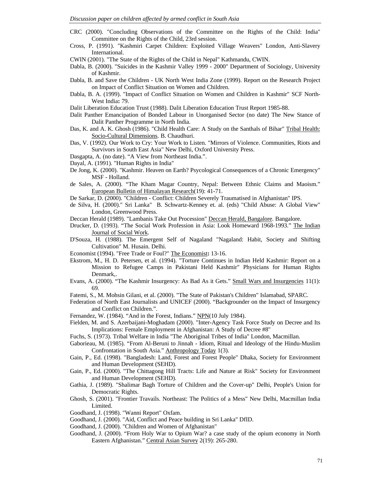- CRC (2000). "Concluding Observations of the Committee on the Rights of the Child: India" Committee on the Rights of the Child, 23rd session.
- Cross, P. (1991). "Kashmiri Carpet Children: Exploited Village Weavers" London, Anti-Slavery International.
- CWIN (2001). "The State of the Rights of the Child in Nepal" Kathmandu, CWIN.
- Dabla, B. (2000). "Suicides in the Kashmir Valley 1999 2000" Department of Sociology, University of Kashmir.
- Dabla, B. and Save the Children UK North West India Zone (1999). Report on the Research Project on Impact of Conflict Situation on Women and Children.
- Dabla, B. A. (1999). "Impact of Conflict Situation on Women and Children in Kashmir" SCF North-West India**:** 79.
- Dalit Liberation Education Trust (1988). Dalit Liberation Education Trust Report 1985-88.
- Dalit Panther Emancipation of Bonded Labour in Unorganised Sector (no date) The New Stance of Dalit Panther Programme in North India.
- Das, K. and A. K. Ghosh (1986). "Child Health Care: A Study on the Santhals of Bihar" Tribal Health: Socio-Cultural Dimensions. B. Chaudhuri.
- Das, V. (1992). Our Work to Cry: Your Work to Listen. "Mirrors of Violence. Communities, Riots and Survivors in South East Asia" New Delhi, Oxford University Press.
- Dasgapta, A. (no date). "A View from Northeast India.".
- Dayal, A. (1991). "Human Rights in India"
- De Jong, K. (2000). "Kashmir. Heaven on Earth? Psycological Consequences of a Chronic Emergency" MSF - Holland.
- de Sales, A. (2000). "The Kham Magar Country, Nepal: Between Ethnic Claims and Maoism." European Bulletin of Himalayan Research(19): 41-71.
- De Sarkar, D. (2000). "Children Conflict: Children Severely Traumatised in Afghanistan" IPS.
- de Silva, H. (2000)." Sri Lanka" B. Schwartz-Kenney et. al. (eds) "Child Abuse: A Global View" London, Greenwood Press.
- Deccan Herald (1989). "Lambanis Take Out Procession" Deccan Herald, Bangalore. Bangalore.
- Drucker, D. (1993). "The Social Work Profession in Asia: Look Homeward 1968-1993." The Indian Journal of Social Work.
- D'Souza, H. (1988). The Emergent Self of Nagaland "Nagaland: Habit, Society and Shifting Cultivation" M. Husain. Delhi.
- Economist (1994). "Free Trade or Foul?" The Economist**:** 13-16.
- Ekstrom, M., H. D. Petersen, et al. (1994). "Torture Continues in Indian Held Kashmir: Report on a Mission to Refugee Camps in Pakistani Held Kashmir" Physicians for Human Rights Denmark,.
- Evans, A. (2000). "The Kashmir Insurgency: As Bad As it Gets." Small Wars and Insurgencies 11(1): 69.
- Fatemi, S., M. Mohsin Gilani, et al. (2000). "The State of Pakistan's Children" Islamabad, SPARC.
- Federation of North East Journalists and UNICEF (2000). "Backgrounder on the Impact of Insurgency and Conflict on Children.".
- Fernandez, W. (1984). "And in the Forest, Indians." NPN(10 July 1984).
- Fielden, M. and S. Azerbaijani-Moghadam (2000). "Inter-Agency Task Force Study on Decree and Its Implications: Female Employment in Afghanistan: A Study of Decree #8"
- Fuchs, S. (1973). Tribal Welfare in India "The Aboriginal Tribes of India" London, Macmillan.
- Gaborieau, M. (1985). "From Al-Beruni to Jinnah Idiom, Ritual and Ideology of the Hindu-Muslim Confrontation in South Asia." Anthropology Today 1(3).
- Gain, P., Ed. (1998). "Bangladesh: Land, Forest and Forest People" Dhaka, Society for Environment and Human Development (SEHD).
- Gain, P., Ed. (2000). "The Chittagong Hill Tracts: Life and Nature at Risk" Society for Environment and Human Development (SEHD).
- Gathia, J. (1989). "Shalimar Bagh Torture of Children and the Cover-up" Delhi, People's Union for Democratic Rights.
- Ghosh, S. (2001). "Frontier Travails. Northeast: The Politics of a Mess" New Delhi, Macmillan India Limited.
- Goodhand, J. (1998). "Wanni Report" Oxfam.
- Goodhand, J. (2000). "Aid, Conflict and Peace building in Sri Lanka" DfID.
- Goodhand, J. (2000). "Children and Women of Afghanistan"
- Goodhand, J. (2000). "From Holy War to Opium War? a case study of the opium economy in North Eastern Afghanistan." Central Asian Survey 2(19): 265-280.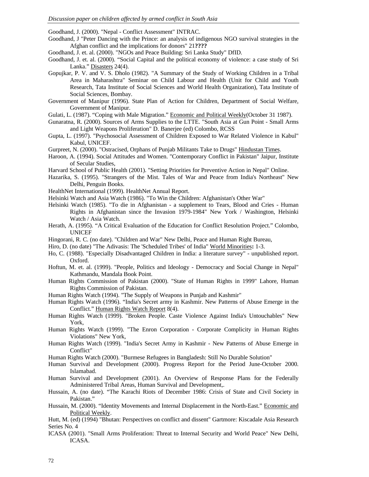Goodhand, J. (2000). "Nepal - Conflict Assessment" INTRAC.

- Goodhand, J "Peter Dancing with the Prince: an analysis of indigenous NGO survival strategies in the Afghan conflict and the implications for donors" 21**????**
- Goodhand, J. et. al. (2000). "NGOs and Peace Building: Sri Lanka Study" DfID.
- Goodhand, J. et. al. (2000). "Social Capital and the political economy of violence: a case study of Sri Lanka." Disasters 24(4).
- Gopujkar, P. V. and V. S. Dholo (1982). "A Summary of the Study of Working Children in a Tribal Area in Maharashtra" Seminar on Child Labour and Health (Unit for Child and Youth Research, Tata Institute of Social Sciences and World Health Organization), Tata Institute of Social Sciences, Bombay.
- Government of Manipur (1996). State Plan of Action for Children, Department of Social Welfare, Government of Manipur.
- Gulati, L. (1987). "Coping with Male Migration." Economic and Political Weekly(October 31 1987).
- Gunaratna, R. (2000). Sources of Arms Supplies to the LTTE. "South Asia at Gun Point Small Arms and Light Weapons Proliferation" D. Banerjee (ed) Colombo, RCSS
- Gupta, L. (1997). "Psychosocial Assessment of Children Exposed to War Related Violence in Kabul" Kabul, UNICEF.
- Gurpreet, N. (2000). "Ostracised, Orphans of Punjab Militants Take to Drugs" Hindustan Times.
- Haroon, A. (1994). Social Attitudes and Women. "Contemporary Conflict in Pakistan" Jaipur, Institute of Secular Studies,
- Harvard School of Public Health (2001). "Setting Priorities for Preventive Action in Nepal" Online.
- Hazarika, S. (1995). "Strangers of the Mist. Tales of War and Peace from India's Northeast" New Delhi, Penguin Books.
- HealthNet International (1999). HealthNet Annual Report.
- Helsinki Watch and Asia Watch (1986). "To Win the Children: Afghanistan's Other War"
- Helsinki Watch (1985). "To die in Afghanistan a supplement to Tears, Blood and Cries Human Rights in Afghanistan since the Invasion 1979-1984" New York / Washington, Helsinki Watch / Asia Watch.
- Herath, A. (1995). "A Critical Evaluation of the Education for Conflict Resolution Project." Colombo, UNICEF
- Hingorani, R. C. (no date). "Children and War" New Delhi, Peace and Human Right Bureau,
- Hiro, D. (no date) "The Adivasis: The 'Scheduled Tribes' of India" World Minorities**:** 1-3.
- Ho, C. (1988). "Especially Disadvantaged Children in India: a literature survey" unpublished report. Oxford.
- Hoftun, M. et. al. (1999). "People, Politics and Ideology Democracy and Social Change in Nepal" Kathmandu, Mandala Book Point.
- Human Rights Commission of Pakistan (2000). "State of Human Rights in 1999" Lahore, Human Rights Commission of Pakistan.
- Human Rights Watch (1994). "The Supply of Weapons in Punjab and Kashmir"
- Human Rights Watch (1996). "India's Secret army in Kashmir. New Patterns of Abuse Emerge in the Conflict." Human Rights Watch Report 8(4).
- Human Rights Watch (1999). "Broken People. Caste Violence Against India's Untouchables" New York,
- Human Rights Watch (1999). "The Enron Corporation Corporate Complicity in Human Rights Violations" New York,
- Human Rights Watch (1999). "India's Secret Army in Kashmir New Patterns of Abuse Emerge in Conflict"
- Human Rights Watch (2000). "Burmese Refugees in Bangladesh: Still No Durable Solution"
- Human Survival and Development (2000). Progress Report for the Period June-October 2000. Islamabad.
- Human Survival and Development (2001). An Overview of Response Plans for the Federally Administered Tribal Areas, Human Survival and Development,.
- Hussain, A. (no date). "The Karachi Riots of December 1986: Crisis of State and Civil Society in Pakistan."
- Hussain, M. (2000). "Identity Movements and Internal Displacement in the North-East." Economic and Political Weekly.
- Hutt, M. (ed) (1994) "Bhutan: Perspectives on conflict and dissent" Gartmore: Kiscadale Asia Research Series No. 4
- ICASA (2001). "Small Arms Proliferation: Threat to Internal Security and World Peace" New Delhi, ICASA.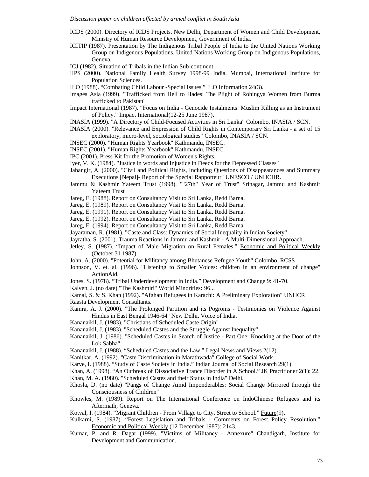- ICDS (2000). Directory of ICDS Projects. New Delhi, Department of Women and Child Development, Ministry of Human Resource Development, Government of India.
- ICITIP (1987). Presentation by The Indigenous Tribal People of India to the United Nations Working Group on Indigenous Populations. United Nations Working Group on Indigenous Populations, Geneva.
- ICJ (1982). Situation of Tribals in the Indian Sub-continent.
- IIPS (2000). National Family Health Survey 1998-99 India. Mumbai, International Institute for Population Sciences.
- ILO (1988). "Combating Child Labour -Special Issues." ILO Information 24(3).
- Images Asia (1999). "Trafficked from Hell to Hades: The Plight of Rohingya Women from Burma trafficked to Pakistan"
- Impact International (1987). "Focus on India Genocide Instalments: Muslim Killing as an Instrument of Policy." Impact International(12-25 June 1987).
- INASIA (1999). "A Directory of Child-Focused Activities in Sri Lanka" Colombo, INASIA / SCN.
- INASIA (2000). "Relevance and Expression of Child Rights in Contemporary Sri Lanka a set of 15 exploratory, micro-level, sociological studies" Colombo, INASIA / SCN.
- INSEC (2000). "Human Rights Yearbook" Kathmandu, INSEC.
- INSEC (2001). "Human Rights Yearbook" Kathmandu, INSEC.
- IPC (2001). Press Kit for the Promotion of Women's Rights.
- Iyer, V. K. (1984). "Justice in words and Injustice in Deeds for the Depressed Classes"
- Jahangir, A. (2000). "Civil and Political Rights, Including Questions of Disappearances and Summary Executions [Nepal]- Report of the Special Rapporteur" UNESCO / UNHCHR.
- Jammu & Kashmir Yateem Trust (1998). ""27th" Year of Trust" Srinagar, Jammu and Kashmir Yateem Trust
- Jareg, E. (1988). Report on Consultancy Visit to Sri Lanka, Redd Barna.
- Jareg, E. (1989). Report on Consultancy Visit to Sri Lanka, Redd Barna.
- Jareg, E. (1991). Report on Consultancy Visit to Sri Lanka, Redd Barna.
- Jareg, E. (1992). Report on Consultancy Visit to Sri Lanka, Redd Barna.
- Jareg, E. (1994). Report on Consultancy Visit to Sri Lanka, Redd Barna.
- Jayaraman, R. (1981). "Caste and Class: Dynamics of Social Inequality in Indian Society"
- Jayratha, S. (2001). Trauma Reactions in Jammu and Kashmir A Multi-Dimensional Approach.
- Jetley, S. (1987). "Impact of Male Migration on Rural Females." Economic and Political Weekly (October 31 1987).
- John, A. (2000). "Potential for Militancy among Bhutanese Refugee Youth" Colombo, RCSS
- Johnson, V. et. al. (1996). "Listening to Smaller Voices: children in an environment of change" ActionAid.
- Jones, S. (1978). "Tribal Underdevelopment in India." Development and Change 9: 41-70.
- Kalven, J. (no date) "The Kashmiri" World Minorities**:** 96...
- Kamal, S. & S. Khan (1992). "Afghan Refugees in Karachi: A Preliminary Exploration" UNHCR Raasta Development Consultants.
- Kamra, A. J. (2000). "The Prolonged Partition and its Pogroms Testimonies on Violence Against Hindus in East Bengal 1946-64" New Delhi, Voice of India.
- Kananaikil, J. (1983). "Christians of Scheduled Caste Origin"
- Kananaikil, J. (1983). "Scheduled Castes and the Struggle Against Inequality"
- Kananaikil, J. (1986). "Scheduled Castes in Search of Justice Part One: Knocking at the Door of the Lok Sabha"
- Kananaikil, J. (1988). "Scheduled Castes and the Law." Legal News and Views 2(12).
- Kanitkar, A. (1992). "Caste Discrimination in Marathwada" College of Social Work.
- Karve, I. (1988). "Study of Caste Society in India." Indian Journal of Social Research 29(1).
- Khan, A. (1998). "An Outbreak of Dissociative Trance Disorder in A School." JK Practitioner 2(1): 22.
- Khan, M. A. (1980). "Scheduled Castes and their Status in India" Delhi.
- Khosla, D. (no date) "Pangs of Change Amid Imponderables: Social Change Mirrored through the Consciousness of Children"
- Knowles, M. (1989). Report on The International Conference on IndoChinese Refugees and its Aftermath, Geneva.
- Kotval, I. (1984). "Migrant Children From Village to City, Street to School." Future(9).
- Kulkarni, S. (1987). "Forest Legislation and Tribals Comments on Forest Policy Resolution." Economic and Political Weekly (12 December 1987): 2143.
- Kumar, P. and R. Dagar (1999). "Victims of Militancy Annexure" Chandigarh, Institute for Development and Communication.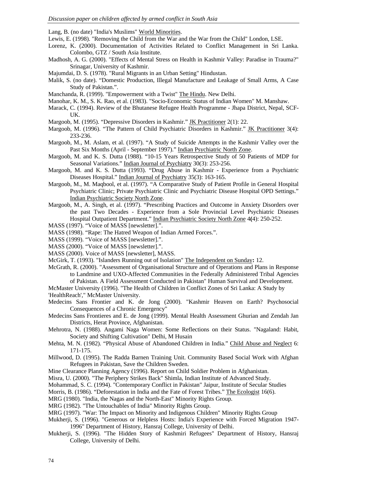Lang, B. (no date) "India's Muslims" World Minorities.

- Lewis, E. (1998). "Removing the Child from the War and the War from the Child" London, LSE.
- Lorenz, K. (2000). Documentation of Activities Related to Conflict Management in Sri Lanka. Colombo, GTZ / South Asia Institute.
- Madhosh, A. G. (2000). "Effects of Mental Stress on Health in Kashmir Valley: Paradise in Trauma?" Srinagar, University of Kashmir.
- Majumdai, D. S. (1978). "Rural Migrants in an Urban Setting" Hindustan.
- Malik, S. (no date). "Domestic Production, Illegal Manufacture and Leakage of Small Arms, A Case Study of Pakistan.".
- Manchanda, R. (1999). "Empowerment with a Twist" The Hindu. New Delhi.
- Manohar, K. M., S. K. Rao, et al. (1983). "Socio-Economic Status of Indian Women" M. Manshaw.
- Marack, C. (1994). Review of the Bhutanese Refugee Health Programme Jhapa District, Nepal, SCF-UK.
- Margoob, M. (1995). "Depressive Disorders in Kashmir." JK Practitioner 2(1): 22.
- Margoob, M. (1996). "The Pattern of Child Psychiatric Disorders in Kashmir." JK Practitioner 3(4): 233-236.
- Margoob, M., M. Aslam, et al. (1997). "A Study of Suicide Attempts in the Kashmir Valley over the Past Six Months (April - September 1997)." Indian Psychiatric North Zone.
- Margoob, M. and K. S. Dutta (1988). "10-15 Years Retrospective Study of 50 Patients of MDP for Seasonal Variations." Indian Journal of Psychiatry 30(3): 253-256.
- Margoob, M. and K. S. Dutta (1993). "Drug Abuse in Kashmir Experience from a Psychiatric Diseases Hospital." Indian Journal of Psychiatry 35(3): 163-165.
- Margoob, M., M. Maqbool, et al. (1997). "A Comparative Study of Patient Profile in General Hospital Psychiatric Clinic; Private Psychiatric Clinic and Psychiatric Disease Hospital OPD Settings." Indian Psychiatric Society North Zone.
- Margoob, M., A. Singh, et al. (1997). "Prescribing Practices and Outcome in Anxiety Disorders over the past Two Decades - Experience from a Sole Provincial Level Psychiatric Diseases Hospital Outpatient Department." Indian Psychiatric Society North Zone 4**(**4): 250-252.
- MASS (1997). "Voice of MASS [newsletter].".
- MASS (1998). "Rape: The Hatred Weapon of Indian Armed Forces.".
- MASS (1999). "Voice of MASS [newsletter].".
- MASS (2000). "Voice of MASS [newsletter].".
- MASS (2000). Voice of MASS [newsletter], MASS.
- McGirk, T. (1993). "Islanders Running out of Isolation" The Independent on Sunday**:** 12.
- McGrath, R. (2000). "Assessment of Organisational Structure and of Operations and Plans in Response to Landmine and UXO-Affected Communities in the Federally Administered Tribal Agencies of Pakistan. A Field Assessment Conducted in Pakistan" Human Survival and Development.
- McMaster University (1996). "The Health of Children in Conflict Zones of Sri Lanka: A Study by 'HealthReach'," McMaster University.
- Medecins Sans Frontier and K. de Jong (2000). "Kashmir Heaven on Earth? Psychosocial Consequences of a Chronic Emergency"
- Medecins Sans Frontieres and E. de Jong (1999). Mental Health Assessment Ghurian and Zendah Jan Districts, Herat Province, Afghanistan.
- Mehrotra, N. (1988). Angami Naga Women: Some Reflections on their Status. "Nagaland: Habit, Society and Shifting Cultivation" Delhi, M Husain
- Mehta, M. N. (1982). "Physical Abuse of Abandoned Children in India." Child Abuse and Neglect 6: 171-175.
- Millwood, D. (1995). The Radda Barnen Training Unit. Community Based Social Work with Afghan Refugees in Pakistan, Save the Children Sweden.
- Mine Clearance Planning Agency (1996). Report on Child Soldier Problem in Afghanistan.
- Misra, U. (2000). "The Periphery Strikes Back" Shimla, Indian Institute of Advanced Study.
- Mohammad, S. C. (1994). "Contemporary Conflict in Pakistan" Jaipur, Institute of Secular Studies
- Morris, B. (1986). "Deforestation in India and the Fate of Forest Tribes." The Ecologist 16(6).
- MRG (1980). "India, the Nagas and the North-East" Minority Rights Group.
- MRG (1982). "The Untouchables of India" Minority Rights Group.
- MRG (1997). "War: The Impact on Minority and Indigenous Children" Minority Rights Group
- Mukherji, S. (1996). "Generous or Helpless Hosts: India's Experience with Forced Migration 1947- 1996" Department of History, Hansraj College, University of Delhi.
- Mukherji, S. (1996). "The Hidden Story of Kashmiri Refugees" Department of History, Hansraj College, University of Delhi.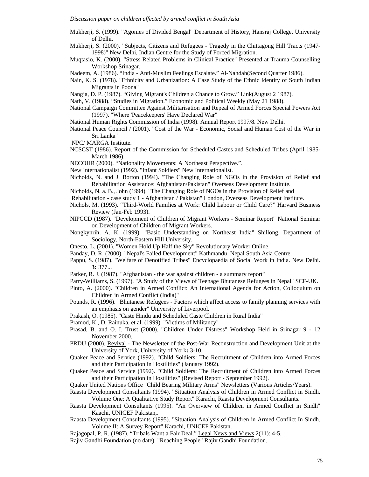Mukherji, S. (1999). "Agonies of Divided Bengal" Department of History, Hansraj College, University of Delhi.

Mukherji, S. (2000). "Subjects, Citizens and Refugees - Tragedy in the Chittagong Hill Tracts (1947- 1998)" New Delhi, Indian Centre for the Study of Forced Migration.

- Muqtasio, K. (2000). "Stress Related Problems in Clinical Practice" Presented at Trauma Counselling Workshop Srinagar.
- Nadeem, A. (1986). "India Anti-Muslim Feelings Escalate." Al-Nahdah(Second Quarter 1986).
- Nain, K. S. (1978). "Ethnicity and Urbanization: A Case Study of the Ethnic Identity of South Indian Migrants in Poona"
- Nangia, D. P. (1987). "Giving Migrant's Children a Chance to Grow." Link(August 2 1987).
- Nath, V. (1988). "Studies in Migration." Economic and Political Weekly (May 21 1988).
- National Campaign Committee Against Militarisation and Repeal of Armed Forces Special Powers Act (1997). "Where 'Peacekeepers' Have Declared War"
- National Human Rights Commission of India (1998). Annual Report 1997/8. New Delhi.
- National Peace Council / (2001). "Cost of the War Economic, Social and Human Cost of the War in Sri Lanka"
- NPC/ MARGA Institute.
- NCSCST (1986). Report of the Commission for Scheduled Castes and Scheduled Tribes (April 1985- March 1986).
- NECOHR (2000). "Nationality Movements: A Northeast Perspective.".
- New Internationalist (1992). "Infant Soldiers" New Internationalist.
- Nicholds, N. and J. Borton (1994). "The Changing Role of NGOs in the Provision of Relief and Rehabilitation Assistance: Afghanistan/Pakistan" Overseas Development Institute.
- Nicholds, N. a. B., John (1994). "The Changing Role of NGOs in the Provision of Relief and
- Rehabilitation case study 1 Afghanistan / Pakistan" London, Overseas Development Institute.
- Nichols, M. (1993). "Third-World Families at Work: Child Labour or Child Care?" Harvard Business Review (Jan-Feb 1993).
- NIPCCD (1987). "Development of Children of Migrant Workers Seminar Report" National Seminar on Development of Children of Migrant Workers.
- Nongkynrih, A. K. (1999). "Basic Understanding on Northeast India" Shillong, Department of Sociology, North-Eastern Hill University.
- Onesto, L. (2001). "Women Hold Up Half the Sky" Revolutionary Worker Online.
- Panday, D. R. (2000). "Nepal's Failed Development" Kathmandu, Nepal South Asia Centre.
- Pappu, S. (1987). "Welfare of Denotified Tribes" Encyclopaedia of Social Work in India. New Delhi. **3:** 377...
- Parker, R. J. (1987). "Afghanistan the war against children a summary report"
- Parry-Williams, S. (1997). "A Study of the Views of Teenage Bhutanese Refugees in Nepal" SCF-UK.
- Pinto, A. (2000). "Children in Armed Conflict: An International Agenda for Action, Colloquium on Children in Armed Conflict (India)"
- Pounds, R. (1996). "Bhutanese Refugees Factors which affect access to family planning services with an emphasis on gender" University of Liverpool.
- Prakash, O. (1985). "Caste Hindu and Scheduled Caste Children in Rural India"
- Pramod, K., D. Rainuka, et al. (1999). "Victims of Militancy"
- Prasad, B. and O. I. Trust (2000). "Children Under Distress" Workshop Held in Srinagar 9 12 November 2000.
- PRDU (2000). Revival The Newsletter of the Post-War Reconstruction and Development Unit at the University of York, University of York**:** 3-10.
- Quaker Peace and Service (1992). "Child Soldiers: The Recruitment of Children into Armed Forces and their Participation in Hostilities" (January 1992).
- Quaker Peace and Service (1992). "Child Soldiers: The Recruitment of Children into Armed Forces and their Participation in Hostilities" (Revised Report - September 1992).
- Quaker United Nations Office "Child Bearing Military Arms" Newsletters (Various Articles/Years).
- Raasta Development Consultants (1994). "Situation Analysis of Children in Armed Conflict in Sindh. Volume One: A Qualitative Study Report" Karachi, Raasta Development Consultants.
- Raasta Development Consultants (1995). "An Overview of Children in Armed Conflict in Sindh" Kaachi, UNICEF Pakistan,.
- Raasta Development Consultants (1995). "Situation Analysis of Children in Armed Conflict In Sindh. Volume II: A Survey Report" Karachi, UNICEF Pakistan.
- Rajagopal, P. R. (1987). "Tribals Want a Fair Deal." Legal News and Views 2(11): 4-5.
- Rajiv Gandhi Foundation (no date). "Reaching People" Rajiv Gandhi Foundation.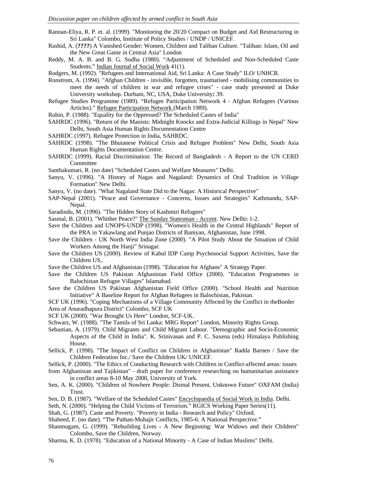- Rannan-Eliya, R. P. et. al. (1999). "Monitoring the 20/20 Compact on Budget and Aid Restructuring in Sri Lanka" Colombo, Institute of Policy Studies / UNDP / UNICEF.
- Rashid, A. (**????**) A Vanished Gender: Women, Children and Taliban Culture. "Taliban: Islam, Oil and the New Great Game in Central Asia" London
- Reddy, M. A. B. and B. G. Sudha (1980). "Adjustment of Scheduled and Non-Scheduled Caste Students." Indian Journal of Social Work 41(1).
- Rodgers, M. (1992). "Refugees and International Aid, Sri Lanka: A Case Study" ILO/ UNHCR.
- Ronstrom, A. (1994). "Afghan Children invisible, forgotten, traumatised mobilising communities to meet the needs of children in war and refugee crises" - case study presented at Duke University workshop. Durham, NC, USA, Duke University**:** 39.
- Refugee Studies Programme (1989). "Refugee Participation Network 4 Afghan Refugees (Various Articles)." Refugee Participation Network (March 1989).
- Rubin, P. (1988). "Equality for the Oppressed? The Scheduled Castes of India"
- SAHRDC (1996). "Return of the Maoists: Midnight Knocks and Extra-Judicial Killings in Nepal" New Delhi, South Asia Human Rights Documentation Centre
- SAHRDC (1997). Refugee Protection in India, SAHRDC.
- SAHRDC (1998). "The Bhutanese Political Crisis and Refugee Problem" New Delhi, South Asia Human Rights Documentation Centre.
- SAHRDC (1999). Racial Discrimination: The Record of Bangladesh A Report to the UN CERD **Committee**
- Santhakumari, R. (no date) "Scheduled Castes and Welfare Measures" Delhi.
- Sanyu, V. (1996). "A History of Nagas and Nagaland: Dynamics of Oral Tradition in Village Formation" New Delhi.
- Sanyu, V. (no date). "What Nagaland State Did to the Nagas: A Historical Perspective"
- SAP-Nepal (2001). "Peace and Governance Concerns, Issues and Strategies" Kathmandu, SAP-Nepal.
- Saradindu, M. (1996). "The Hidden Story of Kashmiri Refugees"
- Sasmal, B. (2001). "Whither Peace?" The Sunday Statesman Accent. New Delhi**:** 1-2.
- Save the Children and UNOPS-UNDP (1998). "Women's Health in the Central Highlands" Report of the PRA in Yakawlang and Punjao Districts of Bamyan, Afghanistan, June 1998.
- Save the Children UK North West India Zone (2000). "A Pilot Study About the Situation of Child Workers Among the Hanii" Srinagar.
- Save the Children US (2000). Review of Kabul IDP Camp Psychosocial Support Activities, Save the Children US,.
- Save the Children US and Afghanistan (1998). "Education for Afghans" A Strategy Paper.
- Save the Children US Pakistan Afghanistan Field Office (2000). "Education Programmes in Balochistan Refugee Villages" Islamabad.
- Save the Children US Pakistan Afghanistan Field Office (2000). "School Health and Nutrition Initiative" A Baseline Report for Afghan Refugees in Balochistan, Pakistan.
- SCF UK (1996). "Coping Mechanisms of a Village Community Affected by the Conflict in theBorder Area of Anuradhapura District" Colombo, SCF UK
- SCF UK (2000). "War Brought Us Here" London, SCF-UK.
- Schwarz, W. (1988). "The Tamils of Sri Lanka: MRG Report" London, Minority Rights Group.
- Sebastian, A. (1979). Child Migrants and Child Migrant Labour. "Demographic and Socio-Economic Aspects of the Child in India". K. Srinivasan and P. C. Saxena (eds) Himalaya Publishing House.
- Sellick, P. (1998). "The Impact of Conflict on Children in Afghanistan" Radda Barnen / Save the Children Federation Inc./ Save the Children UK/ UNICEF.
- Sellick, P. (2000). "The Ethics of Conducting Research with Children in Conflict-affected areas: issues
- from Afghanistan and Tajikistan" draft paper for conference researching on humanitarian assistance in conflict areas 8-10 May 2000, University of York.
- Sen, A. K. (2000). "Children of Nowhere People: Dismal Present, Unknown Future" OXFAM (India) Trust.
- Sen, D. B. (1987). "Welfare of the Scheduled Castes" Encyclopaedia of Social Work in India. Delhi.
- Seth, N. (2000). "Helping the Child Victims of Terrorism." RGICS Working Paper Series(11).
- Shah, G. (1987). Caste and Poverty. "Poverty in India Research and Policy" Oxford.
- Shaheed, F. (no date). "The Pathan-Muhajir Conflicts, 1985-6: A National Perspective."
- Shanmugam, G. (1999). "Rebuilding Lives A New Beginning: War Widows and their Children" Colombo, Save the Children, Norway.
- Sharma, K. D. (1978). "Education of a National Minority A Case of Indian Muslims" Delhi.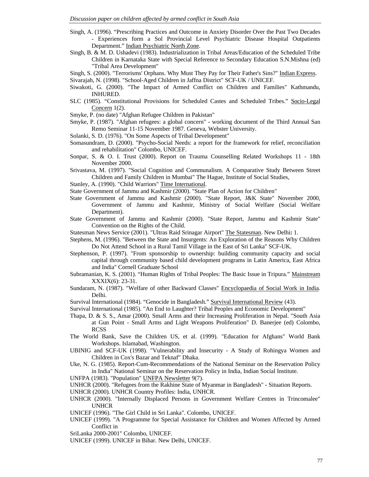- Singh, A. (1996). "Prescribing Practices and Outcome in Anxiety Disorder Over the Past Two Decades - Experiences form a Sol Provincial Level Psychiatric Disease Hospital Outpatients Department." Indian Psychiatric North Zone.
- Singh, B. & M. D. Ushadevi (1983). Industrialization in Tribal Areas/Education of the Scheduled Tribe Children in Karnataka State with Special Reference to Secondary Education S.N.Mishna (ed) "Tribal Area Development"
- Singh, S. (2000). "Terrorisms' Orphans. Why Must They Pay for Their Father's Sins?" Indian Express.
- Sivarajah, N. (1998). "School-Aged Children in Jaffna District" SCF-UK / UNICEF.
- Siwakoti, G. (2000). "The Impact of Armed Conflict on Children and Families" Kathmandu, INHURED.
- SLC (1985). "Constitutional Provisions for Scheduled Castes and Scheduled Tribes." Socio-Legal Concern 1(2).
- Smyke, P. (no date) "Afghan Refugee Children in Pakistan"
- Smyke, P. (1987). "Afghan refugees: a global concern" working document of the Third Annual San Remo Seminar 11-15 November 1987. Geneva, Webster University.
- Solanki, S. D. (1976). "On Some Aspects of Tribal Development"
- Somasundram, D. (2000). "Psycho-Social Needs: a report for the framework for relief, reconciliation and rehabilitation" Colombo, UNICEF.
- Sonpar, S. & O. I. Trust (2000). Report on Trauma Counselling Related Workshops 11 18th November 2000.
- Srivastava, M. (1997). "Social Cognition and Communalism. A Comparative Study Between Street Children and Family Children in Mumbai" The Hague, Institute of Social Studies,
- Stanley, A. (1990). "Child Warriors" Time International.
- State Government of Jammu and Kashmir (2000). "State Plan of Action for Children"
- State Government of Jammu and Kashmir (2000). "State Report, J&K State" November 2000, Government of Jammu and Kashmir, Ministry of Social Welfare (Social Welfare Department).
- State Government of Jammu and Kashmir (2000). "State Report, Jammu and Kashmir State" Convention on the Rights of the Child.
- Statesman News Service (2001). "Ultras Raid Srinagar Airport" The Statesman. New Delhi**:** 1.
- Stephens, M. (1996). "Between the State and Insurgents: An Exploration of the Reasons Why Children Do Not Attend School in a Rural Tamil Village in the East of Sri Lanka" SCF-UK.
- Stephenson, P. (1997). "From sponsorship to ownership: building community capacity and social capital through community based child development programs in Latin America, East Africa and India" Cornell Graduate School
- Subramanian, K. S. (2001). "Human Rights of Tribal Peoples: The Basic Issue in Tripura." Mainstream XXXIX(6): 23-31.
- Sundaram, N. (1987). "Welfare of other Backward Classes" Encyclopaedia of Social Work in India. Delhi.

Survival International (1984). "Genocide in Bangladesh." Survival International Review (43).

- Survival International (1985). "An End to Laughter? Tribal Peoples and Economic Development"
- Thapa, D. & S. S., Amar (2000). Small Arms and their Increasing Proliferation in Nepal. "South Asia at Gun Point - Small Arms and Light Weapons Proliferation" D. Banerjee (ed) Colombo, RCSS
- The World Bank, Save the Children US, et al. (1999). "Education for Afghans" World Bank Workshops. Islamabad, Washington.
- UBINIG and SCF-UK (1998). "Vulnerability and Insecurity A Study of Rohingya Women and Children in Cox's Bazar and Teknaf" Dhaka.
- Uke, N. G. (1985). Report-Cum-Recommendations of the National Seminar on the Reservation Policy in India" National Seminar on the Reservation Policy in India, Indian Social Institute.
- UNFPA (1983). "Population" UNFPA Newsletter 9(7).
- UNHCR (2000). "Refugees from the Rakhine State of Myanmar in Bangladesh" Situation Reports.
- UNHCR (2000). UNHCR Country Profiles: India, UNHCR.
- UNHCR (2000). "Internally Displaced Persons in Government Welfare Centres in Trincomalee" UNHCR
- UNICEF (1996). "The Girl Child in Sri Lanka". Colombo, UNICEF.
- UNICEF (1999). "A Programme for Special Assistance for Children and Women Affected by Armed Conflict in

SriLanka 2000-2001" Colombo, UNICEF.

UNICEF (1999). UNICEF in Bihar. New Delhi, UNICEF.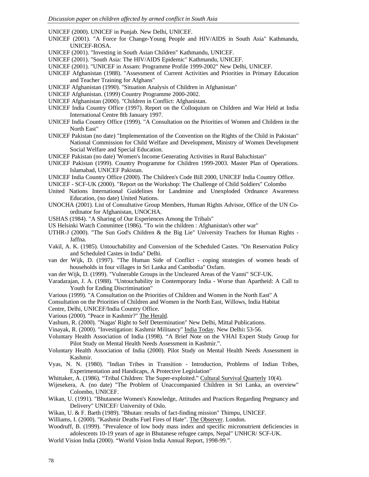UNICEF (2000). UNICEF in Punjab. New Delhi, UNICEF.

- UNICEF (2001). "A Force for Change-Young People and HIV/AIDS in South Asia" Kathmandu, UNICEF-ROSA.
- UNICEF (2001). "Investing in South Asian Children" Kathmandu, UNICEF.
- UNICEF (2001). "South Asia: The HIV/AIDS Epidemic" Kathmandu, UNICEF.
- UNICEF (2001). "UNICEF in Assam: Programme Profile 1999-2002" New Delhi, UNICEF.
- UNICEF Afghanistan (1988). "Assessment of Current Activities and Priorities in Primary Education and Teacher Training for Afghans"
- UNICEF Afghanistan (1990). "Situation Analysis of Children in Afghanistan"
- UNICEF Afghanistan. (1999) Country Programme 2000-2002.
- UNICEF Afghanistan (2000). "Children in Conflict: Afghanistan.
- UNICEF India Country Office (1997). Report on the Colloquium on Children and War Held at India International Centre 8th January 1997.
- UNICEF India Country Office (1999). "A Consultation on the Priorities of Women and Children in the North East"
- UNICEF Pakistan (no date) "Implementation of the Convention on the Rights of the Child in Pakistan" National Commission for Child Welfare and Development, Ministry of Women Development Social Welfare and Special Education.
- UNICEF Pakistan (no date) 'Women's Income Generating Activities in Rural Baluchistan"
- UNICEF Pakistan (1999). Country Programme for Children 1999-2003. Master Plan of Operations. Islamabad, UNICEF Pakistan.
- UNICEF India Country Office (2000). The Children's Code Bill 2000, UNICEF India Country Office.
- UNICEF SCF-UK (2000). "Report on the Workshop: The Challenge of Child Soldiers" Colombo
- United Nations International Guidelines for Landmine and Unexploded Ordnance Awareness Education, (no date) United Nations.
- UNOCHA (2001). List of Consultative Group Members, Human Rights Advisor, Office of the UN Coordinator for Afghanistan, UNOCHA.
- USHAS (1984). "A Sharing of Our Experiences Among the Tribals"
- US Helsinki Watch Committee (1986). "To win the children : Afghanistan's other war"
- UTHR-J (2000). "The Sun God's Children & the Big Lie" University Teachers for Human Rights Jaffna.
- Vakil, A. K. (1985). Untouchability and Conversion of the Scheduled Castes. "On Reservation Policy and Scheduled Castes in India" Delhi.
- van der Wijk, D. (1997). "The Human Side of Conflict coping strategies of women heads of households in four villages in Sri Lanka and Cambodia" Oxfam.
- van der Wijk, D. (1999). "Vulnerable Groups in the Uncleared Areas of the Vanni" SCF-UK.
- Varadarajan, J. A. (1988). "Untouchability in Contemporary India Worse than Apartheid: A Call to Youth for Ending Discrimination"
- Various (1999). "A Consultation on the Priorities of Children and Women in the North East" A
- Consultation on the Priorities of Children and Women in the North East, Willows, India Habitat

Centre, Delhi, UNICEF/India Country Office.

Various (2000). "Peace in Kashmir?" The Herald.

- Vashum, R. (2000). "Nagas' Right to Self Determination" New Delhi, Mittal Publications.
- Vinayak, R. (2000). "Investigation: Kashmir Militancy" India Today. New Delhi**:** 53-56.
- Voluntary Health Association of India (1998). "A Brief Note on the VHAI Expert Study Group for Pilot Study on Mental Health Needs Assessment in Kashmir.".
- Voluntary Health Association of India (2000). Pilot Study on Mental Health Needs Assessment in Kashmir.
- Vyas, N. N. (1980). "Indian Tribes in Transition Introduction, Problems of Indian Tribes, Experimentation and Handicaps, A Protective Legislation"
- Whittaker, A. (1986). "Tribal Children: The Super-exploited." Cultural Survival Quarterly 10(4).
- Wijesekera, A. (no date) "The Problem of Unaccompanied Children in Sri Lanka, an overview" Colombo, UNICEF.
- Wikan, U. (1991). "Bhutanese Women's Knowledge, Attitudes and Practices Regarding Pregnancy and Delivery" UNICEF/ University of Oslo.
- Wikan, U. & F. Barth (1989). "Bhutan: results of fact-finding mission" Thimpu, UNICEF.
- Williams, I. (2000). "Kashmir Deaths Fuel Fires of Hate". The Observer. London.
- Woodruff, B. (1999). "Prevalence of low body mass index and specific micronutrient deficiencies in adolescents 10-19 years of age in Bhutanese refugee camps, Nepal" UNHCR/ SCF-UK.
- World Vision India (2000). "World Vision India Annual Report, 1998-99.".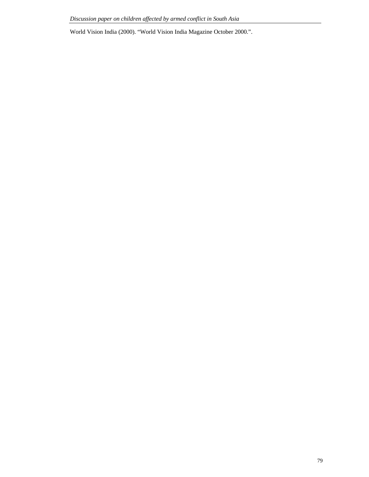World Vision India (2000). "World Vision India Magazine October 2000.".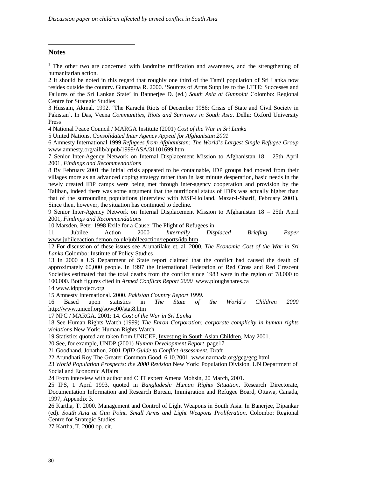## **Notes**

-

<sup>1</sup> The other two are concerned with landmine ratification and awareness, and the strengthening of humanitarian action.

2 It should be noted in this regard that roughly one third of the Tamil population of Sri Lanka now resides outside the country. Gunaratna R. 2000. 'Sources of Arms Supplies to the LTTE: Successes and Failures of the Sri Lankan State' in Bannerjee D. (ed.) *South Asia at Gunpoint* Colombo: Regional Centre for Strategic Studies

3 Hussain, Akmal. 1992. 'The Karachi Riots of December 1986: Crisis of State and Civil Society in Pakistan'. In Das, Veena *Communities, Riots and Survivors in South Asia*. Delhi: Oxford University Press

4 National Peace Council / MARGA Institute (2001) *Cost of the War in Sri Lanka*

5 United Nations, *Consolidated Inter Agency Appeal for Afghanistan 2001*

6 Amnesty International 1999 *Refugees from Afghanistan: The World's Largest Single Refugee Group* www.amnesty.org/ailib/aipub/1999/ASA/31101699.htm

7 Senior Inter-Agency Network on Internal Displacement Mission to Afghanistan 18 – 25th April 2001, *Findings and Recommendations*

8 By February 2001 the initial crisis appeared to be containable, IDP groups had moved from their villages more as an advanced coping strategy rather than in last minute desperation, basic needs in the newly created IDP camps were being met through inter-agency cooperation and provision by the Taliban, indeed there was some argument that the nutritional status of IDPs was actually higher than that of the surrounding populations (Interview with MSF-Holland, Mazar-I-Sharif, February 2001). Since then, however, the situation has continued to decline.

9 Senior Inter-Agency Network on Internal Displacement Mission to Afghanistan 18 – 25th April 2001, *Findings and Recommendations*

10 Marsden, Peter 1998 Exile for a Cause: The Plight of Refugees in

11 Jubilee Action 2000 *Internally Displaced Briefing Paper* www.jubileeaction.demon.co.uk/jubileeaction/reports/idp.htm

12 For discussion of these issues see Arunatilake et. al. 2000. *The Economic Cost of the War in Sri Lanka* Colombo: Institute of Policy Studies

13 In 2000 a US Department of State report claimed that the conflict had caused the death of approximately 60,000 people. In 1997 the International Federation of Red Cross and Red Crescent Societies estimated that the total deaths from the conflict since 1983 were in the region of 78,000 to 100,000. Both figures cited in *Armed Conflicts Report 2000* www.ploughshares.ca

14 www.idpproject.org

15 Amnesty International. 2000. *Pakistan Country Report 1999*.

16 Based upon statistics in *The State of the World's Children 2000* http://www.unicef.org/sowc00/stat8.htm

17 NPC / MARGA. 2001: 14. *Cost of the War in Sri Lanka*

18 See Human Rights Watch (1999) *The Enron Corporation: corporate complicity in human rights violations* New York: Human Rights Watch

19 Statistics quoted are taken from UNICEF, Investing in South Asian Children, May 2001.

20 See, for example, UNDP (2001) *Human Development Report* page17

21 Goodhand, Jonathon. 2001 *DfID Guide to Conflict Assessment*. Draft

22 Arundhati Roy The Greater Common Good. 6.10.2001. www.narmada.org/gcg/gcg.html

23 *World Population Prospects: the 2000 Revision* New York: Population Division, UN Department of Social and Economic Affairs

24 From interview with author and CHT expert Amena Mohsin, 20 March, 2001.

25 IPS, 1 April 1993, quoted in *Bangladesh: Human Rights Situation*, Research Directorate, Documentation Information and Research Bureau, Immigration and Refugee Board, Ottawa, Canada, 1997, Appendix 3.

26 Kartha, T. 2000. Management and Control of Light Weapons in South Asia. In Banerjee, Dipankar (ed). *South Asia at Gun Point. Small Arms and Light Weapons Proliferation*. Colombo: Regional Centre for Strategic Studies.

27 Kartha, T. 2000 op. cit.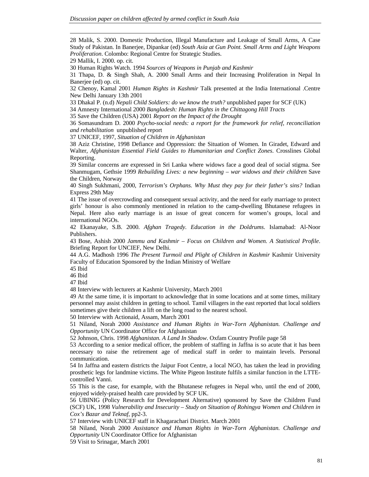28 Malik, S. 2000. Domestic Production, Illegal Manufacture and Leakage of Small Arms, A Case Study of Pakistan. In Banerjee, Dipankar (ed) *South Asia at Gun Point. Small Arms and Light Weapons Proliferation*. Colombo: Regional Centre for Strategic Studies.

29 Mallik, I. 2000. op. cit.

<u>.</u>

30 Human Rights Watch. 1994 *Sources of Weapons in Punjab and Kashmir*

31 Thapa, D. & Singh Shah, A. 2000 Small Arms and their Increasing Proliferation in Nepal In Banerjee (ed) op. cit.

32 Chenoy, Kamal 2001 *Human Rights in Kashmir* Talk presented at the India International .Centre New Delhi January 13th 2001

33 Dhakal P. (n.d) *Nepali Child Soldiers: do we know the truth?* unpublished paper for SCF (UK)

34 Amnesty International 2000 *Bangladesh: Human Rights in the Chittagong Hill Tracts*

35 Save the Children (USA) 2001 *Report on the Impact of the Drought*

36 Somasundram D. 2000 *Psycho-social needs: a report for the framework for relief, reconciliation and rehabilitation* unpublished report

37 UNICEF, 1997, *Situation of Children in Afghanistan*

38 Aziz Christine, 1998 Defiance and Oppression: the Situation of Women. In Giradet, Edward and Walter, *Afghanistan Essential Field Guides to Humanitarian and Conflict Zones*. Crosslines Global Reporting.

39 Similar concerns are expressed in Sri Lanka where widows face a good deal of social stigma. See Shanmugam, Gethsie 1999 *Rebuilding Lives: a new beginning – war widows and their children* Save the Children, Norway

40 Singh Sukhmani, 2000, *Terrorism's Orphans. Why Must they pay for their father's sins?* Indian Express 29th May

41 The issue of overcrowding and consequent sexual activity, and the need for early marriage to protect girls' honour is also commonly mentioned in relation to the camp-dwelling Bhutanese refugees in Nepal. Here also early marriage is an issue of great concern for women's groups, local and international NGOs.

42 Ekanayake, S.B. 2000. *Afghan Tragedy. Education in the Doldrums*. Islamabad: Al-Noor Publishers.

43 Bose, Ashish 2000 *Jammu and Kashmir – Focus on Children and Women. A Statistical Profile*. Briefing Report for UNCIEF, New Delhi.

44 A.G. Madhosh 1996 *The Present Turmoil and Plight of Children in Kashmir* Kashmir University Faculty of Education Sponsored by the Indian Ministry of Welfare

45 Ibid

46 Ibid

47 Ibid

48 Interview with lecturers at Kashmir University, March 2001

49 At the same time, it is important to acknowledge that in some locations and at some times, military personnel may assist children in getting to school. Tamil villagers in the east reported that local soldiers sometimes give their children a lift on the long road to the nearest school.

50 Interview with Actionaid, Assam, March 2001

51 Niland, Norah 2000 *Assistance and Human Rights in War-Torn Afghanistan. Challenge and Opportunity* UN Coordinator Office for Afghanistan

52 Johnson, Chris. 1998 *Afghanistan. A Land In Shadow*. Oxfam Country Profile page 58

53 According to a senior medical officer, the problem of staffing in Jaffna is so acute that it has been necessary to raise the retirement age of medical staff in order to maintain levels. Personal communication.

54 In Jaffna and eastern districts the Jaipur Foot Centre, a local NGO, has taken the lead in providing prosthetic legs for landmine victims. The White Pigeon Institute fulfils a similar function in the LTTEcontrolled Vanni.

55 This is the case, for example, with the Bhutanese refugees in Nepal who, until the end of 2000, enjoyed widely-praised health care provided by SCF UK.

56 UBINIG (Policy Research for Development Alternative) sponsored by Save the Children Fund (SCF) UK, 1998 *Vulnerability and Insecurity – Study on Situation of Rohingya Women and Children in Cox's Bazar and Teknaf,* pp2-3.

57 Interview with UNICEF staff in Khagarachari District. March 2001

58 Niland, Norah 2000 *Assistance and Human Rights in War-Torn Afghanistan. Challenge and Opportunity* UN Coordinator Office for Afghanistan

59 Visit to Srinagar, March 2001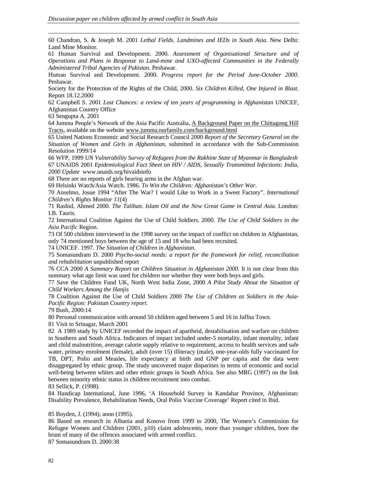60 Chandran, S. & Joseph M. 2001 *Lethal Fields. Landmines and IEDs in South Asia*. New Delhi: Land Mine Monitor.

61 Human Survival and Development. 2000. *Assessment of Organisational Structure and of Operations and Plans in Response to Land-mine and UXO-affected Communities in the Federally Administered Tribal Agencies of Pakistan*. Peshawar.

Human Survival and Development. 2000. *Progress report for the Period June-October 2000*. Peshawar.

Society for the Protection of the Rights of the Child, 2000. *Six Children Killed, One Injured in Blast*. Report 18.12.2000

62 Campbell S. 2001 *Lost Chances: a review of ten years of programming in Afghanistan* UNICEF, Afghanistan Country Office

63 Sengupta A. 2001

<u>.</u>

64 Jumma People's Network of the Asia Pacific Australia, A Background Paper on the Chittagong Hill Tracts, available on the website www.jumma.ourfamily.com/background.html

65 United Nations Economic and Social Research Council 2000 *Report of the Secretary General on the Situation of Women and Girls in Afghanistan*, submitted in accordance with the Sub-Commission Resolution 1999/14

66 WFP, 1999 *UN Vulnerability Survey of Refugees from the Rakhine State of Myanmar in Bangladesh* 67 UNAIDS 2001 *Epidemiological Fact Sheet on HIV / AIDS, Sexually Transmitted Infections: India, 2000 Update* www.unaids.org/hivaidsinfo

68 There are no reports of girls bearing arms in the Afghan war.

69 Helsinki Watch/Asia Watch. 1986. *To Win the Children: Afghanistan's Other War*.

70 Anselmo, Josue 1994 "After The War? I would Like to Work in a Sweet Factory". *International Children's Rights Monitor 11*(4)

71 Rashid, Ahmed 2000. *The Taliban. Islam Oil and the New Great Game in Central Asia*. London: I.B. Tauris.

72 International Coalition Against the Use of Child Soldiers. 2000. *The Use of Child Soldiers in the Asia Pacific* Region.

73 Of 500 children interviewed in the 1998 survey on the impact of conflict on children in Afghanistan, only 74 mentioned boys between the age of 15 and 18 who had been recruited.

74 UNICEF. 1997. *The Situation of Children in Afghanistan*.

75 Somasundram D. 2000 *Psycho-social needs: a report for the framework for relief, reconciliation and rehabilitation* unpublished report

76 CCA 2000 *A Summary Report on Children Situation in Afghanistan 2000*. It is not clear from this summary what age limit was used for children nor whether they were both boys and girls.

77 Save the Children Fund UK, North West India Zone, 2000 *A Pilot Study About the Situation of Child Workers Among the Hanjis*

78 Coalition Against the Use of Child Soldiers 2000 *The Use of Children as Soldiers in the Asia-Pacific Region: Pakistan Country report*.

79 Bush, 2000:14

80 Personal communication with around 50 children aged between 5 and 16 in Jaffna Town.

81 Visit to Srinagar, March 2001

82 A 1989 study by UNICEF recorded the impact of apartheid, destabilisation and warfare on children in Southern and South Africa. Indicators of impact included under-5 mortality, infant mortality, infant and child malnutrition, average calorie supply relative to requirement, access to health services and safe water, primary enrolment (female), adult (over 15) illiteracy (male), one-year-olds fully vaccinated for TB, DPT, Polio and Measles, life expectancy at birth and GNP per capita and the data were disaggregated by ethnic group. The study uncovered major disparities in terms of economic and social well-being between whites and other ethnic groups in South Africa. See also MRG (1997) on the link between minority ethnic status in children recruitment into combat.

83 Sellick, P. (1998).

84 Handicap International, June 1996, 'A Household Survey in Kandahar Province, Afghanistan: Disability Prevalence, Rehabilitation Needs, Oral Polio Vaccine Coverage' Report cited in Ibid.

85 Boyden, J. (1994); anon (1995).

86 Based on research in Albania and Kosovo from 1999 to 2000, The Women's Commission for Refugee Women and Children (2001, p10) claim adolescents, more than younger children, bore the brunt of many of the offences associated with armed conflict.

87 Somasundram D. 2000:38